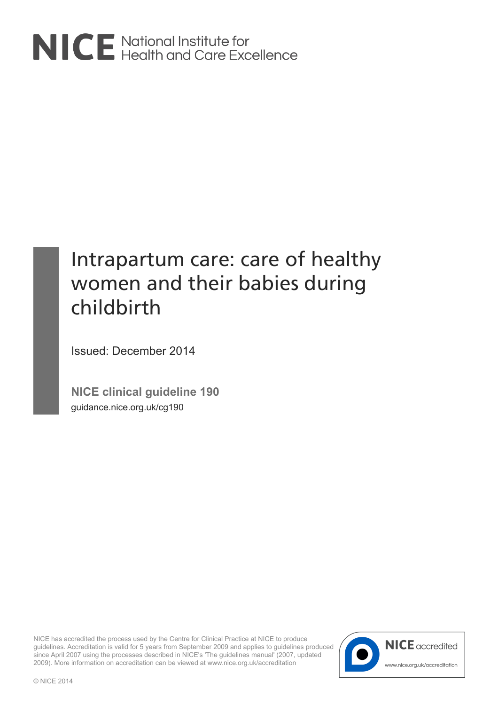# NICE National Institute for<br>NICE Health and Care Excellence

## Intrapartum care: care of healthy women and their babies during childbirth

Issued: December 2014

**NICE clinical guideline 190** guidance.nice.org.uk/cg190

NICE has accredited the process used by the Centre for Clinical Practice at NICE to produce guidelines. Accreditation is valid for 5 years from September 2009 and applies to guidelines produced since April 2007 using the processes described in NICE's 'The guidelines manual' (2007, updated 2009). More information on accreditation can be viewed at www.nice.org.uk/accreditation

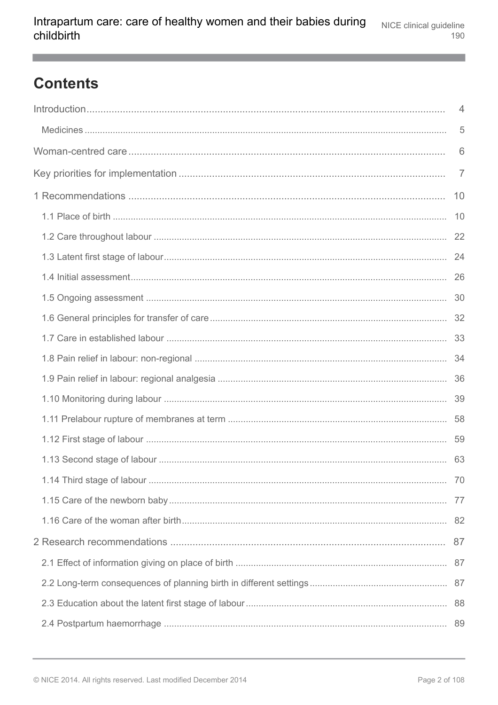## **Contents**

| $\overline{4}$ |
|----------------|
| 5              |
| 6              |
| $\overline{7}$ |
| 10             |
| 10             |
| 22             |
|                |
| 26             |
| 30             |
|                |
| 33             |
| 34             |
|                |
| 39             |
|                |
| 59             |
| 63             |
|                |
|                |
|                |
|                |
|                |
|                |
|                |
|                |

a a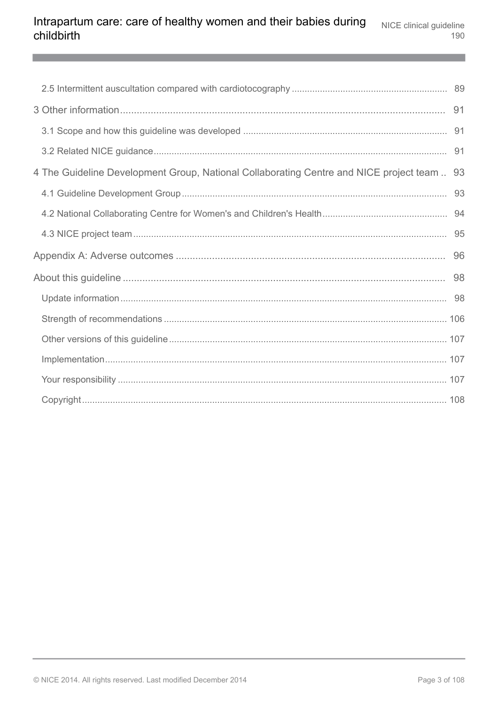|                                                                                        | 91 |
|----------------------------------------------------------------------------------------|----|
|                                                                                        |    |
|                                                                                        |    |
| 4 The Guideline Development Group, National Collaborating Centre and NICE project team | 93 |
|                                                                                        |    |
|                                                                                        |    |
|                                                                                        |    |
|                                                                                        |    |
|                                                                                        |    |
|                                                                                        |    |
|                                                                                        |    |
|                                                                                        |    |
|                                                                                        |    |
|                                                                                        |    |
|                                                                                        |    |

a a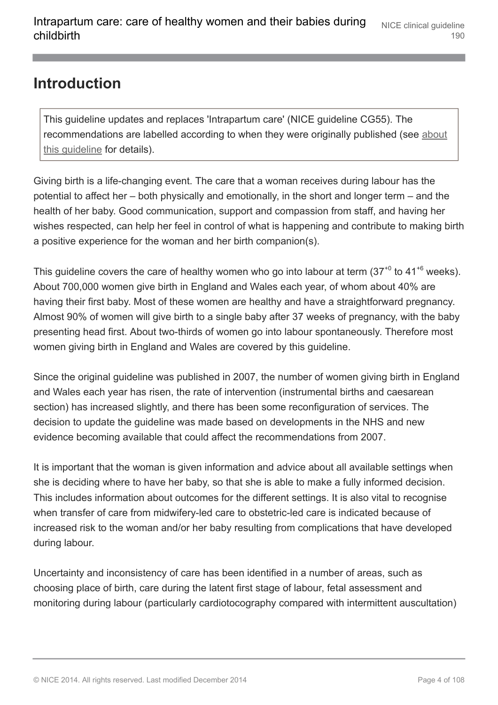## <span id="page-3-0"></span>**Introduction**

This guideline updates and replaces 'Intrapartum care' (NICE guideline CG55). The recommendations are labelled according to when they were originally published (see [about](http://publications.nice.org.uk/intrapartum-care-care-of-healthy-women-and-their-babies-during-childbirth-cg190/about-this-guideline) [this guideline](http://publications.nice.org.uk/intrapartum-care-care-of-healthy-women-and-their-babies-during-childbirth-cg190/about-this-guideline) for details).

Giving birth is a life-changing event. The care that a woman receives during labour has the potential to affect her – both physically and emotionally, in the short and longer term – and the health of her baby. Good communication, support and compassion from staff, and having her wishes respected, can help her feel in control of what is happening and contribute to making birth a positive experience for the woman and her birth companion(s).

This quideline covers the care of healthy women who go into labour at term  $(37<sup>+0</sup>$  to 41<sup>+6</sup> weeks). About 700,000 women give birth in England and Wales each year, of whom about 40% are having their first baby. Most of these women are healthy and have a straightforward pregnancy. Almost 90% of women will give birth to a single baby after 37 weeks of pregnancy, with the baby presenting head first. About two-thirds of women go into labour spontaneously. Therefore most women giving birth in England and Wales are covered by this guideline.

Since the original guideline was published in 2007, the number of women giving birth in England and Wales each year has risen, the rate of intervention (instrumental births and caesarean section) has increased slightly, and there has been some reconfiguration of services. The decision to update the guideline was made based on developments in the NHS and new evidence becoming available that could affect the recommendations from 2007.

It is important that the woman is given information and advice about all available settings when she is deciding where to have her baby, so that she is able to make a fully informed decision. This includes information about outcomes for the different settings. It is also vital to recognise when transfer of care from midwifery-led care to obstetric-led care is indicated because of increased risk to the woman and/or her baby resulting from complications that have developed during labour.

Uncertainty and inconsistency of care has been identified in a number of areas, such as choosing place of birth, care during the latent first stage of labour, fetal assessment and monitoring during labour (particularly cardiotocography compared with intermittent auscultation)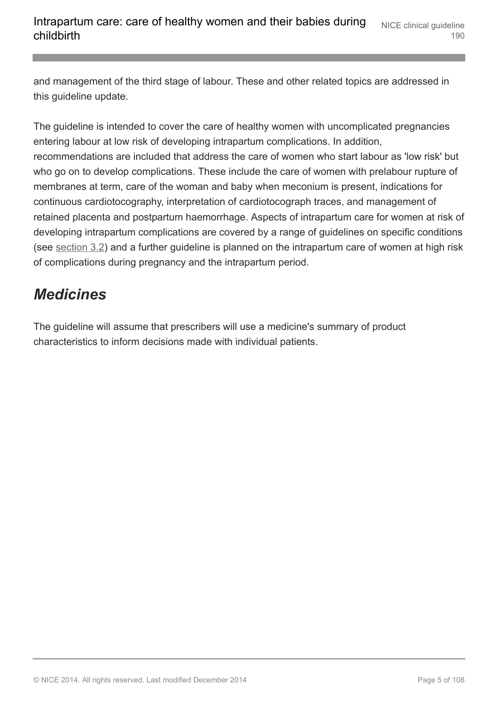and management of the third stage of labour. These and other related topics are addressed in this guideline update.

The guideline is intended to cover the care of healthy women with uncomplicated pregnancies entering labour at low risk of developing intrapartum complications. In addition, recommendations are included that address the care of women who start labour as 'low risk' but who go on to develop complications. These include the care of women with prelabour rupture of membranes at term, care of the woman and baby when meconium is present, indications for continuous cardiotocography, interpretation of cardiotocograph traces, and management of retained placenta and postpartum haemorrhage. Aspects of intrapartum care for women at risk of developing intrapartum complications are covered by a range of guidelines on specific conditions (see [section 3.2\)](http://publications.nice.org.uk/intrapartum-care-care-of-healthy-women-and-their-babies-during-childbirth-cg190/other-information#related-nice-guidance) and a further guideline is planned on the intrapartum care of women at high risk of complications during pregnancy and the intrapartum period.

## <span id="page-4-0"></span>*Medicines*

The guideline will assume that prescribers will use a medicine's summary of product characteristics to inform decisions made with individual patients.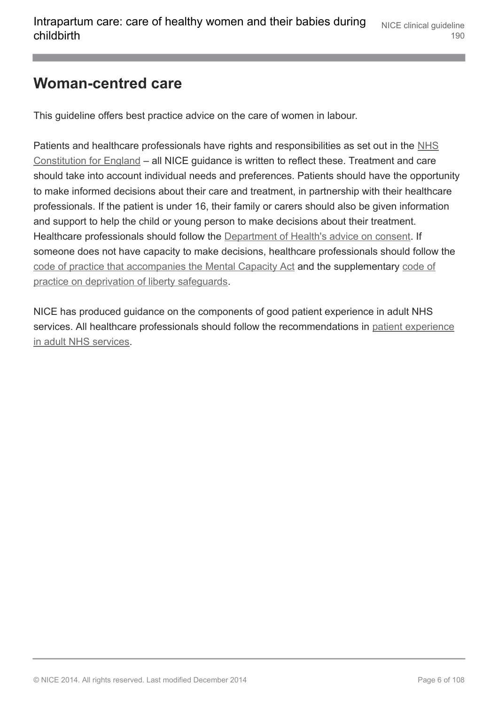## <span id="page-5-0"></span>**Woman-centred care**

This guideline offers best practice advice on the care of women in labour.

Patients and healthcare professionals have rights and responsibilities as set out in the [NHS](https://www.gov.uk/government/publications/the-nhs-constitution-for-england) [Constitution for England](https://www.gov.uk/government/publications/the-nhs-constitution-for-england) – all NICE guidance is written to reflect these. Treatment and care should take into account individual needs and preferences. Patients should have the opportunity to make informed decisions about their care and treatment, in partnership with their healthcare professionals. If the patient is under 16, their family or carers should also be given information and support to help the child or young person to make decisions about their treatment. Healthcare professionals should follow the [Department of Health's advice on consent.](https://www.gov.uk/government/publications/reference-guide-to-consent-for-examination-or-treatment-second-edition) If someone does not have capacity to make decisions, healthcare professionals should follow the [code of practice that accompanies the Mental Capacity Act](http://www.justice.gov.uk/protecting-the-vulnerable/mental-capacity-act) and the supplementary [code of](http://webarchive.nationalarchives.gov.uk/20130107105354/http:/www.dh.gov.uk/en/Publicationsandstatistics/Publications/PublicationsPolicyAndGuidance/DH_085476) [practice on deprivation of liberty safeguards](http://webarchive.nationalarchives.gov.uk/20130107105354/http:/www.dh.gov.uk/en/Publicationsandstatistics/Publications/PublicationsPolicyAndGuidance/DH_085476).

NICE has produced guidance on the components of good patient experience in adult NHS services. All healthcare professionals should follow the recommendations in [patient experience](http://www.nice.org.uk/guidance/cg138) [in adult NHS services.](http://www.nice.org.uk/guidance/cg138)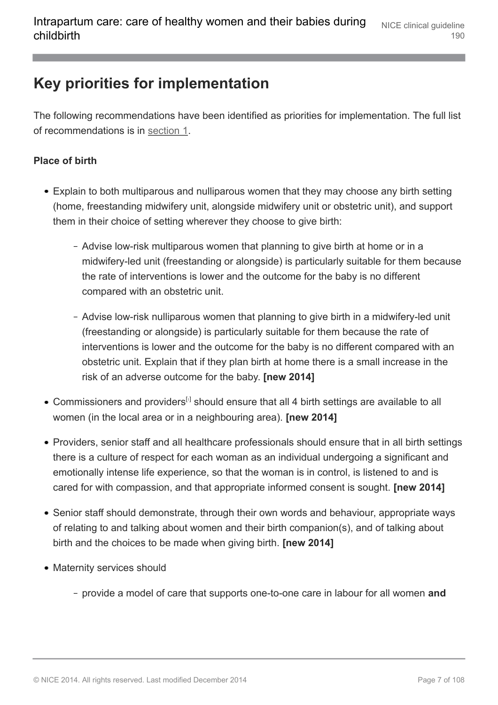## <span id="page-6-0"></span>**Key priorities for implementation**

The following recommendations have been identified as priorities for implementation. The full list of recommendations is in [section](http://publications.nice.org.uk/intrapartum-care-care-of-healthy-women-and-their-babies-during-childbirth-cg190/recommendations) 1.

#### **Place of birth**

- Explain to both multiparous and nulliparous women that they may choose any birth setting (home, freestanding midwifery unit, alongside midwifery unit or obstetric unit), and support them in their choice of setting wherever they choose to give birth:
	- Advise low-risk multiparous women that planning to give birth at home or in a midwifery-led unit (freestanding or alongside) is particularly suitable for them because the rate of interventions is lower and the outcome for the baby is no different compared with an obstetric unit.
	- Advise low-risk nulliparous women that planning to give birth in a midwifery-led unit (freestanding or alongside) is particularly suitable for them because the rate of interventions is lower and the outcome for the baby is no different compared with an obstetric unit. Explain that if they plan birth at home there is a small increase in the risk of an adverse outcome for the baby. **[new 2014]**
- <span id="page-6-1"></span>Commissioners and providers<sup>[[1](#page-8-0)]</sup> should ensure that all 4 birth settings are available to all women (in the local area or in a neighbouring area). **[new 2014]**
- Providers, senior staff and all healthcare professionals should ensure that in all birth settings there is a culture of respect for each woman as an individual undergoing a significant and emotionally intense life experience, so that the woman is in control, is listened to and is cared for with compassion, and that appropriate informed consent is sought. **[new 2014]**
- Senior staff should demonstrate, through their own words and behaviour, appropriate ways of relating to and talking about women and their birth companion(s), and of talking about birth and the choices to be made when giving birth. **[new 2014]**
- Maternity services should
	- provide a model of care that supports one-to-one care in labour for all women **and**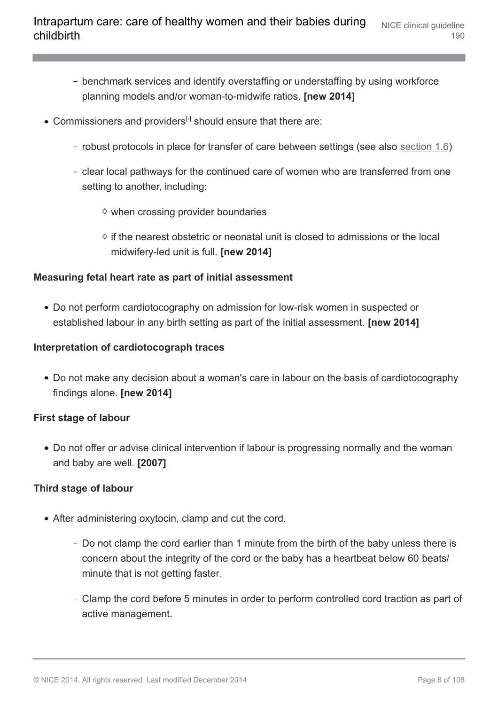- benchmark services and identify overstaffing or understaffing by using workforce planning models and/or woman-to-midwife ratios. **[new 2014]**
- Commissioners and providers<sup>[[1](#page-8-0)]</sup> should ensure that there are:
	- robust protocols in place for transfer of care between settings (see also [section 1.6](http://publications.nice.org.uk/intrapartum-care-care-of-healthy-women-and-their-babies-during-childbirth-cg190/recommendations#general-principles-for-transfer-of-care))
	- clear local pathways for the continued care of women who are transferred from one setting to another, including:
		- $\diamond$  when crossing provider boundaries
		- $\Diamond$  if the nearest obstetric or neonatal unit is closed to admissions or the local midwifery-led unit is full. **[new 2014]**

#### **Measuring fetal heart rate as part of initial assessment**

Do not perform cardiotocography on admission for low-risk women in suspected or established labour in any birth setting as part of the initial assessment. **[new 2014]**

#### **Interpretation of cardiotocograph traces**

Do not make any decision about a woman's care in labour on the basis of cardiotocography findings alone. **[new 2014]**

#### **First stage of labour**

Do not offer or advise clinical intervention if labour is progressing normally and the woman and baby are well. **[2007]**

#### **Third stage of labour**

- After administering oxytocin, clamp and cut the cord.
	- Do not clamp the cord earlier than 1 minute from the birth of the baby unless there is concern about the integrity of the cord or the baby has a heartbeat below 60 beats/ minute that is not getting faster.
	- Clamp the cord before 5 minutes in order to perform controlled cord traction as part of active management.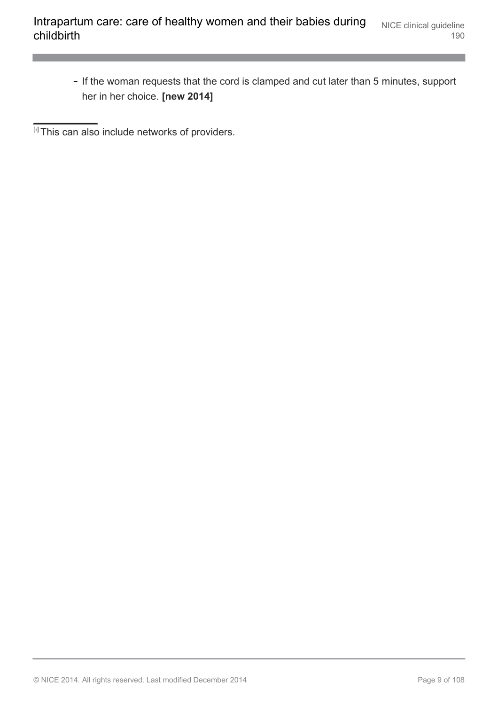- If the woman requests that the cord is clamped and cut later than 5 minutes, support her in her choice. **[new 2014]**

m.

<span id="page-8-0"></span><sup>[</sup>[1](#page-6-1)] This can also include networks of providers.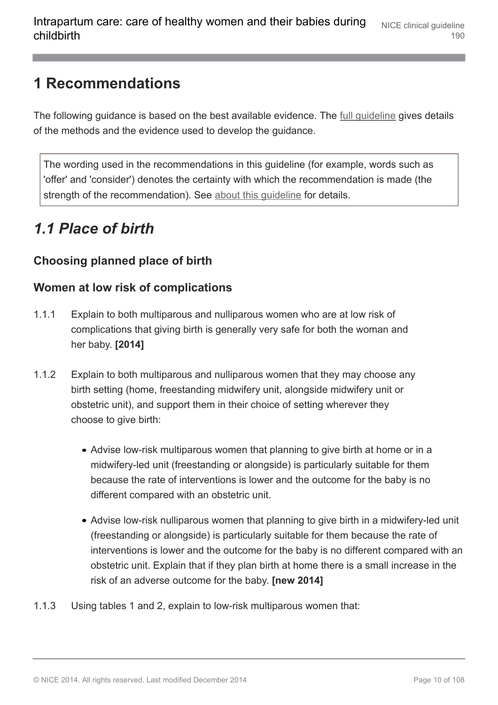## <span id="page-9-0"></span>**1 Recommendations**

The following guidance is based on the best available evidence. The [full guideline](http://www.nice.org.uk/Guidance/CG190/Evidence) gives details of the methods and the evidence used to develop the guidance.

The wording used in the recommendations in this guideline (for example, words such as 'offer' and 'consider') denotes the certainty with which the recommendation is made (the strength of the recommendation). See [about this guideline](http://publications.nice.org.uk/intrapartum-care-care-of-healthy-women-and-their-babies-during-childbirth-cg190/about-this-guideline) for details.

## <span id="page-9-1"></span>*1.1 Place of birth*

#### **Choosing planned place of birth**

#### **Women at low risk of complications**

- 1.1.1 Explain to both multiparous and nulliparous women who are at low risk of complications that giving birth is generally very safe for both the woman and her baby. **[2014]**
- 1.1.2 Explain to both multiparous and nulliparous women that they may choose any birth setting (home, freestanding midwifery unit, alongside midwifery unit or obstetric unit), and support them in their choice of setting wherever they choose to give birth:
	- Advise low-risk multiparous women that planning to give birth at home or in a midwifery-led unit (freestanding or alongside) is particularly suitable for them because the rate of interventions is lower and the outcome for the baby is no different compared with an obstetric unit.
	- Advise low-risk nulliparous women that planning to give birth in a midwifery-led unit (freestanding or alongside) is particularly suitable for them because the rate of interventions is lower and the outcome for the baby is no different compared with an obstetric unit. Explain that if they plan birth at home there is a small increase in the risk of an adverse outcome for the baby. **[new 2014]**
- 1.1.3 Using tables 1 and 2, explain to low-risk multiparous women that: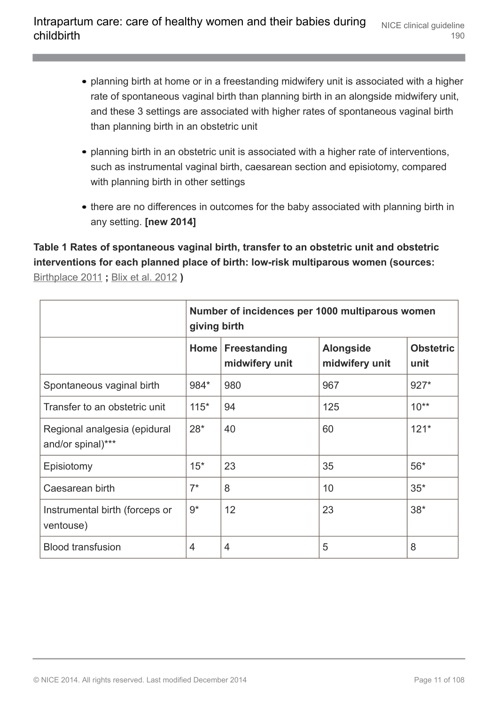- planning birth at home or in a freestanding midwifery unit is associated with a higher rate of spontaneous vaginal birth than planning birth in an alongside midwifery unit, and these 3 settings are associated with higher rates of spontaneous vaginal birth than planning birth in an obstetric unit
- planning birth in an obstetric unit is associated with a higher rate of interventions, such as instrumental vaginal birth, caesarean section and episiotomy, compared with planning birth in other settings
- there are no differences in outcomes for the baby associated with planning birth in any setting. **[new 2014]**

**Table 1 Rates of spontaneous vaginal birth, transfer to an obstetric unit and obstetric interventions for each planned place of birth: low-risk multiparous women (sources:** [Birthplace 2011](https://www.npeu.ox.ac.uk/birthplace) **;** [Blix et al. 2012](http://www.sciencedirect.com/science/article/pii/S1877575612000481) **)**

|                                                   | Number of incidences per 1000 multiparous women<br>giving birth |                                       |                                    |                          |
|---------------------------------------------------|-----------------------------------------------------------------|---------------------------------------|------------------------------------|--------------------------|
|                                                   | Home                                                            | <b>Freestanding</b><br>midwifery unit | <b>Alongside</b><br>midwifery unit | <b>Obstetric</b><br>unit |
| Spontaneous vaginal birth                         | 984*                                                            | 980                                   | 967                                | $927*$                   |
| Transfer to an obstetric unit                     | $115*$                                                          | 94                                    | 125                                | $10**$                   |
| Regional analgesia (epidural<br>and/or spinal)*** | $28*$                                                           | 40                                    | 60                                 | $121*$                   |
| Episiotomy                                        | $15*$                                                           | 23                                    | 35                                 | $56*$                    |
| Caesarean birth                                   | $7^*$                                                           | 8                                     | 10                                 | $35*$                    |
| Instrumental birth (forceps or<br>ventouse)       | $9*$                                                            | 12                                    | 23                                 | $38*$                    |
| <b>Blood transfusion</b>                          | 4                                                               | $\overline{4}$                        | 5                                  | 8                        |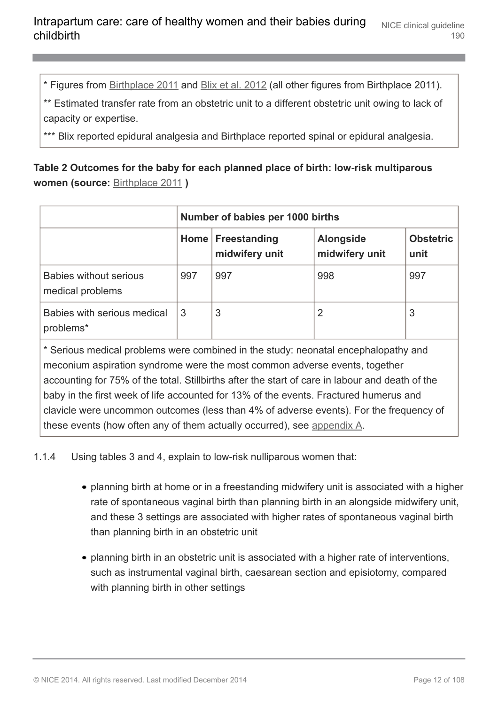\* Figures from [Birthplace 2011](https://www.npeu.ox.ac.uk/birthplace) and [Blix et al. 2012](http://www.sciencedirect.com/science/article/pii/S1877575612000481) (all other figures from Birthplace 2011).

\*\* Estimated transfer rate from an obstetric unit to a different obstetric unit owing to lack of capacity or expertise.

\*\*\* Blix reported epidural analgesia and Birthplace reported spinal or epidural analgesia.

#### **Table 2 Outcomes for the baby for each planned place of birth: low-risk multiparous women (source:** [Birthplace 2011](https://www.npeu.ox.ac.uk/birthplace) **)**

|                                            | Number of babies per 1000 births |                                       |                             |                          |
|--------------------------------------------|----------------------------------|---------------------------------------|-----------------------------|--------------------------|
|                                            |                                  | Home   Freestanding<br>midwifery unit | Alongside<br>midwifery unit | <b>Obstetric</b><br>unit |
| Babies without serious<br>medical problems | 997                              | 997                                   | 998                         | 997                      |
| Babies with serious medical<br>problems*   | 3                                | 3                                     | 2                           | 3                        |

\* Serious medical problems were combined in the study: neonatal encephalopathy and meconium aspiration syndrome were the most common adverse events, together accounting for 75% of the total. Stillbirths after the start of care in labour and death of the baby in the first week of life accounted for 13% of the events. Fractured humerus and clavicle were uncommon outcomes (less than 4% of adverse events). For the frequency of these events (how often any of them actually occurred), see [appendix A.](http://publications.nice.org.uk/intrapartum-care-care-of-healthy-women-and-their-babies-during-childbirth-cg190/appendix-a-adverse-outcomes)

1.1.4 Using tables 3 and 4, explain to low-risk nulliparous women that:

- planning birth at home or in a freestanding midwifery unit is associated with a higher rate of spontaneous vaginal birth than planning birth in an alongside midwifery unit, and these 3 settings are associated with higher rates of spontaneous vaginal birth than planning birth in an obstetric unit
- planning birth in an obstetric unit is associated with a higher rate of interventions, such as instrumental vaginal birth, caesarean section and episiotomy, compared with planning birth in other settings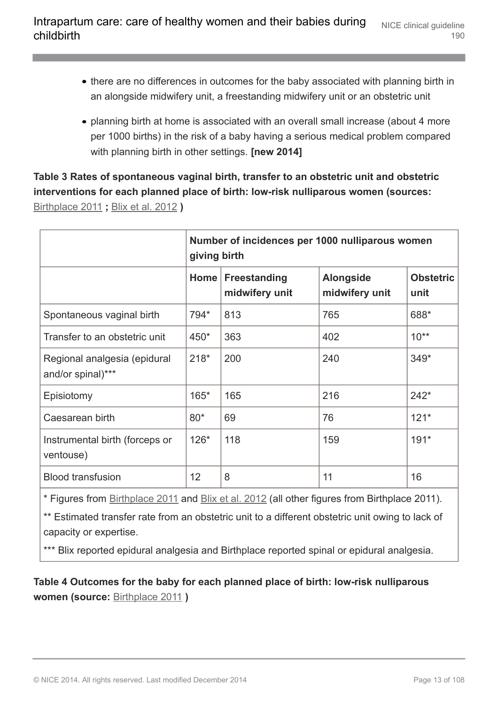- there are no differences in outcomes for the baby associated with planning birth in an alongside midwifery unit, a freestanding midwifery unit or an obstetric unit
- planning birth at home is associated with an overall small increase (about 4 more per 1000 births) in the risk of a baby having a serious medical problem compared with planning birth in other settings. **[new 2014]**

**Table 3 Rates of spontaneous vaginal birth, transfer to an obstetric unit and obstetric interventions for each planned place of birth: low-risk nulliparous women (sources:** [Birthplace 2011](https://www.npeu.ox.ac.uk/birthplace) **;** [Blix et al. 2012](http://www.sciencedirect.com/science/article/pii/S1877575612000481) **)**

|                                                   | Number of incidences per 1000 nulliparous women<br>giving birth |                                       |                                    |                          |
|---------------------------------------------------|-----------------------------------------------------------------|---------------------------------------|------------------------------------|--------------------------|
|                                                   | <b>Home</b>                                                     | <b>Freestanding</b><br>midwifery unit | <b>Alongside</b><br>midwifery unit | <b>Obstetric</b><br>unit |
| Spontaneous vaginal birth                         | 794*                                                            | 813                                   | 765                                | 688*                     |
| Transfer to an obstetric unit                     | 450*                                                            | 363                                   | 402                                | $10^{**}$                |
| Regional analgesia (epidural<br>and/or spinal)*** | $218*$                                                          | 200                                   | 240                                | 349*                     |
| Episiotomy                                        | $165*$                                                          | 165                                   | 216                                | $242*$                   |
| Caesarean birth                                   | $80*$                                                           | 69                                    | 76                                 | $121*$                   |
| Instrumental birth (forceps or<br>ventouse)       | $126*$                                                          | 118                                   | 159                                | $191*$                   |
| <b>Blood transfusion</b>                          | 12                                                              | 8                                     | 11                                 | 16                       |

\* Figures from [Birthplace 2011](https://www.npeu.ox.ac.uk/birthplace) and [Blix et al. 2012](http://www.sciencedirect.com/science/article/pii/S1877575612000481) (all other figures from Birthplace 2011).

\*\* Estimated transfer rate from an obstetric unit to a different obstetric unit owing to lack of capacity or expertise.

\*\*\* Blix reported epidural analgesia and Birthplace reported spinal or epidural analgesia.

#### **Table 4 Outcomes for the baby for each planned place of birth: low-risk nulliparous women (source:** [Birthplace 2011](https://www.npeu.ox.ac.uk/birthplace) **)**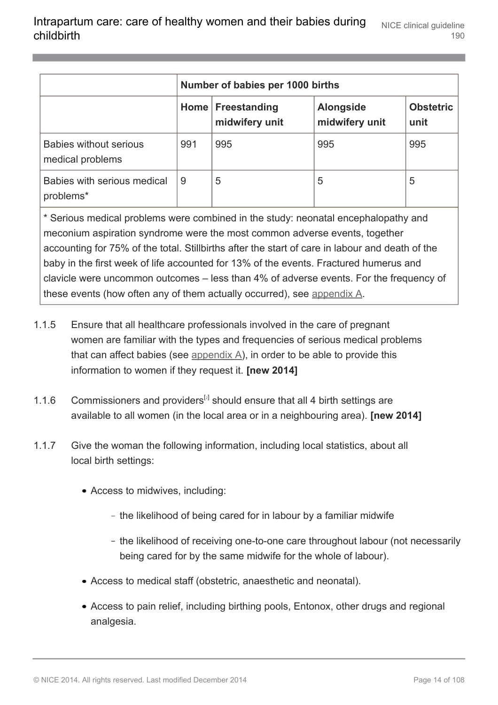|                                            | Number of babies per 1000 births |                                       |                                    |                          |
|--------------------------------------------|----------------------------------|---------------------------------------|------------------------------------|--------------------------|
|                                            |                                  | Home   Freestanding<br>midwifery unit | <b>Alongside</b><br>midwifery unit | <b>Obstetric</b><br>unit |
| Babies without serious<br>medical problems | 991                              | 995                                   | 995                                | 995                      |
| Babies with serious medical<br>problems*   | 9                                | 5                                     | 5                                  | 5                        |

\* Serious medical problems were combined in the study: neonatal encephalopathy and meconium aspiration syndrome were the most common adverse events, together accounting for 75% of the total. Stillbirths after the start of care in labour and death of the baby in the first week of life accounted for 13% of the events. Fractured humerus and clavicle were uncommon outcomes – less than 4% of adverse events. For the frequency of these events (how often any of them actually occurred), see [appendix A.](http://publications.nice.org.uk/intrapartum-care-care-of-healthy-women-and-their-babies-during-childbirth-cg190/appendix-a-adverse-outcomes)

- 1.1.5 Ensure that all healthcare professionals involved in the care of pregnant women are familiar with the types and frequencies of serious medical problems that can affect babies (see [appendix](http://publications.nice.org.uk/intrapartum-care-care-of-healthy-women-and-their-babies-during-childbirth-cg190/appendix-a-adverse-outcomes)  $A$ ), in order to be able to provide this information to women if they request it. **[new 2014]**
- 1.1.6 Commissioners and providers $[2]$  $[2]$  $[2]$  should ensure that all 4 birth settings are available to all women (in the local area or in a neighbouring area). **[new 2014]**
- 1.1.7 Give the woman the following information, including local statistics, about all local birth settings:
	- Access to midwives, including:
		- the likelihood of being cared for in labour by a familiar midwife
		- the likelihood of receiving one-to-one care throughout labour (not necessarily being cared for by the same midwife for the whole of labour).
	- Access to medical staff (obstetric, anaesthetic and neonatal).
	- Access to pain relief, including birthing pools, Entonox, other drugs and regional analgesia.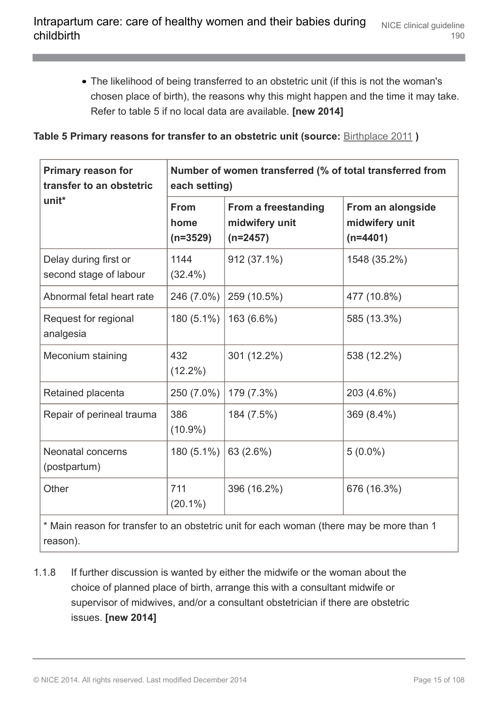The likelihood of being transferred to an obstetric unit (if this is not the woman's chosen place of birth), the reasons why this might happen and the time it may take. Refer to table 5 if no local data are available. **[new 2014]**

#### **Table 5 Primary reasons for transfer to an obstetric unit (source:** [Birthplace 2011](https://www.npeu.ox.ac.uk/birthplace) **)**

| <b>Primary reason for</b><br>transfer to an obstetric                                    | Number of women transferred (% of total transferred from<br>each setting) |                                                     |                                                   |  |
|------------------------------------------------------------------------------------------|---------------------------------------------------------------------------|-----------------------------------------------------|---------------------------------------------------|--|
| unit*                                                                                    | <b>From</b><br>home<br>$(n=3529)$                                         | From a freestanding<br>midwifery unit<br>$(n=2457)$ | From an alongside<br>midwifery unit<br>$(n=4401)$ |  |
| Delay during first or<br>second stage of labour                                          | 1144<br>$(32.4\%)$                                                        | 912 (37.1%)                                         | 1548 (35.2%)                                      |  |
| Abnormal fetal heart rate                                                                | 246 (7.0%)                                                                | 259 (10.5%)                                         | 477 (10.8%)                                       |  |
| Request for regional<br>analgesia                                                        | 180 (5.1%)                                                                | 163 (6.6%)                                          | 585 (13.3%)                                       |  |
| Meconium staining                                                                        | 432<br>$(12.2\%)$                                                         | 301 (12.2%)                                         | 538 (12.2%)                                       |  |
| Retained placenta                                                                        | 250 (7.0%)                                                                | 179 (7.3%)                                          | 203 (4.6%)                                        |  |
| Repair of perineal trauma                                                                | 386<br>$(10.9\%)$                                                         | 184 (7.5%)                                          | 369 (8.4%)                                        |  |
| <b>Neonatal concerns</b><br>(postpartum)                                                 | 180 (5.1%)                                                                | 63 (2.6%)                                           | $5(0.0\%)$                                        |  |
| Other                                                                                    | 711<br>$(20.1\%)$                                                         | 396 (16.2%)                                         | 676 (16.3%)                                       |  |
| * Main reason for transfer to an obstetric unit for each woman (there may be more than 1 |                                                                           |                                                     |                                                   |  |

reason).

1.1.8 If further discussion is wanted by either the midwife or the woman about the choice of planned place of birth, arrange this with a consultant midwife or supervisor of midwives, and/or a consultant obstetrician if there are obstetric issues. **[new 2014]**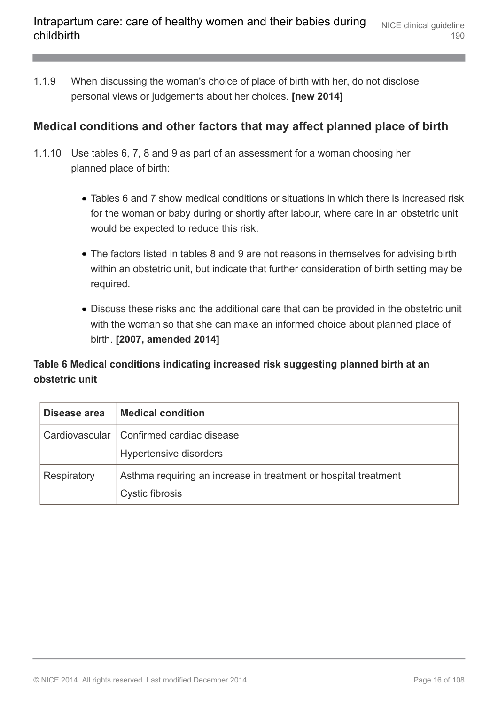1.1.9 When discussing the woman's choice of place of birth with her, do not disclose personal views or judgements about her choices. **[new 2014]**

#### **Medical conditions and other factors that may affect planned place of birth**

- 1.1.10 Use tables 6, 7, 8 and 9 as part of an assessment for a woman choosing her planned place of birth:
	- Tables 6 and 7 show medical conditions or situations in which there is increased risk for the woman or baby during or shortly after labour, where care in an obstetric unit would be expected to reduce this risk.
	- The factors listed in tables 8 and 9 are not reasons in themselves for advising birth within an obstetric unit, but indicate that further consideration of birth setting may be required.
	- Discuss these risks and the additional care that can be provided in the obstetric unit with the woman so that she can make an informed choice about planned place of birth. **[2007, amended 2014]**

#### **Table 6 Medical conditions indicating increased risk suggesting planned birth at an obstetric unit**

| Disease area   | <b>Medical condition</b>                                        |  |
|----------------|-----------------------------------------------------------------|--|
| Cardiovascular | Confirmed cardiac disease                                       |  |
|                | Hypertensive disorders                                          |  |
| Respiratory    | Asthma requiring an increase in treatment or hospital treatment |  |
|                | Cystic fibrosis                                                 |  |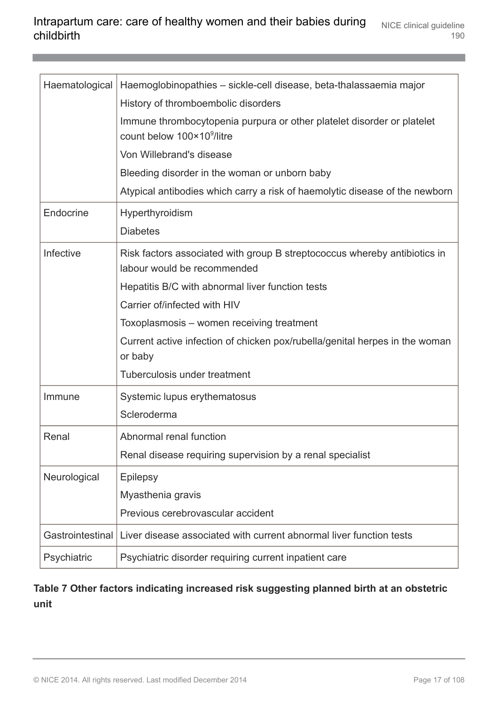| Haematological   | Haemoglobinopathies - sickle-cell disease, beta-thalassaemia major                     |
|------------------|----------------------------------------------------------------------------------------|
|                  | History of thromboembolic disorders                                                    |
|                  | Immune thrombocytopenia purpura or other platelet disorder or platelet                 |
|                  | count below 100×10 <sup>9</sup> /litre                                                 |
|                  | Von Willebrand's disease                                                               |
|                  | Bleeding disorder in the woman or unborn baby                                          |
|                  | Atypical antibodies which carry a risk of haemolytic disease of the newborn            |
| Endocrine        | Hyperthyroidism                                                                        |
|                  | <b>Diabetes</b>                                                                        |
| Infective        | Risk factors associated with group B streptococcus whereby antibiotics in              |
|                  | labour would be recommended                                                            |
|                  | Hepatitis B/C with abnormal liver function tests                                       |
|                  | Carrier of/infected with HIV                                                           |
|                  | Toxoplasmosis – women receiving treatment                                              |
|                  | Current active infection of chicken pox/rubella/genital herpes in the woman<br>or baby |
|                  | Tuberculosis under treatment                                                           |
| Immune           | Systemic lupus erythematosus                                                           |
|                  | Scleroderma                                                                            |
| Renal            | Abnormal renal function                                                                |
|                  | Renal disease requiring supervision by a renal specialist                              |
| Neurological     | <b>Epilepsy</b>                                                                        |
|                  | Myasthenia gravis                                                                      |
|                  | Previous cerebrovascular accident                                                      |
| Gastrointestinal | Liver disease associated with current abnormal liver function tests                    |
| Psychiatric      | Psychiatric disorder requiring current inpatient care                                  |

#### **Table 7 Other factors indicating increased risk suggesting planned birth at an obstetric unit**

 $\mathcal{L}^{\mathcal{L}}$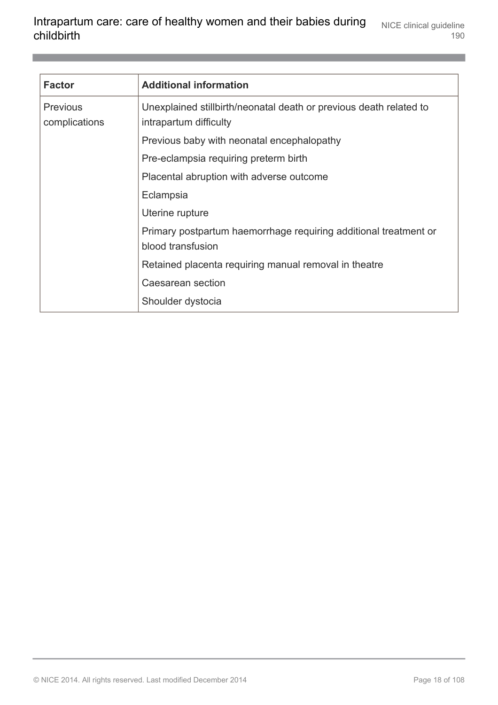| <b>Factor</b>                    | <b>Additional information</b>                                                                |
|----------------------------------|----------------------------------------------------------------------------------------------|
| <b>Previous</b><br>complications | Unexplained stillbirth/neonatal death or previous death related to<br>intrapartum difficulty |
|                                  | Previous baby with neonatal encephalopathy                                                   |
|                                  | Pre-eclampsia requiring preterm birth                                                        |
|                                  | Placental abruption with adverse outcome                                                     |
|                                  | Eclampsia                                                                                    |
|                                  | Uterine rupture                                                                              |
|                                  | Primary postpartum haemorrhage requiring additional treatment or<br>blood transfusion        |
|                                  | Retained placenta requiring manual removal in theatre                                        |
|                                  | Caesarean section                                                                            |
|                                  | Shoulder dystocia                                                                            |

a a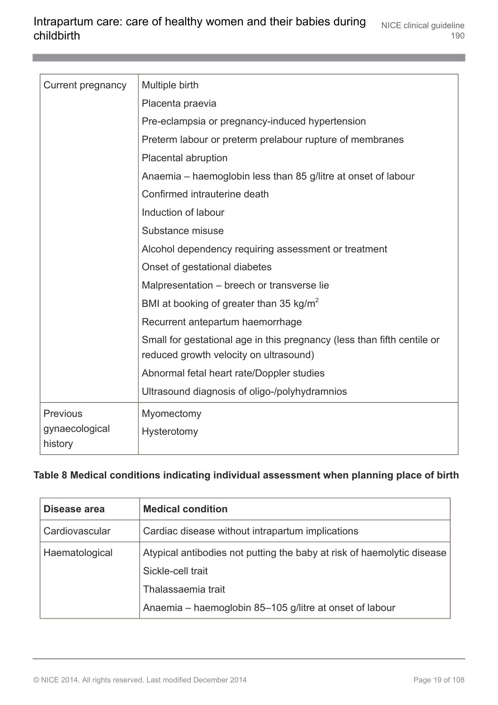| Current pregnancy         | Multiple birth                                                                                                    |
|---------------------------|-------------------------------------------------------------------------------------------------------------------|
|                           | Placenta praevia                                                                                                  |
|                           | Pre-eclampsia or pregnancy-induced hypertension                                                                   |
|                           | Preterm labour or preterm prelabour rupture of membranes                                                          |
|                           | Placental abruption                                                                                               |
|                           | Anaemia – haemoglobin less than 85 g/litre at onset of labour                                                     |
|                           | Confirmed intrauterine death                                                                                      |
|                           | Induction of labour                                                                                               |
|                           | Substance misuse                                                                                                  |
|                           | Alcohol dependency requiring assessment or treatment                                                              |
|                           | Onset of gestational diabetes                                                                                     |
|                           | Malpresentation – breech or transverse lie                                                                        |
|                           | BMI at booking of greater than 35 kg/m <sup>2</sup>                                                               |
|                           | Recurrent antepartum haemorrhage                                                                                  |
|                           | Small for gestational age in this pregnancy (less than fifth centile or<br>reduced growth velocity on ultrasound) |
|                           | Abnormal fetal heart rate/Doppler studies                                                                         |
|                           | Ultrasound diagnosis of oligo-/polyhydramnios                                                                     |
| <b>Previous</b>           | Myomectomy                                                                                                        |
| gynaecological<br>history | Hysterotomy                                                                                                       |

#### **Table 8 Medical conditions indicating individual assessment when planning place of birth**

| Disease area   | <b>Medical condition</b>                                               |
|----------------|------------------------------------------------------------------------|
| Cardiovascular | Cardiac disease without intrapartum implications                       |
| Haematological | Atypical antibodies not putting the baby at risk of haemolytic disease |
|                | Sickle-cell trait                                                      |
|                | Thalassaemia trait                                                     |
|                | Anaemia - haemoglobin 85-105 g/litre at onset of labour                |

 $\mathcal{L}^{\mathcal{L}}$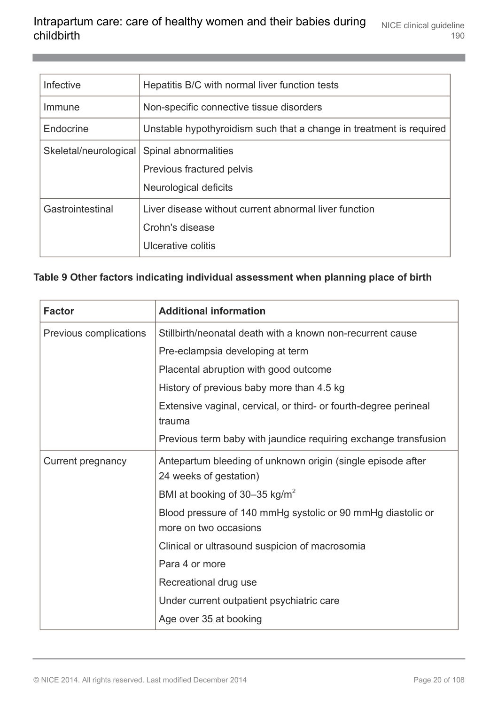| Infective             | Hepatitis B/C with normal liver function tests                      |
|-----------------------|---------------------------------------------------------------------|
| Immune                | Non-specific connective tissue disorders                            |
| Endocrine             | Unstable hypothyroidism such that a change in treatment is required |
| Skeletal/neurological | Spinal abnormalities                                                |
|                       | Previous fractured pelvis                                           |
|                       | Neurological deficits                                               |
| Gastrointestinal      | Liver disease without current abnormal liver function               |
|                       | Crohn's disease                                                     |
|                       | Ulcerative colitis                                                  |

#### **Table 9 Other factors indicating individual assessment when planning place of birth**

| <b>Factor</b>            | <b>Additional information</b>                                                         |
|--------------------------|---------------------------------------------------------------------------------------|
| Previous complications   | Stillbirth/neonatal death with a known non-recurrent cause                            |
|                          | Pre-eclampsia developing at term                                                      |
|                          | Placental abruption with good outcome                                                 |
|                          | History of previous baby more than 4.5 kg                                             |
|                          | Extensive vaginal, cervical, or third- or fourth-degree perineal<br>trauma            |
|                          | Previous term baby with jaundice requiring exchange transfusion                       |
| <b>Current pregnancy</b> | Antepartum bleeding of unknown origin (single episode after<br>24 weeks of gestation) |
|                          | BMI at booking of 30–35 kg/m <sup>2</sup>                                             |
|                          | Blood pressure of 140 mmHg systolic or 90 mmHg diastolic or<br>more on two occasions  |
|                          | Clinical or ultrasound suspicion of macrosomia                                        |
|                          | Para 4 or more                                                                        |
|                          | Recreational drug use                                                                 |
|                          | Under current outpatient psychiatric care                                             |
|                          | Age over 35 at booking                                                                |

 $\sim$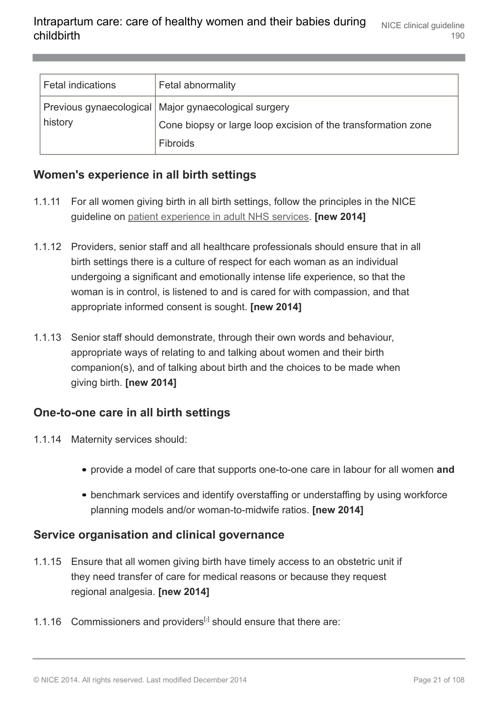| <b>Fetal indications</b> | Fetal abnormality                                                                                                                          |
|--------------------------|--------------------------------------------------------------------------------------------------------------------------------------------|
| history                  | Previous gynaecological   Major gynaecological surgery<br>Cone biopsy or large loop excision of the transformation zone<br><b>Fibroids</b> |

#### **Women's experience in all birth settings**

- 1.1.11 For all women giving birth in all birth settings, follow the principles in the NICE guideline on [patient experience in adult NHS services](http://www.nice.org.uk/guidance/cg138). **[new 2014]**
- 1.1.12 Providers, senior staff and all healthcare professionals should ensure that in all birth settings there is a culture of respect for each woman as an individual undergoing a significant and emotionally intense life experience, so that the woman is in control, is listened to and is cared for with compassion, and that appropriate informed consent is sought. **[new 2014]**
- 1.1.13 Senior staff should demonstrate, through their own words and behaviour, appropriate ways of relating to and talking about women and their birth companion(s), and of talking about birth and the choices to be made when giving birth. **[new 2014]**

#### **One-to-one care in all birth settings**

- 1.1.14 Maternity services should:
	- provide a model of care that supports one-to-one care in labour for all women **and**
	- benchmark services and identify overstaffing or understaffing by using workforce planning models and/or woman-to-midwife ratios. **[new 2014]**

#### **Service organisation and clinical governance**

- 1.1.15 Ensure that all women giving birth have timely access to an obstetric unit if they need transfer of care for medical reasons or because they request regional analgesia. **[new 2014]**
- 1.1.16 Commissioners and providers $[2]$  $[2]$  $[2]$  should ensure that there are: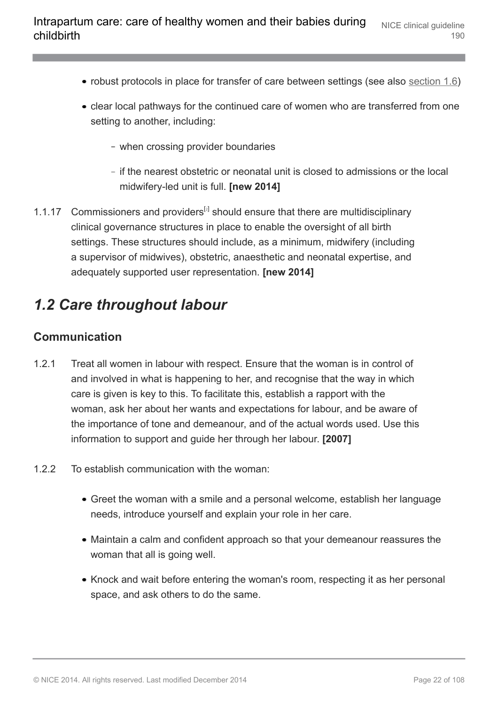- robust protocols in place for transfer of care between settings (see also [section](http://publications.nice.org.uk/intrapartum-care-care-of-healthy-women-and-their-babies-during-childbirth-cg190/recommendations#general-principles-for-transfer-of-care) 1.6)
- clear local pathways for the continued care of women who are transferred from one setting to another, including:
	- when crossing provider boundaries
	- if the nearest obstetric or neonatal unit is closed to admissions or the local midwifery-led unit is full. **[new 2014]**
- 1.1.17 Commissioners and providers $[2]$  $[2]$  $[2]$  should ensure that there are multidisciplinary clinical governance structures in place to enable the oversight of all birth settings. These structures should include, as a minimum, midwifery (including a supervisor of midwives), obstetric, anaesthetic and neonatal expertise, and adequately supported user representation. **[new 2014]**

## <span id="page-21-0"></span>*1.2 Care throughout labour*

#### **Communication**

- 1.2.1 Treat all women in labour with respect. Ensure that the woman is in control of and involved in what is happening to her, and recognise that the way in which care is given is key to this. To facilitate this, establish a rapport with the woman, ask her about her wants and expectations for labour, and be aware of the importance of tone and demeanour, and of the actual words used. Use this information to support and guide her through her labour. **[2007]**
- 1.2.2 To establish communication with the woman:
	- Greet the woman with a smile and a personal welcome, establish her language needs, introduce yourself and explain your role in her care.
	- Maintain a calm and confident approach so that your demeanour reassures the woman that all is going well.
	- Knock and wait before entering the woman's room, respecting it as her personal space, and ask others to do the same.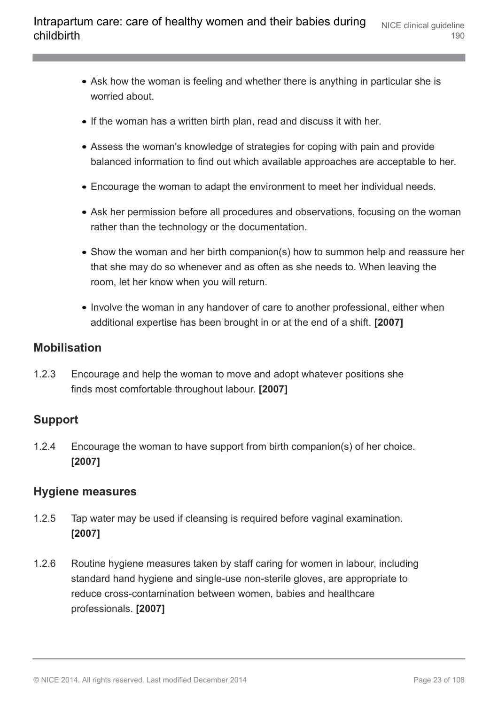- Ask how the woman is feeling and whether there is anything in particular she is worried about.
- If the woman has a written birth plan, read and discuss it with her.
- Assess the woman's knowledge of strategies for coping with pain and provide balanced information to find out which available approaches are acceptable to her.
- Encourage the woman to adapt the environment to meet her individual needs.
- Ask her permission before all procedures and observations, focusing on the woman rather than the technology or the documentation.
- Show the woman and her birth companion(s) how to summon help and reassure her that she may do so whenever and as often as she needs to. When leaving the room, let her know when you will return.
- Involve the woman in any handover of care to another professional, either when additional expertise has been brought in or at the end of a shift. **[2007]**

#### **Mobilisation**

1.2.3 Encourage and help the woman to move and adopt whatever positions she finds most comfortable throughout labour. **[2007]**

#### **Support**

1.2.4 Encourage the woman to have support from birth companion(s) of her choice. **[2007]**

#### **Hygiene measures**

- 1.2.5 Tap water may be used if cleansing is required before vaginal examination. **[2007]**
- 1.2.6 Routine hygiene measures taken by staff caring for women in labour, including standard hand hygiene and single-use non-sterile gloves, are appropriate to reduce cross-contamination between women, babies and healthcare professionals. **[2007]**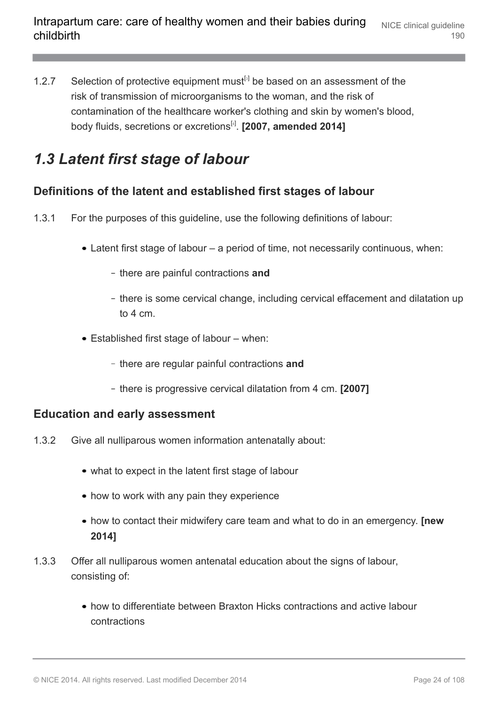1.2.7 Selection of protective equipment must $[3]$  $[3]$  $[3]$  be based on an assessment of the risk of transmission of microorganisms to the woman, and the risk of contamination of the healthcare worker's clothing and skin by women's blood, body fluids, secretions or excretions<sup>[[4](#page-85-2)]</sup>. [2007, amended 2014]

## <span id="page-23-0"></span>*1.3 Latent first stage of labour*

#### **Definitions of the latent and established first stages of labour**

- 1.3.1 For the purposes of this guideline, use the following definitions of labour:
	- Latent first stage of labour a period of time, not necessarily continuous, when:
		- there are painful contractions and
		- there is some cervical change, including cervical effacement and dilatation up to 4 cm.
	- Established first stage of labour when:
		- there are regular painful contractions and
		- there is progressive cervical dilatation from 4 cm. **[2007]**

#### **Education and early assessment**

- 1.3.2 Give all nulliparous women information antenatally about:
	- what to expect in the latent first stage of labour
	- how to work with any pain they experience
	- how to contact their midwifery care team and what to do in an emergency. **[new 2014]**
- 1.3.3 Offer all nulliparous women antenatal education about the signs of labour, consisting of:
	- how to differentiate between Braxton Hicks contractions and active labour contractions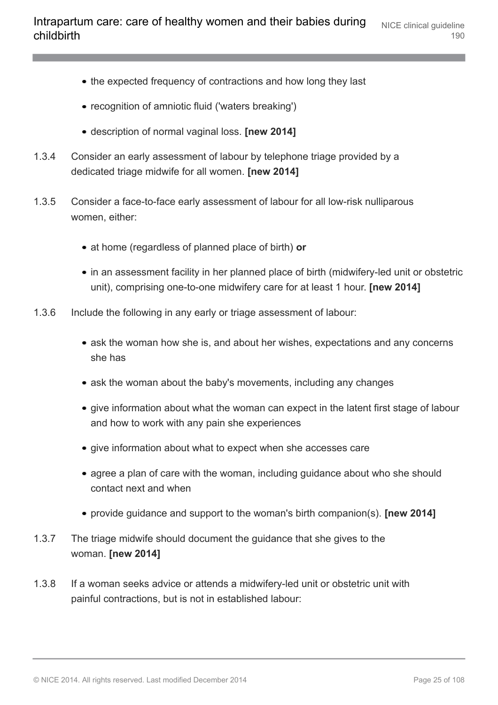- the expected frequency of contractions and how long they last
- recognition of amniotic fluid ('waters breaking')
- description of normal vaginal loss. **[new 2014]**
- 1.3.4 Consider an early assessment of labour by telephone triage provided by a dedicated triage midwife for all women. **[new 2014]**
- 1.3.5 Consider a face-to-face early assessment of labour for all low-risk nulliparous women, either:
	- at home (regardless of planned place of birth) **or**
	- in an assessment facility in her planned place of birth (midwifery-led unit or obstetric unit), comprising one-to-one midwifery care for at least 1 hour. **[new 2014]**
- 1.3.6 Include the following in any early or triage assessment of labour:
	- ask the woman how she is, and about her wishes, expectations and any concerns she has
	- ask the woman about the baby's movements, including any changes
	- give information about what the woman can expect in the latent first stage of labour and how to work with any pain she experiences
	- give information about what to expect when she accesses care
	- agree a plan of care with the woman, including guidance about who she should contact next and when
	- provide guidance and support to the woman's birth companion(s). **[new 2014]**
- 1.3.7 The triage midwife should document the guidance that she gives to the woman. **[new 2014]**
- 1.3.8 If a woman seeks advice or attends a midwifery-led unit or obstetric unit with painful contractions, but is not in established labour: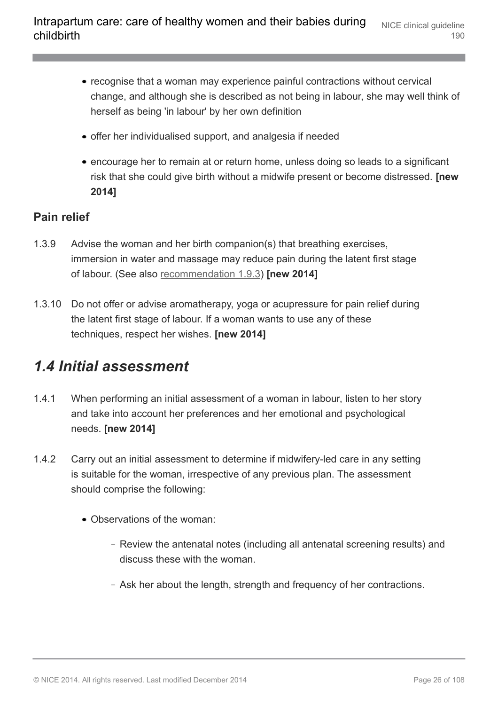- recognise that a woman may experience painful contractions without cervical change, and although she is described as not being in labour, she may well think of herself as being 'in labour' by her own definition
- offer her individualised support, and analgesia if needed
- encourage her to remain at or return home, unless doing so leads to a significant risk that she could give birth without a midwife present or become distressed. **[new 2014]**

#### **Pain relief**

- 1.3.9 Advise the woman and her birth companion(s) that breathing exercises, immersion in water and massage may reduce pain during the latent first stage of labour. (See also [recommendation](http://publications.nice.org.uk/intrapartum-care-care-of-healthy-women-and-their-babies-during-childbirth-cg190/recommendations#timing-of-regional-analgesia) 1.9.3) **[new 2014]**
- 1.3.10 Do not offer or advise aromatherapy, yoga or acupressure for pain relief during the latent first stage of labour. If a woman wants to use any of these techniques, respect her wishes. **[new 2014]**

### <span id="page-25-0"></span>*1.4 Initial assessment*

- 1.4.1 When performing an initial assessment of a woman in labour, listen to her story and take into account her preferences and her emotional and psychological needs. **[new 2014]**
- 1.4.2 Carry out an initial assessment to determine if midwifery-led care in any setting is suitable for the woman, irrespective of any previous plan. The assessment should comprise the following:
	- Observations of the woman:
		- Review the antenatal notes (including all antenatal screening results) and discuss these with the woman.
		- Ask her about the length, strength and frequency of her contractions.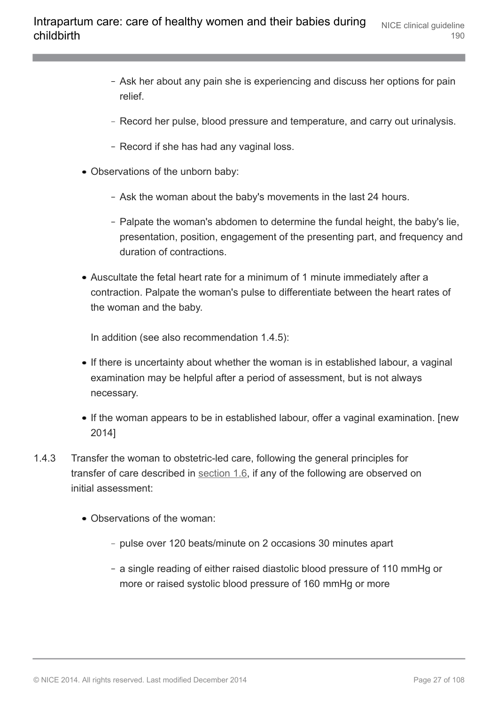- Ask her about any pain she is experiencing and discuss her options for pain relief.
- Record her pulse, blood pressure and temperature, and carry out urinalysis.
- Record if she has had any vaginal loss.
- Observations of the unborn baby:
	- Ask the woman about the baby's movements in the last 24 hours.
	- Palpate the woman's abdomen to determine the fundal height, the baby's lie, presentation, position, engagement of the presenting part, and frequency and duration of contractions.
- Auscultate the fetal heart rate for a minimum of 1 minute immediately after a contraction. Palpate the woman's pulse to differentiate between the heart rates of the woman and the baby.

In addition (see also recommendation 1.4.5):

- If there is uncertainty about whether the woman is in established labour, a vaginal examination may be helpful after a period of assessment, but is not always necessary.
- If the woman appears to be in established labour, offer a vaginal examination. [new 2014]
- 1.4.3 Transfer the woman to obstetric-led care, following the general principles for transfer of care described in [section](http://publications.nice.org.uk/intrapartum-care-care-of-healthy-women-and-their-babies-during-childbirth-cg190/recommendations#general-principles-for-transfer-of-care) 1.6, if any of the following are observed on initial assessment:
	- Observations of the woman:
		- pulse over 120 beats/minute on 2 occasions 30 minutes apart
		- a single reading of either raised diastolic blood pressure of 110 mmHg or more or raised systolic blood pressure of 160 mmHg or more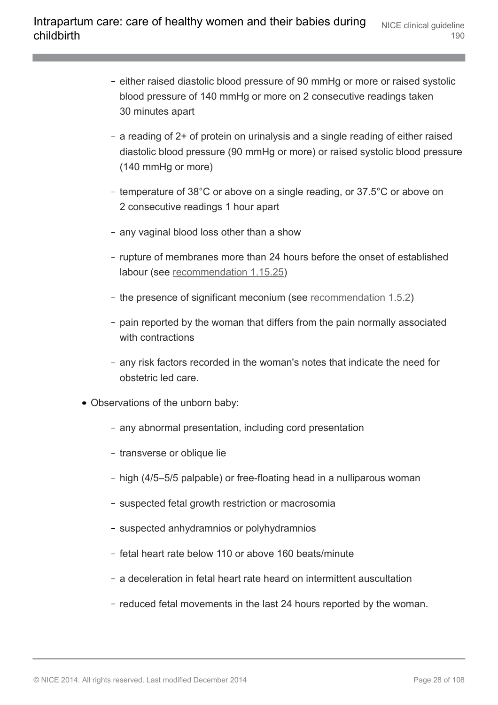- either raised diastolic blood pressure of 90 mmHg or more or raised systolic blood pressure of 140 mmHg or more on 2 consecutive readings taken 30 minutes apart
- a reading of 2+ of protein on urinalysis and a single reading of either raised diastolic blood pressure (90 mmHg or more) or raised systolic blood pressure (140 mmHg or more)
- temperature of 38°C or above on a single reading, or 37.5°C or above on 2 consecutive readings 1 hour apart
- any vaginal blood loss other than a show
- rupture of membranes more than 24 hours before the onset of established labour (see [recommendation](http://publications.nice.org.uk/intrapartum-care-care-of-healthy-women-and-their-babies-during-childbirth-cg190/recommendations#babies-born-to-women-with-prelabour-rupture-of-the-membranes-at-term) 1.15.25)
- the presence of significant meconium (see [recommendation](http://publications.nice.org.uk/intrapartum-care-care-of-healthy-women-and-their-babies-during-childbirth-cg190/recommendations#presence-of-meconium) 1.5.2)
- pain reported by the woman that differs from the pain normally associated with contractions
- any risk factors recorded in the woman's notes that indicate the need for obstetric led care.
- Observations of the unborn baby:
	- any abnormal presentation, including cord presentation
	- transverse or oblique lie
	- high (4/5–5/5 palpable) or free-floating head in a nulliparous woman
	- suspected fetal growth restriction or macrosomia
	- suspected anhydramnios or polyhydramnios
	- fetal heart rate below 110 or above 160 beats/minute
	- a deceleration in fetal heart rate heard on intermittent auscultation
	- reduced fetal movements in the last 24 hours reported by the woman.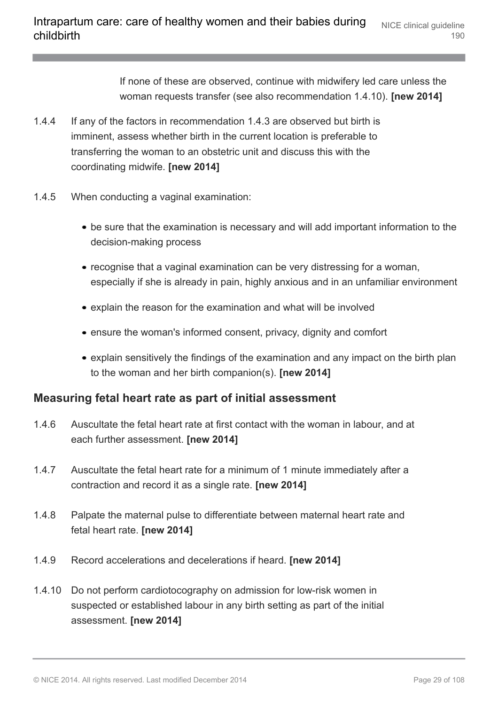If none of these are observed, continue with midwifery led care unless the woman requests transfer (see also recommendation 1.4.10). **[new 2014]**

- 1.4.4 If any of the factors in recommendation 1.4.3 are observed but birth is imminent, assess whether birth in the current location is preferable to transferring the woman to an obstetric unit and discuss this with the coordinating midwife. **[new 2014]**
- 1.4.5 When conducting a vaginal examination:
	- be sure that the examination is necessary and will add important information to the decision-making process
	- recognise that a vaginal examination can be very distressing for a woman, especially if she is already in pain, highly anxious and in an unfamiliar environment
	- explain the reason for the examination and what will be involved
	- ensure the woman's informed consent, privacy, dignity and comfort
	- explain sensitively the findings of the examination and any impact on the birth plan to the woman and her birth companion(s). **[new 2014]**

#### **Measuring fetal heart rate as part of initial assessment**

- 1.4.6 Auscultate the fetal heart rate at first contact with the woman in labour, and at each further assessment. **[new 2014]**
- 1.4.7 Auscultate the fetal heart rate for a minimum of 1 minute immediately after a contraction and record it as a single rate. **[new 2014]**
- 1.4.8 Palpate the maternal pulse to differentiate between maternal heart rate and fetal heart rate. **[new 2014]**
- 1.4.9 Record accelerations and decelerations if heard. **[new 2014]**
- 1.4.10 Do not perform cardiotocography on admission for low-risk women in suspected or established labour in any birth setting as part of the initial assessment. **[new 2014]**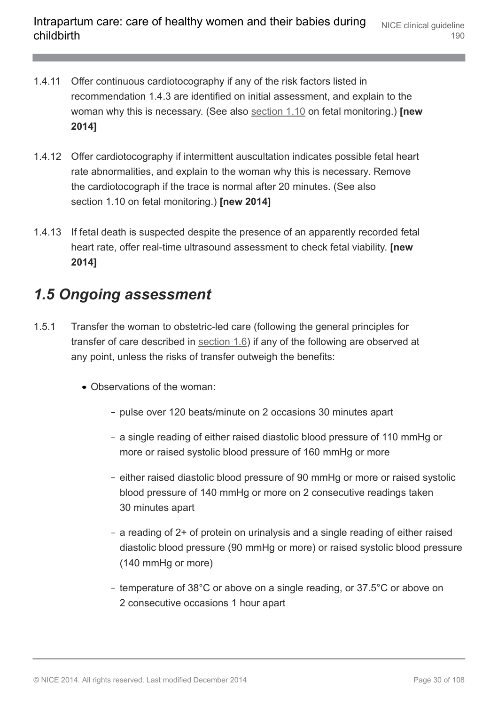- 1.4.11 Offer continuous cardiotocography if any of the risk factors listed in recommendation 1.4.3 are identified on initial assessment, and explain to the woman why this is necessary. (See also [section](http://publications.nice.org.uk/intrapartum-care-care-of-healthy-women-and-their-babies-during-childbirth-cg190/recommendations#monitoring-during-labour) 1.10 on fetal monitoring.) **[new 2014]**
- 1.4.12 Offer cardiotocography if intermittent auscultation indicates possible fetal heart rate abnormalities, and explain to the woman why this is necessary. Remove the cardiotocograph if the trace is normal after 20 minutes. (See also section 1.10 on fetal monitoring.) **[new 2014]**
- 1.4.13 If fetal death is suspected despite the presence of an apparently recorded fetal heart rate, offer real-time ultrasound assessment to check fetal viability. **[new 2014]**

## <span id="page-29-0"></span>*1.5 Ongoing assessment*

- 1.5.1 Transfer the woman to obstetric-led care (following the general principles for transfer of care described in [section](http://publications.nice.org.uk/intrapartum-care-care-of-healthy-women-and-their-babies-during-childbirth-cg190/recommendations#general-principles-for-transfer-of-care) 1.6) if any of the following are observed at any point, unless the risks of transfer outweigh the benefits:
	- Observations of the woman:
		- pulse over 120 beats/minute on 2 occasions 30 minutes apart
		- a single reading of either raised diastolic blood pressure of 110 mmHg or more or raised systolic blood pressure of 160 mmHg or more
		- either raised diastolic blood pressure of 90 mmHg or more or raised systolic blood pressure of 140 mmHg or more on 2 consecutive readings taken 30 minutes apart
		- a reading of 2+ of protein on urinalysis and a single reading of either raised diastolic blood pressure (90 mmHg or more) or raised systolic blood pressure (140 mmHg or more)
		- temperature of 38 $^{\circ}$ C or above on a single reading, or 37.5 $^{\circ}$ C or above on 2 consecutive occasions 1 hour apart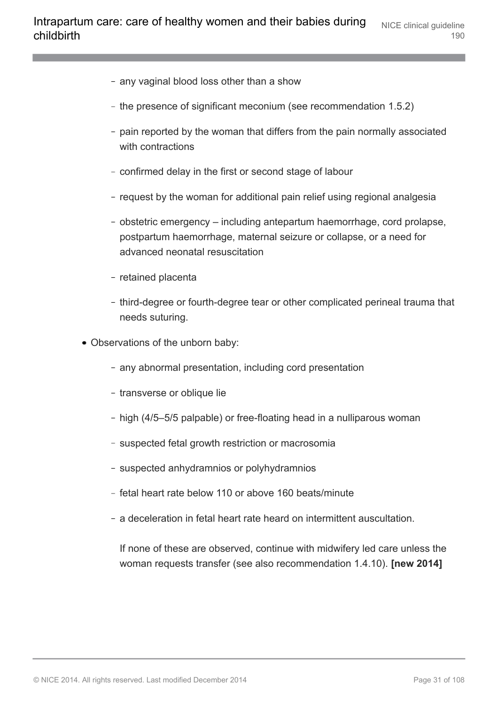- any vaginal blood loss other than a show
- the presence of significant meconium (see recommendation 1.5.2)
- pain reported by the woman that differs from the pain normally associated with contractions
- confirmed delay in the first or second stage of labour
- request by the woman for additional pain relief using regional analgesia
- obstetric emergency including antepartum haemorrhage, cord prolapse, postpartum haemorrhage, maternal seizure or collapse, or a need for advanced neonatal resuscitation
- retained placenta
- third-degree or fourth-degree tear or other complicated perineal trauma that needs suturing.
- Observations of the unborn baby:
	- any abnormal presentation, including cord presentation
	- transverse or oblique lie
	- high (4/5–5/5 palpable) or free-floating head in a nulliparous woman
	- suspected fetal growth restriction or macrosomia
	- suspected anhydramnios or polyhydramnios
	- fetal heart rate below 110 or above 160 beats/minute
	- a deceleration in fetal heart rate heard on intermittent auscultation.

If none of these are observed, continue with midwifery led care unless the woman requests transfer (see also recommendation 1.4.10). **[new 2014]**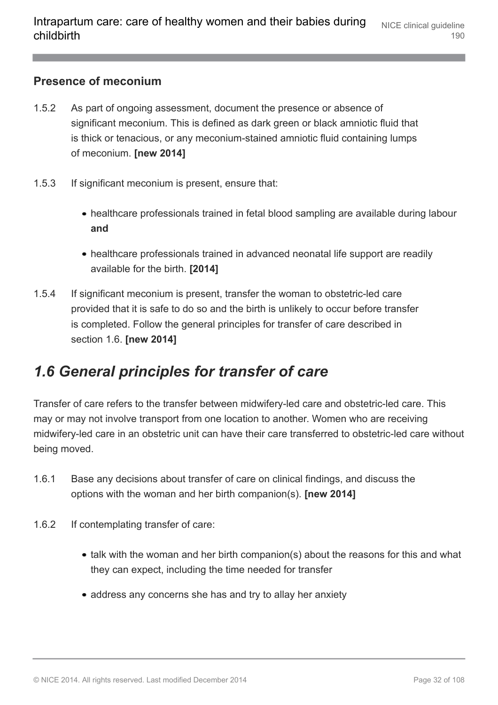#### **Presence of meconium**

- 1.5.2 As part of ongoing assessment, document the presence or absence of significant meconium. This is defined as dark green or black amniotic fluid that is thick or tenacious, or any meconium-stained amniotic fluid containing lumps of meconium. **[new 2014]**
- 1.5.3 If significant meconium is present, ensure that:
	- healthcare professionals trained in fetal blood sampling are available during labour **and**
	- healthcare professionals trained in advanced neonatal life support are readily available for the birth. **[2014]**
- 1.5.4 If significant meconium is present, transfer the woman to obstetric-led care provided that it is safe to do so and the birth is unlikely to occur before transfer is completed. Follow the general principles for transfer of care described in section 1.6. **[new 2014]**

## <span id="page-31-0"></span>*1.6 General principles for transfer of care*

Transfer of care refers to the transfer between midwifery-led care and obstetric-led care. This may or may not involve transport from one location to another. Women who are receiving midwifery-led care in an obstetric unit can have their care transferred to obstetric-led care without being moved.

- 1.6.1 Base any decisions about transfer of care on clinical findings, and discuss the options with the woman and her birth companion(s). **[new 2014]**
- 1.6.2 If contemplating transfer of care:
	- talk with the woman and her birth companion(s) about the reasons for this and what they can expect, including the time needed for transfer
	- address any concerns she has and try to allay her anxiety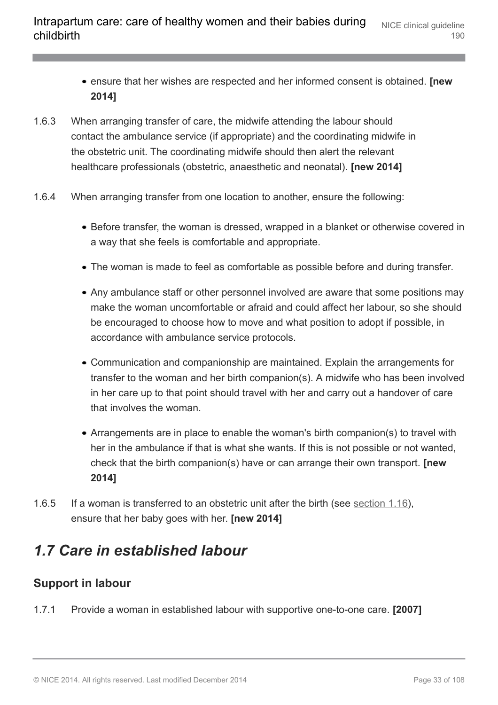- ensure that her wishes are respected and her informed consent is obtained. **[new 2014]**
- 1.6.3 When arranging transfer of care, the midwife attending the labour should contact the ambulance service (if appropriate) and the coordinating midwife in the obstetric unit. The coordinating midwife should then alert the relevant healthcare professionals (obstetric, anaesthetic and neonatal). **[new 2014]**
- 1.6.4 When arranging transfer from one location to another, ensure the following:
	- Before transfer, the woman is dressed, wrapped in a blanket or otherwise covered in a way that she feels is comfortable and appropriate.
	- The woman is made to feel as comfortable as possible before and during transfer.
	- Any ambulance staff or other personnel involved are aware that some positions may make the woman uncomfortable or afraid and could affect her labour, so she should be encouraged to choose how to move and what position to adopt if possible, in accordance with ambulance service protocols.
	- Communication and companionship are maintained. Explain the arrangements for transfer to the woman and her birth companion(s). A midwife who has been involved in her care up to that point should travel with her and carry out a handover of care that involves the woman.
	- Arrangements are in place to enable the woman's birth companion(s) to travel with her in the ambulance if that is what she wants. If this is not possible or not wanted, check that the birth companion(s) have or can arrange their own transport. **[new 2014]**
- 1.6.5 If a woman is transferred to an obstetric unit after the birth (see [section](http://publications.nice.org.uk/intrapartum-care-care-of-healthy-women-and-their-babies-during-childbirth-cg190/recommendations#care-of-the-woman-after-birth) 1.16), ensure that her baby goes with her. **[new 2014]**

## <span id="page-32-0"></span>*1.7 Care in established labour*

#### **Support in labour**

1.7.1 Provide a woman in established labour with supportive one-to-one care. **[2007]**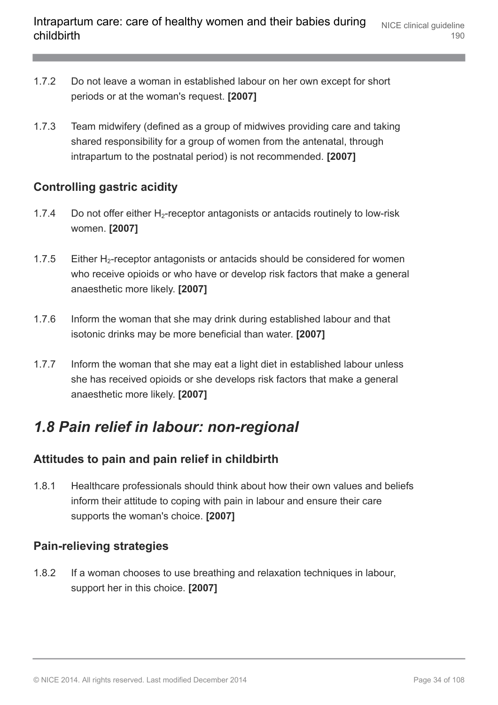- 1.7.2 Do not leave a woman in established labour on her own except for short periods or at the woman's request. **[2007]**
- 1.7.3 Team midwifery (defined as a group of midwives providing care and taking shared responsibility for a group of women from the antenatal, through intrapartum to the postnatal period) is not recommended. **[2007]**

#### **Controlling gastric acidity**

- 1.7.4 Do not offer either  $H_2$ -receptor antagonists or antacids routinely to low-risk women. **[2007]**
- 1.7.5 Either  $H_2$ -receptor antagonists or antacids should be considered for women who receive opioids or who have or develop risk factors that make a general anaesthetic more likely. **[2007]**
- 1.7.6 Inform the woman that she may drink during established labour and that isotonic drinks may be more beneficial than water. **[2007]**
- 1.7.7 Inform the woman that she may eat a light diet in established labour unless she has received opioids or she develops risk factors that make a general anaesthetic more likely. **[2007]**

## <span id="page-33-0"></span>*1.8 Pain relief in labour: non-regional*

#### **Attitudes to pain and pain relief in childbirth**

1.8.1 Healthcare professionals should think about how their own values and beliefs inform their attitude to coping with pain in labour and ensure their care supports the woman's choice. **[2007]**

#### **Pain-relieving strategies**

1.8.2 If a woman chooses to use breathing and relaxation techniques in labour, support her in this choice. **[2007]**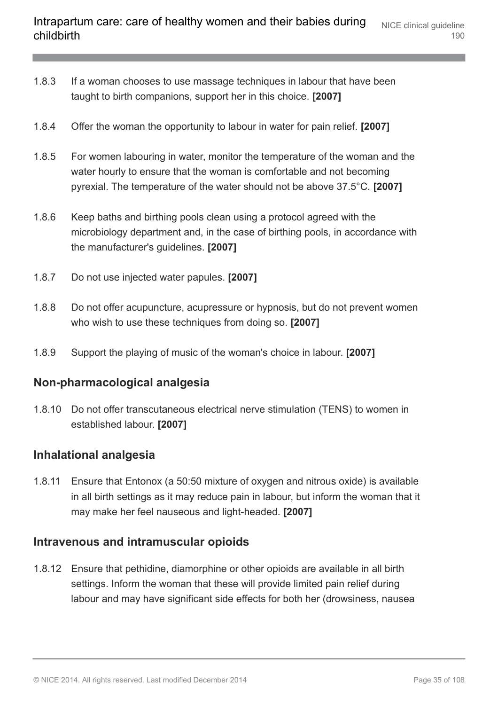- 1.8.3 If a woman chooses to use massage techniques in labour that have been taught to birth companions, support her in this choice. **[2007]**
- 1.8.4 Offer the woman the opportunity to labour in water for pain relief. **[2007]**
- 1.8.5 For women labouring in water, monitor the temperature of the woman and the water hourly to ensure that the woman is comfortable and not becoming pyrexial. The temperature of the water should not be above 37.5°C. **[2007]**
- 1.8.6 Keep baths and birthing pools clean using a protocol agreed with the microbiology department and, in the case of birthing pools, in accordance with the manufacturer's guidelines. **[2007]**
- 1.8.7 Do not use injected water papules. **[2007]**
- 1.8.8 Do not offer acupuncture, acupressure or hypnosis, but do not prevent women who wish to use these techniques from doing so. **[2007]**
- 1.8.9 Support the playing of music of the woman's choice in labour. **[2007]**

#### **Non-pharmacological analgesia**

1.8.10 Do not offer transcutaneous electrical nerve stimulation (TENS) to women in established labour. **[2007]**

#### **Inhalational analgesia**

1.8.11 Ensure that Entonox (a 50:50 mixture of oxygen and nitrous oxide) is available in all birth settings as it may reduce pain in labour, but inform the woman that it may make her feel nauseous and light-headed. **[2007]**

#### **Intravenous and intramuscular opioids**

1.8.12 Ensure that pethidine, diamorphine or other opioids are available in all birth settings. Inform the woman that these will provide limited pain relief during labour and may have significant side effects for both her (drowsiness, nausea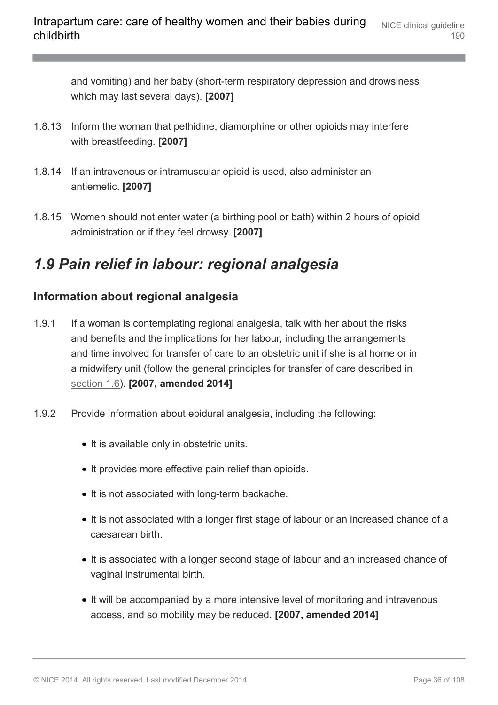and vomiting) and her baby (short-term respiratory depression and drowsiness which may last several days). **[2007]**

- 1.8.13 Inform the woman that pethidine, diamorphine or other opioids may interfere with breastfeeding. **[2007]**
- 1.8.14 If an intravenous or intramuscular opioid is used, also administer an antiemetic. **[2007]**
- 1.8.15 Women should not enter water (a birthing pool or bath) within 2 hours of opioid administration or if they feel drowsy. **[2007]**

## <span id="page-35-0"></span>*1.9 Pain relief in labour: regional analgesia*

#### **Information about regional analgesia**

- 1.9.1 If a woman is contemplating regional analgesia, talk with her about the risks and benefits and the implications for her labour, including the arrangements and time involved for transfer of care to an obstetric unit if she is at home or in a midwifery unit (follow the general principles for transfer of care described in [section](http://publications.nice.org.uk/intrapartum-care-care-of-healthy-women-and-their-babies-during-childbirth-cg190/recommendations#general-principles-for-transfer-of-care) 1.6). **[2007, amended 2014]**
- 1.9.2 Provide information about epidural analgesia, including the following:
	- It is available only in obstetric units.
	- It provides more effective pain relief than opioids.
	- It is not associated with long-term backache.
	- It is not associated with a longer first stage of labour or an increased chance of a caesarean birth.
	- It is associated with a longer second stage of labour and an increased chance of vaginal instrumental birth.
	- It will be accompanied by a more intensive level of monitoring and intravenous access, and so mobility may be reduced. **[2007, amended 2014]**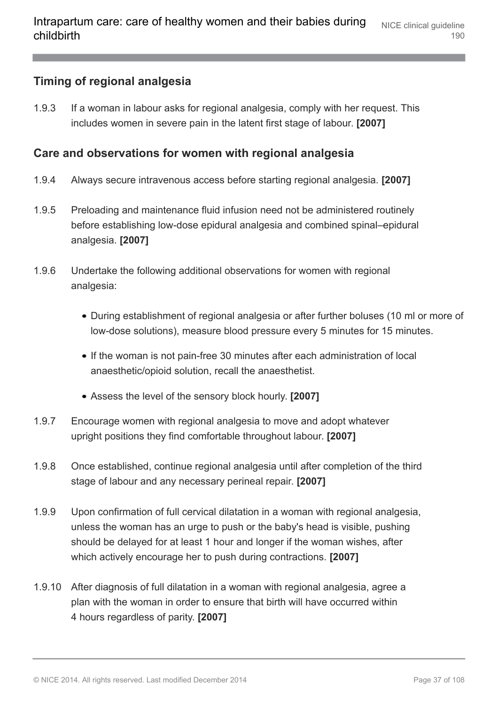### **Timing of regional analgesia**

1.9.3 If a woman in labour asks for regional analgesia, comply with her request. This includes women in severe pain in the latent first stage of labour. **[2007]**

### **Care and observations for women with regional analgesia**

- 1.9.4 Always secure intravenous access before starting regional analgesia. **[2007]**
- 1.9.5 Preloading and maintenance fluid infusion need not be administered routinely before establishing low-dose epidural analgesia and combined spinal–epidural analgesia. **[2007]**
- 1.9.6 Undertake the following additional observations for women with regional analgesia:
	- During establishment of regional analgesia or after further boluses (10 ml or more of low-dose solutions), measure blood pressure every 5 minutes for 15 minutes.
	- If the woman is not pain-free 30 minutes after each administration of local anaesthetic/opioid solution, recall the anaesthetist.
	- Assess the level of the sensory block hourly. **[2007]**
- 1.9.7 Encourage women with regional analgesia to move and adopt whatever upright positions they find comfortable throughout labour. **[2007]**
- 1.9.8 Once established, continue regional analgesia until after completion of the third stage of labour and any necessary perineal repair. **[2007]**
- 1.9.9 Upon confirmation of full cervical dilatation in a woman with regional analgesia, unless the woman has an urge to push or the baby's head is visible, pushing should be delayed for at least 1 hour and longer if the woman wishes, after which actively encourage her to push during contractions. **[2007]**
- 1.9.10 After diagnosis of full dilatation in a woman with regional analgesia, agree a plan with the woman in order to ensure that birth will have occurred within 4 hours regardless of parity. **[2007]**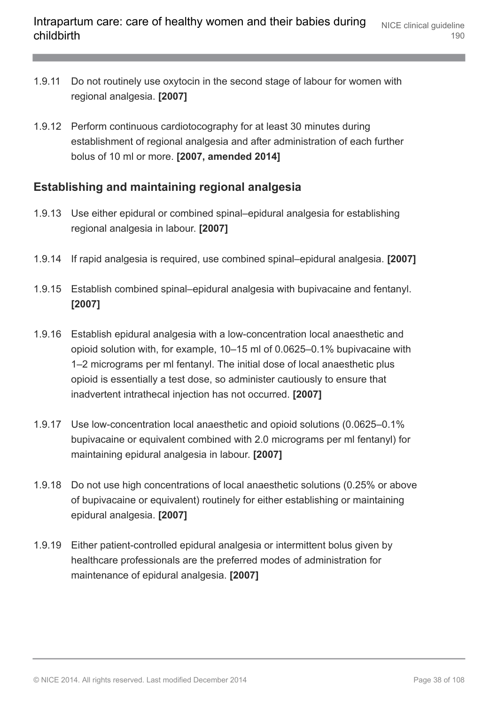- 1.9.11 Do not routinely use oxytocin in the second stage of labour for women with regional analgesia. **[2007]**
- 1.9.12 Perform continuous cardiotocography for at least 30 minutes during establishment of regional analgesia and after administration of each further bolus of 10 ml or more. **[2007, amended 2014]**

# **Establishing and maintaining regional analgesia**

- 1.9.13 Use either epidural or combined spinal–epidural analgesia for establishing regional analgesia in labour. **[2007]**
- 1.9.14 If rapid analgesia is required, use combined spinal–epidural analgesia. **[2007]**
- 1.9.15 Establish combined spinal–epidural analgesia with bupivacaine and fentanyl. **[2007]**
- 1.9.16 Establish epidural analgesia with a low-concentration local anaesthetic and opioid solution with, for example, 10–15 ml of 0.0625–0.1% bupivacaine with 1–2 micrograms per ml fentanyl. The initial dose of local anaesthetic plus opioid is essentially a test dose, so administer cautiously to ensure that inadvertent intrathecal injection has not occurred. **[2007]**
- 1.9.17 Use low-concentration local anaesthetic and opioid solutions (0.0625–0.1% bupivacaine or equivalent combined with 2.0 micrograms per ml fentanyl) for maintaining epidural analgesia in labour. **[2007]**
- 1.9.18 Do not use high concentrations of local anaesthetic solutions (0.25% or above of bupivacaine or equivalent) routinely for either establishing or maintaining epidural analgesia. **[2007]**
- 1.9.19 Either patient-controlled epidural analgesia or intermittent bolus given by healthcare professionals are the preferred modes of administration for maintenance of epidural analgesia. **[2007]**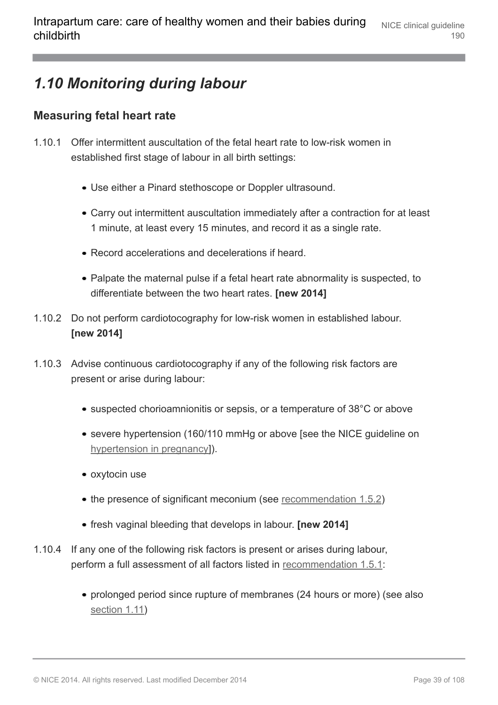# *1.10 Monitoring during labour*

# **Measuring fetal heart rate**

- 1.10.1 Offer intermittent auscultation of the fetal heart rate to low-risk women in established first stage of labour in all birth settings:
	- Use either a Pinard stethoscope or Doppler ultrasound.
	- Carry out intermittent auscultation immediately after a contraction for at least 1 minute, at least every 15 minutes, and record it as a single rate.
	- Record accelerations and decelerations if heard.
	- Palpate the maternal pulse if a fetal heart rate abnormality is suspected, to differentiate between the two heart rates. **[new 2014]**
- 1.10.2 Do not perform cardiotocography for low-risk women in established labour. **[new 2014]**
- 1.10.3 Advise continuous cardiotocography if any of the following risk factors are present or arise during labour:
	- suspected chorioamnionitis or sepsis, or a temperature of 38°C or above
	- severe hypertension (160/110 mmHg or above [see the NICE guideline on [hypertension in pregnancy](http://www.nice.org.uk/guidance/cg107)]).
	- oxytocin use
	- the presence of significant meconium (see [recommendation](http://publications.nice.org.uk/intrapartum-care-care-of-healthy-women-and-their-babies-during-childbirth-cg190/recommendations#presence-of-meconium) 1.5.2)
	- fresh vaginal bleeding that develops in labour. **[new 2014]**
- 1.10.4 If any one of the following risk factors is present or arises during labour, perform a full assessment of all factors listed in [recommendation](http://publications.nice.org.uk/intrapartum-care-care-of-healthy-women-and-their-babies-during-childbirth-cg190/recommendations#ongoing-assessment) 1.5.1:
	- prolonged period since rupture of membranes (24 hours or more) (see also [section](http://publications.nice.org.uk/intrapartum-care-care-of-healthy-women-and-their-babies-during-childbirth-cg190/recommendations#prelabour-rupture-of-membranes-at-term) 1.11)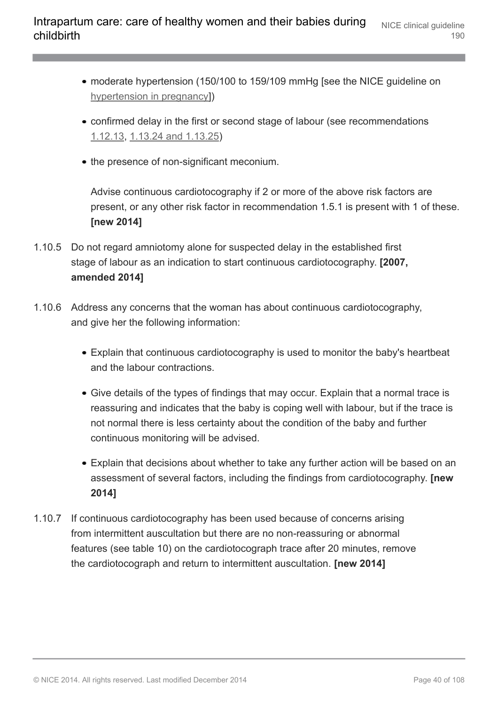- moderate hypertension (150/100 to 159/109 mmHg [see the NICE guideline on [hypertension in pregnancy](http://www.nice.org.uk/guidance/cg107)])
- confirmed delay in the first or second stage of labour (see recommendations [1.12.13](http://publications.nice.org.uk/intrapartum-care-care-of-healthy-women-and-their-babies-during-childbirth-cg190/recommendations#delay-in-the-first-stage), [1.13.24 and 1.13.25\)](http://publications.nice.org.uk/intrapartum-care-care-of-healthy-women-and-their-babies-during-childbirth-cg190/recommendations#delay-in-the-second-stage)
- the presence of non-significant meconium.

Advise continuous cardiotocography if 2 or more of the above risk factors are present, or any other risk factor in recommendation 1.5.1 is present with 1 of these. **[new 2014]**

- 1.10.5 Do not regard amniotomy alone for suspected delay in the established first stage of labour as an indication to start continuous cardiotocography. **[2007, amended 2014]**
- 1.10.6 Address any concerns that the woman has about continuous cardiotocography, and give her the following information:
	- Explain that continuous cardiotocography is used to monitor the baby's heartbeat and the labour contractions.
	- Give details of the types of findings that may occur. Explain that a normal trace is reassuring and indicates that the baby is coping well with labour, but if the trace is not normal there is less certainty about the condition of the baby and further continuous monitoring will be advised.
	- Explain that decisions about whether to take any further action will be based on an assessment of several factors, including the findings from cardiotocography. **[new 2014]**
- 1.10.7 If continuous cardiotocography has been used because of concerns arising from intermittent auscultation but there are no non-reassuring or abnormal features (see table 10) on the cardiotocograph trace after 20 minutes, remove the cardiotocograph and return to intermittent auscultation. **[new 2014]**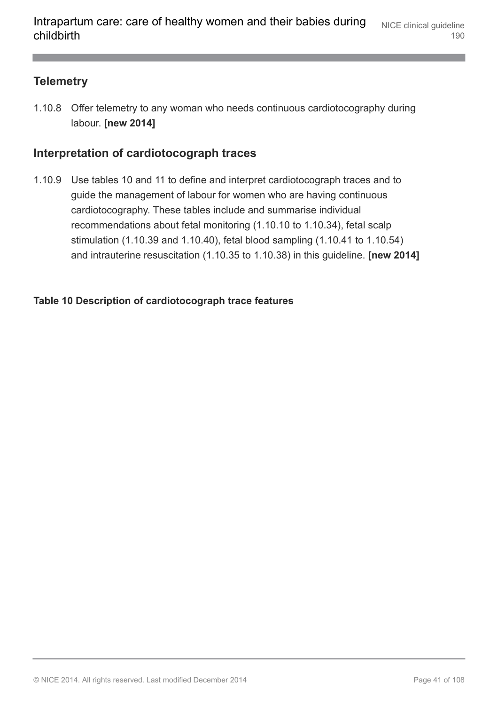# **Telemetry**

1.10.8 Offer telemetry to any woman who needs continuous cardiotocography during labour. **[new 2014]**

### **Interpretation of cardiotocograph traces**

1.10.9 Use tables 10 and 11 to define and interpret cardiotocograph traces and to guide the management of labour for women who are having continuous cardiotocography. These tables include and summarise individual recommendations about fetal monitoring (1.10.10 to 1.10.34), fetal scalp stimulation (1.10.39 and 1.10.40), fetal blood sampling (1.10.41 to 1.10.54) and intrauterine resuscitation (1.10.35 to 1.10.38) in this guideline. **[new 2014]**

#### **Table 10 Description of cardiotocograph trace features**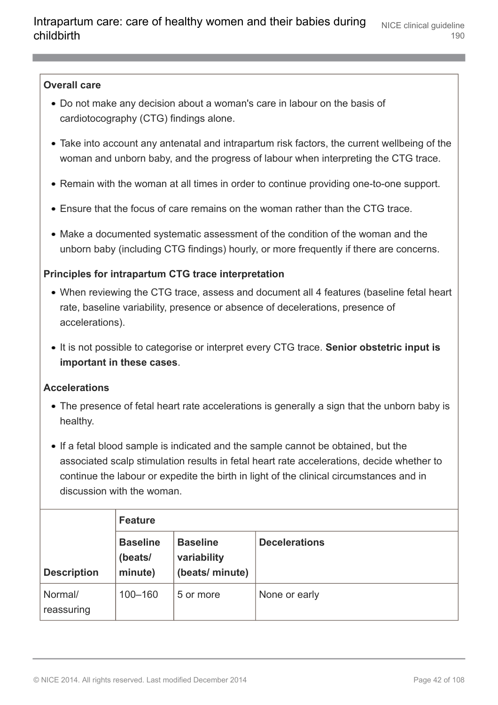#### **Overall care**

- Do not make any decision about a woman's care in labour on the basis of cardiotocography (CTG) findings alone.
- Take into account any antenatal and intrapartum risk factors, the current wellbeing of the woman and unborn baby, and the progress of labour when interpreting the CTG trace.
- Remain with the woman at all times in order to continue providing one-to-one support.
- Ensure that the focus of care remains on the woman rather than the CTG trace.
- Make a documented systematic assessment of the condition of the woman and the unborn baby (including CTG findings) hourly, or more frequently if there are concerns.

### **Principles for intrapartum CTG trace interpretation**

- When reviewing the CTG trace, assess and document all 4 features (baseline fetal heart rate, baseline variability, presence or absence of decelerations, presence of accelerations).
- It is not possible to categorise or interpret every CTG trace. **Senior obstetric input is important in these cases**.

#### **Accelerations**

- The presence of fetal heart rate accelerations is generally a sign that the unborn baby is healthy.
- If a fetal blood sample is indicated and the sample cannot be obtained, but the associated scalp stimulation results in fetal heart rate accelerations, decide whether to continue the labour or expedite the birth in light of the clinical circumstances and in discussion with the woman.

|                       | <b>Feature</b>                        |                                                   |                      |  |
|-----------------------|---------------------------------------|---------------------------------------------------|----------------------|--|
| <b>Description</b>    | <b>Baseline</b><br>(beats/<br>minute) | <b>Baseline</b><br>variability<br>(beats/ minute) | <b>Decelerations</b> |  |
| Normal/<br>reassuring | $100 - 160$                           | 5 or more                                         | None or early        |  |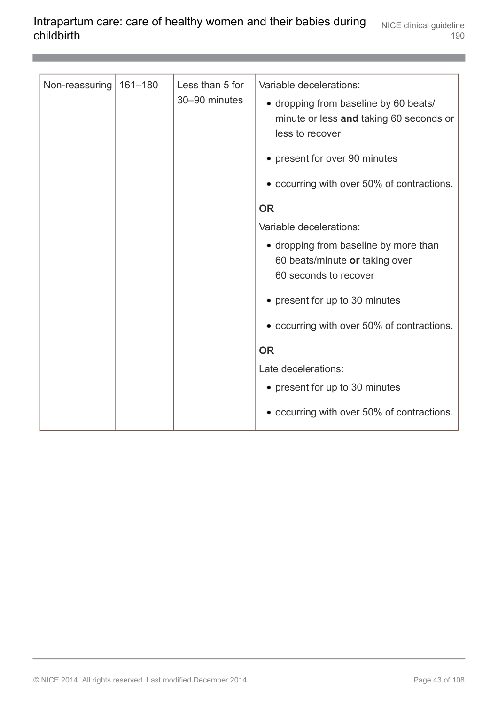| Non-reassuring | $161 - 180$<br>Less than 5 for | Variable decelerations: |                                            |
|----------------|--------------------------------|-------------------------|--------------------------------------------|
|                |                                | 30-90 minutes           | • dropping from baseline by 60 beats/      |
|                |                                |                         | minute or less and taking 60 seconds or    |
|                |                                |                         | less to recover                            |
|                |                                |                         |                                            |
|                |                                |                         | • present for over 90 minutes              |
|                |                                |                         | • occurring with over 50% of contractions. |
|                |                                |                         | <b>OR</b>                                  |
|                |                                |                         | Variable decelerations:                    |
|                |                                |                         | • dropping from baseline by more than      |
|                |                                |                         | 60 beats/minute or taking over             |
|                |                                |                         | 60 seconds to recover                      |
|                |                                |                         |                                            |
|                |                                |                         | • present for up to 30 minutes             |
|                |                                |                         |                                            |
|                |                                |                         | • occurring with over 50% of contractions. |
|                |                                |                         | <b>OR</b>                                  |
|                |                                |                         | Late decelerations:                        |
|                |                                |                         | • present for up to 30 minutes             |
|                |                                |                         |                                            |
|                |                                |                         | • occurring with over 50% of contractions. |
|                |                                |                         |                                            |

a a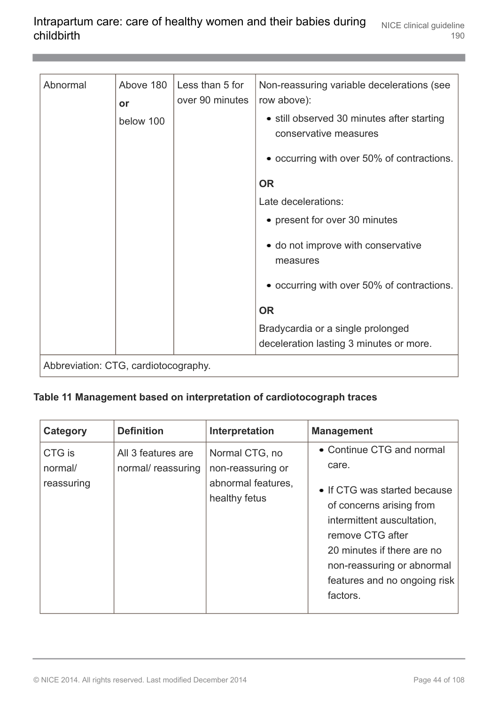| Abnormal                             | Above 180<br>or | Less than 5 for<br>over 90 minutes | Non-reassuring variable decelerations (see<br>row above):           |
|--------------------------------------|-----------------|------------------------------------|---------------------------------------------------------------------|
|                                      | below 100       |                                    | • still observed 30 minutes after starting<br>conservative measures |
|                                      |                 |                                    | • occurring with over 50% of contractions.                          |
|                                      |                 |                                    | <b>OR</b>                                                           |
|                                      |                 |                                    | Late decelerations:                                                 |
|                                      |                 |                                    | • present for over 30 minutes                                       |
|                                      |                 |                                    | • do not improve with conservative<br>measures                      |
|                                      |                 |                                    | • occurring with over 50% of contractions.                          |
|                                      |                 |                                    | <b>OR</b>                                                           |
|                                      |                 |                                    | Bradycardia or a single prolonged                                   |
|                                      |                 |                                    | deceleration lasting 3 minutes or more.                             |
| Abbreviation: CTG, cardiotocography. |                 |                                    |                                                                     |

# **Table 11 Management based on interpretation of cardiotocograph traces**

| Category                        | <b>Definition</b>                        | Interpretation                                                             | <b>Management</b>                                                                                                                                                                                                                                        |
|---------------------------------|------------------------------------------|----------------------------------------------------------------------------|----------------------------------------------------------------------------------------------------------------------------------------------------------------------------------------------------------------------------------------------------------|
| CTG is<br>normal/<br>reassuring | All 3 features are<br>normal/ reassuring | Normal CTG, no<br>non-reassuring or<br>abnormal features,<br>healthy fetus | • Continue CTG and normal<br>care.<br>• If CTG was started because<br>of concerns arising from<br>intermittent auscultation,<br>remove CTG after<br>20 minutes if there are no<br>non-reassuring or abnormal<br>features and no ongoing risk<br>factors. |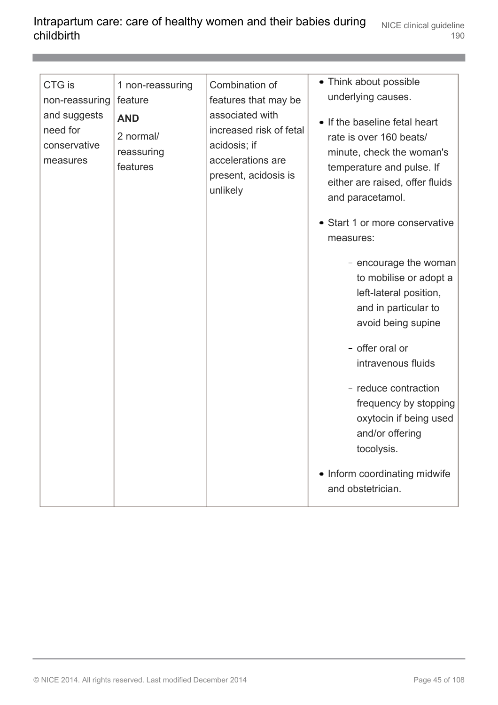| CTG is<br>non-reassuring<br>and suggests<br>need for<br>conservative<br>measures | 1 non-reassuring<br>feature<br><b>AND</b><br>2 normal/<br>reassuring<br>features | Combination of<br>features that may be<br>associated with<br>increased risk of fetal<br>acidosis; if<br>accelerations are<br>present, acidosis is<br>unlikely | • Think about possible<br>underlying causes.<br>• If the baseline fetal heart<br>rate is over 160 beats/<br>minute, check the woman's<br>temperature and pulse. If<br>either are raised, offer fluids<br>and paracetamol.<br>• Start 1 or more conservative<br>measures:<br>- encourage the woman<br>to mobilise or adopt a<br>left-lateral position,<br>and in particular to<br>avoid being supine<br>- offer oral or<br>intravenous fluids<br>- reduce contraction<br>frequency by stopping<br>oxytocin if being used<br>and/or offering<br>tocolysis.<br>• Inform coordinating midwife<br>and obstetrician. |
|----------------------------------------------------------------------------------|----------------------------------------------------------------------------------|---------------------------------------------------------------------------------------------------------------------------------------------------------------|----------------------------------------------------------------------------------------------------------------------------------------------------------------------------------------------------------------------------------------------------------------------------------------------------------------------------------------------------------------------------------------------------------------------------------------------------------------------------------------------------------------------------------------------------------------------------------------------------------------|
|----------------------------------------------------------------------------------|----------------------------------------------------------------------------------|---------------------------------------------------------------------------------------------------------------------------------------------------------------|----------------------------------------------------------------------------------------------------------------------------------------------------------------------------------------------------------------------------------------------------------------------------------------------------------------------------------------------------------------------------------------------------------------------------------------------------------------------------------------------------------------------------------------------------------------------------------------------------------------|

190

a a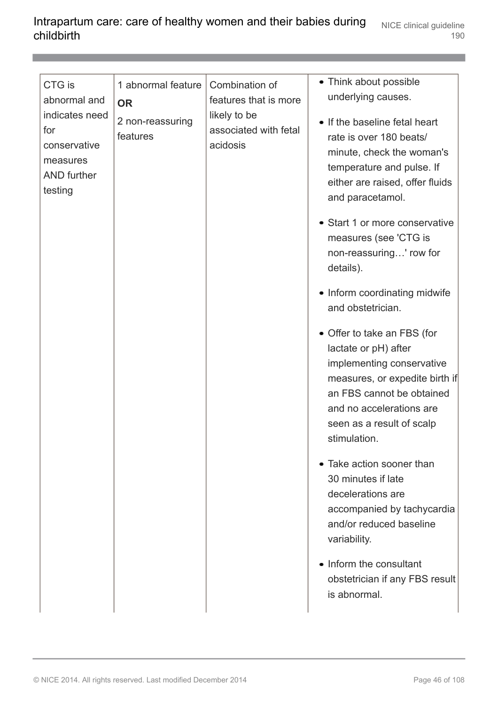#### Intrapartum care: care of healthy women and their babies during childbirth NICE clinical guideline 190

| CTG is<br>abnormal and<br>indicates need<br>for<br>conservative<br>measures<br><b>AND</b> further<br>testing | 1 abnormal feature<br><b>OR</b><br>2 non-reassuring<br>features | Combination of<br>features that is more<br>likely to be<br>associated with fetal<br>acidosis | • Think about possible<br>underlying causes.<br>• If the baseline fetal heart<br>rate is over 180 beats/<br>minute, check the woman's<br>temperature and pulse. If<br>either are raised, offer fluids<br>and paracetamol.<br>• Start 1 or more conservative<br>measures (see 'CTG is<br>non-reassuring' row for<br>details).<br>• Inform coordinating midwife<br>and obstetrician.<br>• Offer to take an FBS (for<br>lactate or pH) after<br>implementing conservative<br>measures, or expedite birth if<br>an FBS cannot be obtained<br>and no accelerations are<br>seen as a result of scalp<br>stimulation.<br>• Take action sooner than<br>30 minutes if late<br>decelerations are<br>accompanied by tachycardia<br>and/or reduced baseline<br>variability. |
|--------------------------------------------------------------------------------------------------------------|-----------------------------------------------------------------|----------------------------------------------------------------------------------------------|-----------------------------------------------------------------------------------------------------------------------------------------------------------------------------------------------------------------------------------------------------------------------------------------------------------------------------------------------------------------------------------------------------------------------------------------------------------------------------------------------------------------------------------------------------------------------------------------------------------------------------------------------------------------------------------------------------------------------------------------------------------------|
|                                                                                                              |                                                                 |                                                                                              | • Inform the consultant<br>obstetrician if any FBS result<br>is abnormal.                                                                                                                                                                                                                                                                                                                                                                                                                                                                                                                                                                                                                                                                                       |

a a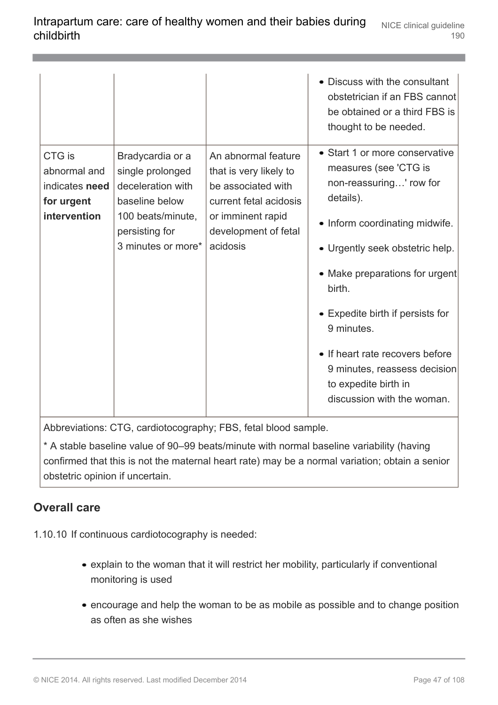|                                                                        |                                                                                                                                          |                                                                                                                                                        | • Discuss with the consultant<br>obstetrician if an FBS cannot<br>be obtained or a third FBS is<br>thought to be needed.                                                                                                                                                                                                                                                                    |
|------------------------------------------------------------------------|------------------------------------------------------------------------------------------------------------------------------------------|--------------------------------------------------------------------------------------------------------------------------------------------------------|---------------------------------------------------------------------------------------------------------------------------------------------------------------------------------------------------------------------------------------------------------------------------------------------------------------------------------------------------------------------------------------------|
| CTG is<br>abnormal and<br>indicates need<br>for urgent<br>intervention | Bradycardia or a<br>single prolonged<br>deceleration with<br>baseline below<br>100 beats/minute,<br>persisting for<br>3 minutes or more* | An abnormal feature<br>that is very likely to<br>be associated with<br>current fetal acidosis<br>or imminent rapid<br>development of fetal<br>acidosis | • Start 1 or more conservative<br>measures (see 'CTG is<br>non-reassuring' row for<br>details).<br>• Inform coordinating midwife.<br>• Urgently seek obstetric help.<br>• Make preparations for urgent<br>birth.<br>• Expedite birth if persists for<br>9 minutes.<br>• If heart rate recovers before<br>9 minutes, reassess decision<br>to expedite birth in<br>discussion with the woman. |

Abbreviations: CTG, cardiotocography; FBS, fetal blood sample.

\* A stable baseline value of 90–99 beats/minute with normal baseline variability (having confirmed that this is not the maternal heart rate) may be a normal variation; obtain a senior obstetric opinion if uncertain.

# **Overall care**

1.10.10 If continuous cardiotocography is needed:

- explain to the woman that it will restrict her mobility, particularly if conventional monitoring is used
- encourage and help the woman to be as mobile as possible and to change position as often as she wishes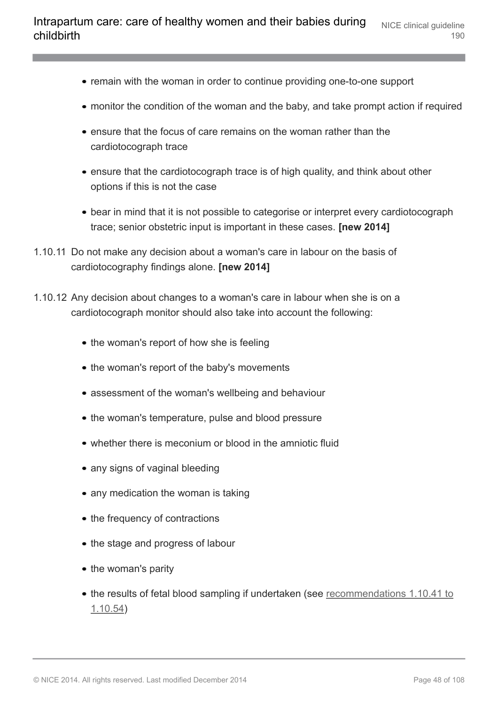- remain with the woman in order to continue providing one-to-one support
- monitor the condition of the woman and the baby, and take prompt action if required
- ensure that the focus of care remains on the woman rather than the cardiotocograph trace
- ensure that the cardiotocograph trace is of high quality, and think about other options if this is not the case
- bear in mind that it is not possible to categorise or interpret every cardiotocograph trace; senior obstetric input is important in these cases. **[new 2014]**
- 1.10.11 Do not make any decision about a woman's care in labour on the basis of cardiotocography findings alone. **[new 2014]**
- 1.10.12 Any decision about changes to a woman's care in labour when she is on a cardiotocograph monitor should also take into account the following:
	- the woman's report of how she is feeling
	- the woman's report of the baby's movements
	- assessment of the woman's wellbeing and behaviour
	- the woman's temperature, pulse and blood pressure
	- whether there is meconium or blood in the amniotic fluid
	- any signs of vaginal bleeding
	- any medication the woman is taking
	- the frequency of contractions
	- the stage and progress of labour
	- the woman's parity
	- the results of fetal blood sampling if undertaken (see [recommendations 1.10.41 to](http://publications.nice.org.uk/intrapartum-care-care-of-healthy-women-and-their-babies-during-childbirth-cg190/recommendations#fetal-blood-sampling) [1.10.54](http://publications.nice.org.uk/intrapartum-care-care-of-healthy-women-and-their-babies-during-childbirth-cg190/recommendations#fetal-blood-sampling))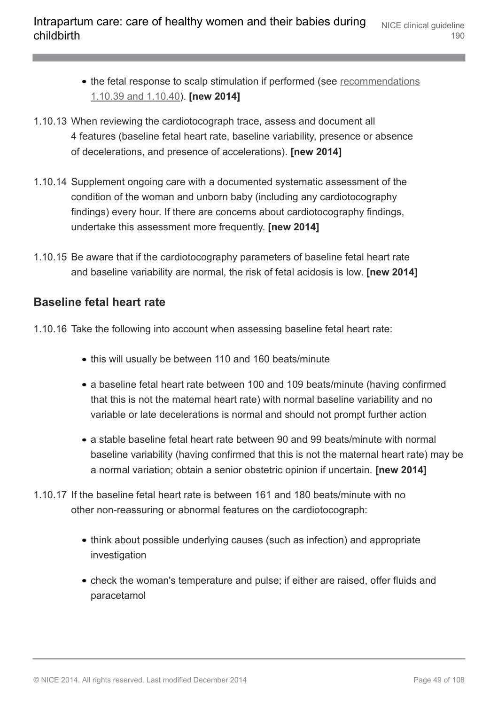- the fetal response to scalp stimulation if performed (see [recommendations](http://publications.nice.org.uk/intrapartum-care-care-of-healthy-women-and-their-babies-during-childbirth-cg190/recommendations#response-to-fetal-scalp-stimulation) 1.10.39 [and 1.10.40](http://publications.nice.org.uk/intrapartum-care-care-of-healthy-women-and-their-babies-during-childbirth-cg190/recommendations#response-to-fetal-scalp-stimulation)). **[new 2014]**
- 1.10.13 When reviewing the cardiotocograph trace, assess and document all 4 features (baseline fetal heart rate, baseline variability, presence or absence of decelerations, and presence of accelerations). **[new 2014]**
- 1.10.14 Supplement ongoing care with a documented systematic assessment of the condition of the woman and unborn baby (including any cardiotocography findings) every hour. If there are concerns about cardiotocography findings, undertake this assessment more frequently. **[new 2014]**
- 1.10.15 Be aware that if the cardiotocography parameters of baseline fetal heart rate and baseline variability are normal, the risk of fetal acidosis is low. **[new 2014]**

# **Baseline fetal heart rate**

- 1.10.16 Take the following into account when assessing baseline fetal heart rate:
	- this will usually be between 110 and 160 beats/minute
	- a baseline fetal heart rate between 100 and 109 beats/minute (having confirmed that this is not the maternal heart rate) with normal baseline variability and no variable or late decelerations is normal and should not prompt further action
	- a stable baseline fetal heart rate between 90 and 99 beats/minute with normal baseline variability (having confirmed that this is not the maternal heart rate) may be a normal variation; obtain a senior obstetric opinion if uncertain. **[new 2014]**
- 1.10.17 If the baseline fetal heart rate is between 161 and 180 beats/minute with no other non-reassuring or abnormal features on the cardiotocograph:
	- think about possible underlying causes (such as infection) and appropriate investigation
	- check the woman's temperature and pulse; if either are raised, offer fluids and paracetamol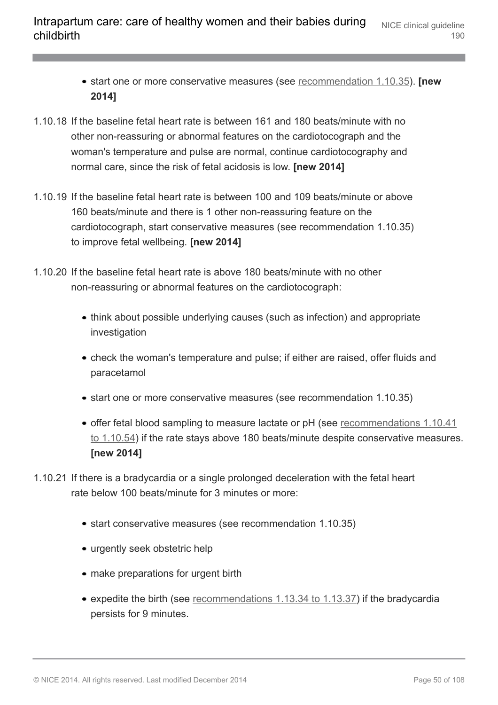- start one or more conservative measures (see [recommendation](http://publications.nice.org.uk/intrapartum-care-care-of-healthy-women-and-their-babies-during-childbirth-cg190/recommendations#conservative-measures) 1.10.35). **[new 2014]**
- 1.10.18 If the baseline fetal heart rate is between 161 and 180 beats/minute with no other non-reassuring or abnormal features on the cardiotocograph and the woman's temperature and pulse are normal, continue cardiotocography and normal care, since the risk of fetal acidosis is low. **[new 2014]**
- 1.10.19 If the baseline fetal heart rate is between 100 and 109 beats/minute or above 160 beats/minute and there is 1 other non-reassuring feature on the cardiotocograph, start conservative measures (see recommendation 1.10.35) to improve fetal wellbeing. **[new 2014]**
- 1.10.20 If the baseline fetal heart rate is above 180 beats/minute with no other non-reassuring or abnormal features on the cardiotocograph:
	- think about possible underlying causes (such as infection) and appropriate investigation
	- check the woman's temperature and pulse; if either are raised, offer fluids and paracetamol
	- start one or more conservative measures (see recommendation 1.10.35)
	- offer fetal blood sampling to measure lactate or pH (see [recommendations 1.10.41](http://publications.nice.org.uk/intrapartum-care-care-of-healthy-women-and-their-babies-during-childbirth-cg190/recommendations#fetal-blood-sampling) [to 1.10.54\)](http://publications.nice.org.uk/intrapartum-care-care-of-healthy-women-and-their-babies-during-childbirth-cg190/recommendations#fetal-blood-sampling) if the rate stays above 180 beats/minute despite conservative measures. **[new 2014]**
- 1.10.21 If there is a bradycardia or a single prolonged deceleration with the fetal heart rate below 100 beats/minute for 3 minutes or more:
	- start conservative measures (see recommendation 1.10.35)
	- urgently seek obstetric help
	- make preparations for urgent birth
	- expedite the birth (see [recommendations 1.13.34 to 1.13.37\)](http://publications.nice.org.uk/intrapartum-care-care-of-healthy-women-and-their-babies-during-childbirth-cg190/recommendations#expediting-birth) if the bradycardia persists for 9 minutes.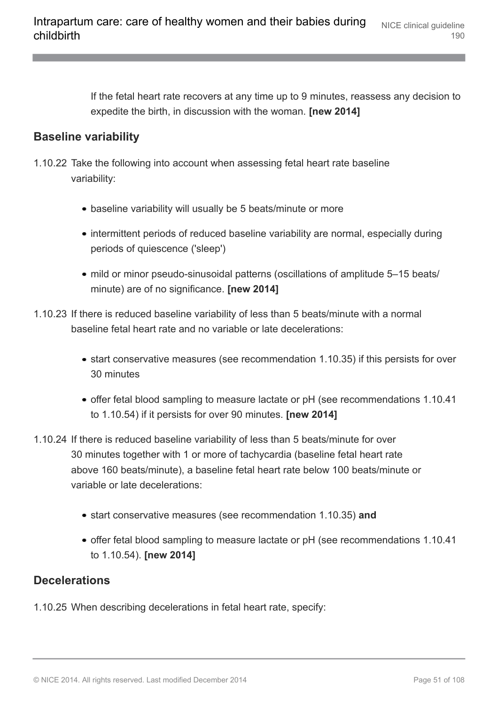If the fetal heart rate recovers at any time up to 9 minutes, reassess any decision to expedite the birth, in discussion with the woman. **[new 2014]**

### **Baseline variability**

- 1.10.22 Take the following into account when assessing fetal heart rate baseline variability:
	- baseline variability will usually be 5 beats/minute or more
	- intermittent periods of reduced baseline variability are normal, especially during periods of quiescence ('sleep')
	- mild or minor pseudo-sinusoidal patterns (oscillations of amplitude 5–15 beats/ minute) are of no significance. **[new 2014]**
- 1.10.23 If there is reduced baseline variability of less than 5 beats/minute with a normal baseline fetal heart rate and no variable or late decelerations:
	- start conservative measures (see recommendation 1.10.35) if this persists for over 30 minutes
	- offer fetal blood sampling to measure lactate or pH (see recommendations 1.10.41 to 1.10.54) if it persists for over 90 minutes. **[new 2014]**
- 1.10.24 If there is reduced baseline variability of less than 5 beats/minute for over 30 minutes together with 1 or more of tachycardia (baseline fetal heart rate above 160 beats/minute), a baseline fetal heart rate below 100 beats/minute or variable or late decelerations:
	- start conservative measures (see recommendation 1.10.35) **and**
	- offer fetal blood sampling to measure lactate or pH (see recommendations 1.10.41 to 1.10.54). **[new 2014]**

### **Decelerations**

1.10.25 When describing decelerations in fetal heart rate, specify: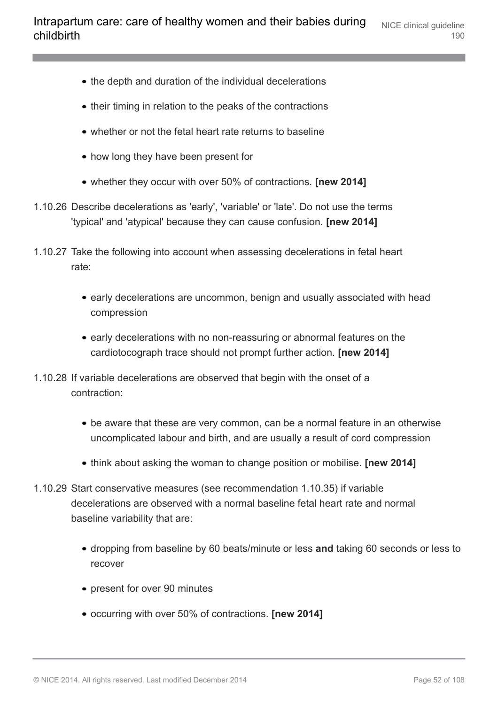- the depth and duration of the individual decelerations
- their timing in relation to the peaks of the contractions
- whether or not the fetal heart rate returns to baseline
- how long they have been present for
- whether they occur with over 50% of contractions. **[new 2014]**
- 1.10.26 Describe decelerations as 'early', 'variable' or 'late'. Do not use the terms 'typical' and 'atypical' because they can cause confusion. **[new 2014]**
- 1.10.27 Take the following into account when assessing decelerations in fetal heart rate:
	- early decelerations are uncommon, benign and usually associated with head compression
	- early decelerations with no non-reassuring or abnormal features on the cardiotocograph trace should not prompt further action. **[new 2014]**
- 1.10.28 If variable decelerations are observed that begin with the onset of a contraction:
	- be aware that these are very common, can be a normal feature in an otherwise uncomplicated labour and birth, and are usually a result of cord compression
	- think about asking the woman to change position or mobilise. **[new 2014]**
- 1.10.29 Start conservative measures (see recommendation 1.10.35) if variable decelerations are observed with a normal baseline fetal heart rate and normal baseline variability that are:
	- dropping from baseline by 60 beats/minute or less **and** taking 60 seconds or less to recover
	- present for over 90 minutes
	- occurring with over 50% of contractions. **[new 2014]**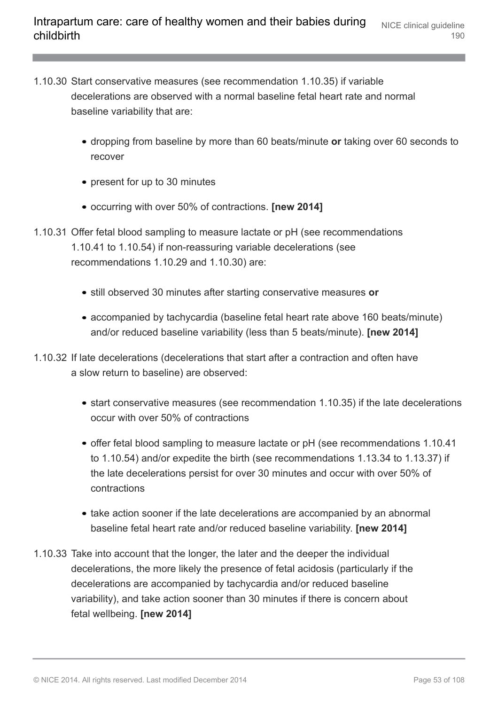- 1.10.30 Start conservative measures (see recommendation 1.10.35) if variable decelerations are observed with a normal baseline fetal heart rate and normal baseline variability that are:
	- dropping from baseline by more than 60 beats/minute **or** taking over 60 seconds to recover
	- present for up to 30 minutes
	- occurring with over 50% of contractions. **[new 2014]**
- 1.10.31 Offer fetal blood sampling to measure lactate or pH (see recommendations 1.10.41 to 1.10.54) if non-reassuring variable decelerations (see recommendations 1.10.29 and 1.10.30) are:
	- still observed 30 minutes after starting conservative measures **or**
	- accompanied by tachycardia (baseline fetal heart rate above 160 beats/minute) and/or reduced baseline variability (less than 5 beats/minute). **[new 2014]**
- 1.10.32 If late decelerations (decelerations that start after a contraction and often have a slow return to baseline) are observed:
	- start conservative measures (see recommendation 1.10.35) if the late decelerations occur with over 50% of contractions
	- offer fetal blood sampling to measure lactate or pH (see recommendations 1.10.41 to 1.10.54) and/or expedite the birth (see recommendations 1.13.34 to 1.13.37) if the late decelerations persist for over 30 minutes and occur with over 50% of contractions
	- take action sooner if the late decelerations are accompanied by an abnormal baseline fetal heart rate and/or reduced baseline variability. **[new 2014]**
- 1.10.33 Take into account that the longer, the later and the deeper the individual decelerations, the more likely the presence of fetal acidosis (particularly if the decelerations are accompanied by tachycardia and/or reduced baseline variability), and take action sooner than 30 minutes if there is concern about fetal wellbeing. **[new 2014]**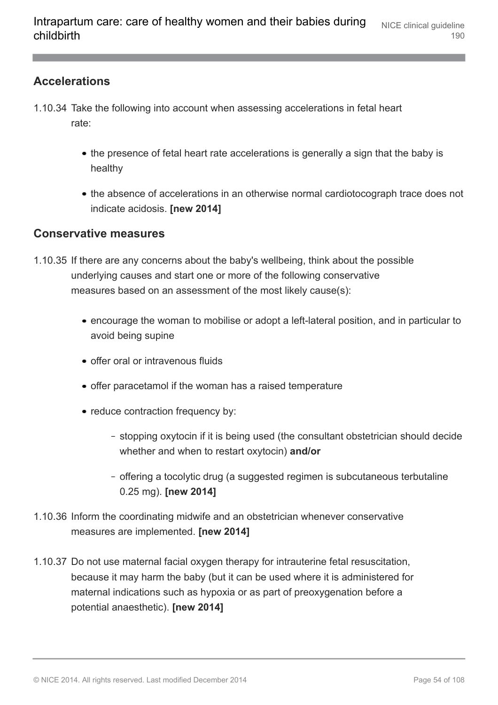Intrapartum care: care of healthy women and their babies during childbirth NICE clinical guideline  $190$ 

### **Accelerations**

- 1.10.34 Take the following into account when assessing accelerations in fetal heart rate:
	- the presence of fetal heart rate accelerations is generally a sign that the baby is healthy
	- the absence of accelerations in an otherwise normal cardiotocograph trace does not indicate acidosis. **[new 2014]**

#### **Conservative measures**

- 1.10.35 If there are any concerns about the baby's wellbeing, think about the possible underlying causes and start one or more of the following conservative measures based on an assessment of the most likely cause(s):
	- encourage the woman to mobilise or adopt a left-lateral position, and in particular to avoid being supine
	- offer oral or intravenous fluids
	- offer paracetamol if the woman has a raised temperature
	- reduce contraction frequency by:
		- stopping oxytocin if it is being used (the consultant obstetrician should decide whether and when to restart oxytocin) **and/or**
		- offering a tocolytic drug (a suggested regimen is subcutaneous terbutaline 0.25 mg). **[new 2014]**
- 1.10.36 Inform the coordinating midwife and an obstetrician whenever conservative measures are implemented. **[new 2014]**
- 1.10.37 Do not use maternal facial oxygen therapy for intrauterine fetal resuscitation, because it may harm the baby (but it can be used where it is administered for maternal indications such as hypoxia or as part of preoxygenation before a potential anaesthetic). **[new 2014]**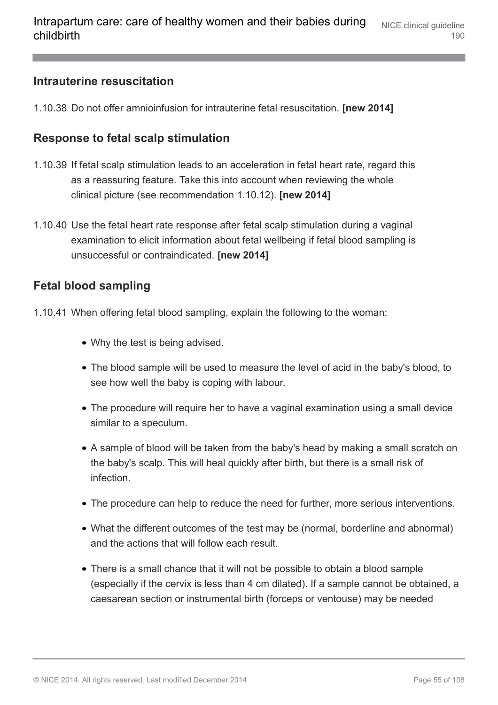### **Intrauterine resuscitation**

1.10.38 Do not offer amnioinfusion for intrauterine fetal resuscitation. **[new 2014]**

### **Response to fetal scalp stimulation**

- 1.10.39 If fetal scalp stimulation leads to an acceleration in fetal heart rate, regard this as a reassuring feature. Take this into account when reviewing the whole clinical picture (see recommendation 1.10.12). **[new 2014]**
- 1.10.40 Use the fetal heart rate response after fetal scalp stimulation during a vaginal examination to elicit information about fetal wellbeing if fetal blood sampling is unsuccessful or contraindicated. **[new 2014]**

### **Fetal blood sampling**

1.10.41 When offering fetal blood sampling, explain the following to the woman:

- Why the test is being advised.
- The blood sample will be used to measure the level of acid in the baby's blood, to see how well the baby is coping with labour.
- The procedure will require her to have a vaginal examination using a small device similar to a speculum.
- A sample of blood will be taken from the baby's head by making a small scratch on the baby's scalp. This will heal quickly after birth, but there is a small risk of infection.
- The procedure can help to reduce the need for further, more serious interventions.
- What the different outcomes of the test may be (normal, borderline and abnormal) and the actions that will follow each result.
- There is a small chance that it will not be possible to obtain a blood sample (especially if the cervix is less than 4 cm dilated). If a sample cannot be obtained, a caesarean section or instrumental birth (forceps or ventouse) may be needed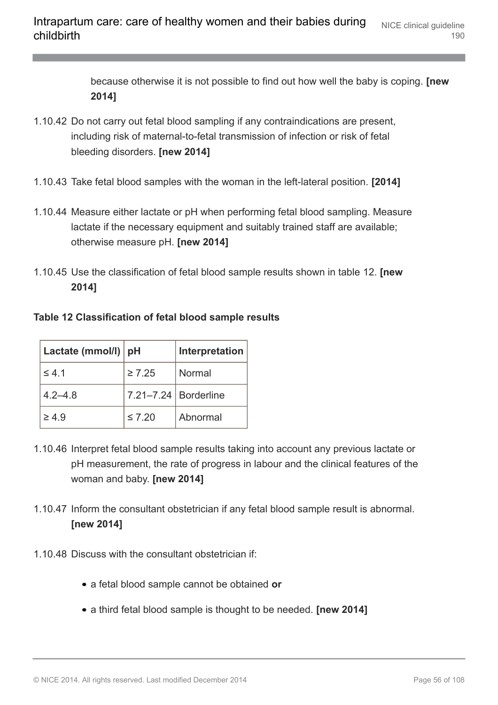because otherwise it is not possible to find out how well the baby is coping. **[new 2014]**

- 1.10.42 Do not carry out fetal blood sampling if any contraindications are present, including risk of maternal-to-fetal transmission of infection or risk of fetal bleeding disorders. **[new 2014]**
- 1.10.43 Take fetal blood samples with the woman in the left-lateral position. **[2014]**
- 1.10.44 Measure either lactate or pH when performing fetal blood sampling. Measure lactate if the necessary equipment and suitably trained staff are available; otherwise measure pH. **[new 2014]**
- 1.10.45 Use the classification of fetal blood sample results shown in table 12. **[new 2014]**

### **Table 12 Classification of fetal blood sample results**

| Lactate (mmol/l) $ pH$ |             | Interpretation         |
|------------------------|-------------|------------------------|
| $\leq 4.1$             | $\ge 7.25$  | Normal                 |
| $4.2 - 4.8$            |             | 7.21-7.24   Borderline |
| $\geq 4.9$             | $\leq 7.20$ | Abnormal               |

- 1.10.46 Interpret fetal blood sample results taking into account any previous lactate or pH measurement, the rate of progress in labour and the clinical features of the woman and baby. **[new 2014]**
- 1.10.47 Inform the consultant obstetrician if any fetal blood sample result is abnormal. **[new 2014]**
- 1.10.48 Discuss with the consultant obstetrician if:
	- a fetal blood sample cannot be obtained **or**
	- a third fetal blood sample is thought to be needed. **[new 2014]**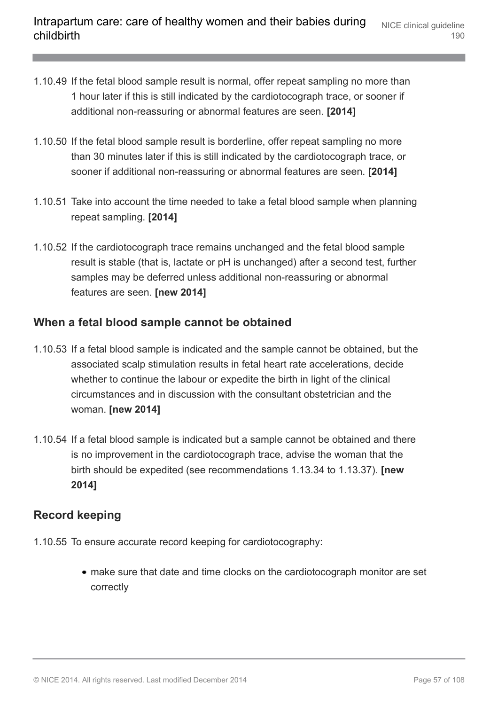- 1.10.49 If the fetal blood sample result is normal, offer repeat sampling no more than 1 hour later if this is still indicated by the cardiotocograph trace, or sooner if additional non-reassuring or abnormal features are seen. **[2014]**
- 1.10.50 If the fetal blood sample result is borderline, offer repeat sampling no more than 30 minutes later if this is still indicated by the cardiotocograph trace, or sooner if additional non-reassuring or abnormal features are seen. **[2014]**
- 1.10.51 Take into account the time needed to take a fetal blood sample when planning repeat sampling. **[2014]**
- 1.10.52 If the cardiotocograph trace remains unchanged and the fetal blood sample result is stable (that is, lactate or pH is unchanged) after a second test, further samples may be deferred unless additional non-reassuring or abnormal features are seen. **[new 2014]**

# **When a fetal blood sample cannot be obtained**

- 1.10.53 If a fetal blood sample is indicated and the sample cannot be obtained, but the associated scalp stimulation results in fetal heart rate accelerations, decide whether to continue the labour or expedite the birth in light of the clinical circumstances and in discussion with the consultant obstetrician and the woman. **[new 2014]**
- 1.10.54 If a fetal blood sample is indicated but a sample cannot be obtained and there is no improvement in the cardiotocograph trace, advise the woman that the birth should be expedited (see recommendations 1.13.34 to 1.13.37). **[new 2014]**

# **Record keeping**

- 1.10.55 To ensure accurate record keeping for cardiotocography:
	- make sure that date and time clocks on the cardiotocograph monitor are set correctly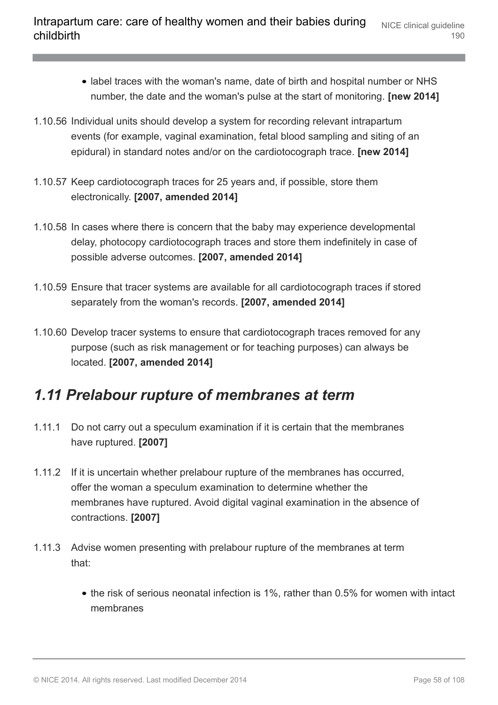- label traces with the woman's name, date of birth and hospital number or NHS number, the date and the woman's pulse at the start of monitoring. **[new 2014]**
- 1.10.56 Individual units should develop a system for recording relevant intrapartum events (for example, vaginal examination, fetal blood sampling and siting of an epidural) in standard notes and/or on the cardiotocograph trace. **[new 2014]**
- 1.10.57 Keep cardiotocograph traces for 25 years and, if possible, store them electronically. **[2007, amended 2014]**
- 1.10.58 In cases where there is concern that the baby may experience developmental delay, photocopy cardiotocograph traces and store them indefinitely in case of possible adverse outcomes. **[2007, amended 2014]**
- 1.10.59 Ensure that tracer systems are available for all cardiotocograph traces if stored separately from the woman's records. **[2007, amended 2014]**
- 1.10.60 Develop tracer systems to ensure that cardiotocograph traces removed for any purpose (such as risk management or for teaching purposes) can always be located. **[2007, amended 2014]**

# *1.11 Prelabour rupture of membranes at term*

- 1.11.1 Do not carry out a speculum examination if it is certain that the membranes have ruptured. **[2007]**
- 1.11.2 If it is uncertain whether prelabour rupture of the membranes has occurred, offer the woman a speculum examination to determine whether the membranes have ruptured. Avoid digital vaginal examination in the absence of contractions. **[2007]**
- 1.11.3 Advise women presenting with prelabour rupture of the membranes at term that:
	- the risk of serious neonatal infection is 1%, rather than 0.5% for women with intact membranes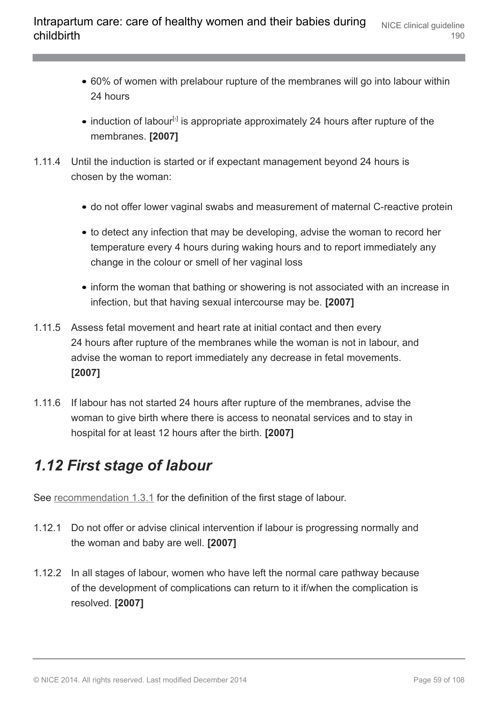- 60% of women with prelabour rupture of the membranes will go into labour within 24 hours
- induction of labour<sup>[[5](#page-85-0)]</sup> is appropriate approximately 24 hours after rupture of the membranes. **[2007]**
- 1.11.4 Until the induction is started or if expectant management beyond 24 hours is chosen by the woman:
	- do not offer lower vaginal swabs and measurement of maternal C-reactive protein
	- to detect any infection that may be developing, advise the woman to record her temperature every 4 hours during waking hours and to report immediately any change in the colour or smell of her vaginal loss
	- inform the woman that bathing or showering is not associated with an increase in infection, but that having sexual intercourse may be. **[2007]**
- 1.11.5 Assess fetal movement and heart rate at initial contact and then every 24 hours after rupture of the membranes while the woman is not in labour, and advise the woman to report immediately any decrease in fetal movements. **[2007]**
- 1.11.6 If labour has not started 24 hours after rupture of the membranes, advise the woman to give birth where there is access to neonatal services and to stay in hospital for at least 12 hours after the birth. **[2007]**

# *1.12 First stage of labour*

See [recommendation](http://publications.nice.org.uk/intrapartum-care-care-of-healthy-women-and-their-babies-during-childbirth-cg190/recommendations#latent-first-stage-of-labour) 1.3.1 for the definition of the first stage of labour.

- 1.12.1 Do not offer or advise clinical intervention if labour is progressing normally and the woman and baby are well. **[2007]**
- 1.12.2 In all stages of labour, women who have left the normal care pathway because of the development of complications can return to it if/when the complication is resolved. **[2007]**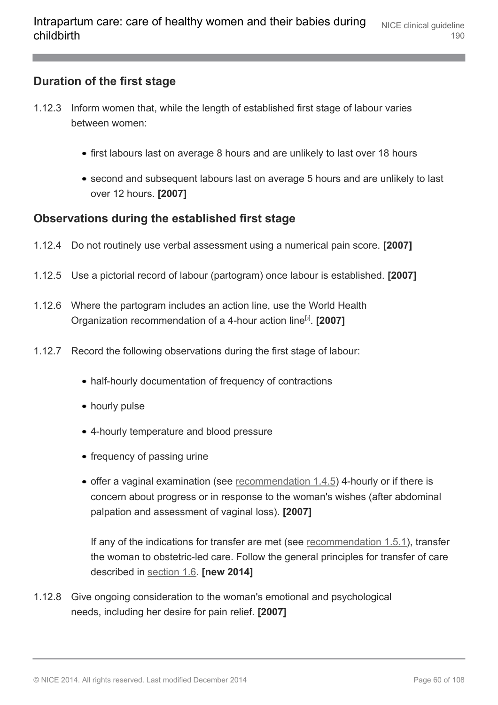### **Duration of the first stage**

- 1.12.3 Inform women that, while the length of established first stage of labour varies between women:
	- first labours last on average 8 hours and are unlikely to last over 18 hours
	- second and subsequent labours last on average 5 hours and are unlikely to last over 12 hours. **[2007]**

### **Observations during the established first stage**

- 1.12.4 Do not routinely use verbal assessment using a numerical pain score. **[2007]**
- 1.12.5 Use a pictorial record of labour (partogram) once labour is established. **[2007]**
- 1.12.6 Where the partogram includes an action line, use the World Health Organization recommendation of a 4-hour action line<sup>[[6](#page-85-1)]</sup>. [2007]
- 1.12.7 Record the following observations during the first stage of labour:
	- half-hourly documentation of frequency of contractions
	- hourly pulse
	- 4-hourly temperature and blood pressure
	- frequency of passing urine
	- offer a vaginal examination (see [recommendation](http://publications.nice.org.uk/intrapartum-care-care-of-healthy-women-and-their-babies-during-childbirth-cg190/recommendations#initial-assessment) 1.4.5) 4-hourly or if there is concern about progress or in response to the woman's wishes (after abdominal palpation and assessment of vaginal loss). **[2007]**

If any of the indications for transfer are met (see [recommendation](http://publications.nice.org.uk/intrapartum-care-care-of-healthy-women-and-their-babies-during-childbirth-cg190/recommendations#ongoing-assessment) 1.5.1), transfer the woman to obstetric-led care. Follow the general principles for transfer of care described in [section](http://publications.nice.org.uk/intrapartum-care-care-of-healthy-women-and-their-babies-during-childbirth-cg190/recommendations#general-principles-for-transfer-of-care) 1.6. **[new 2014]**

1.12.8 Give ongoing consideration to the woman's emotional and psychological needs, including her desire for pain relief. **[2007]**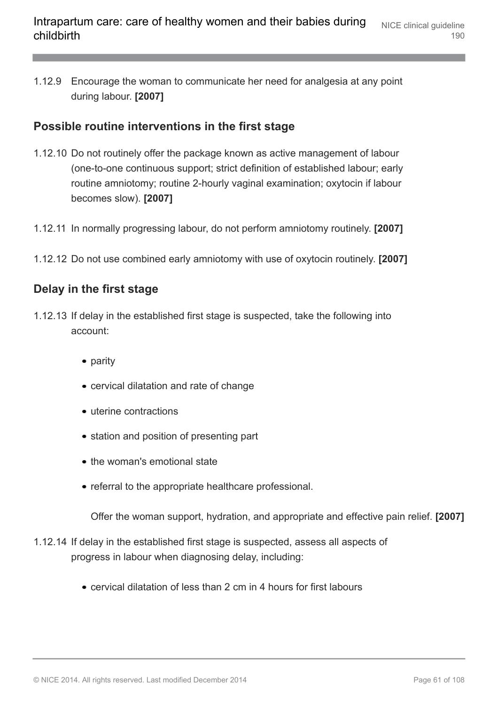1.12.9 Encourage the woman to communicate her need for analgesia at any point during labour. **[2007]**

# **Possible routine interventions in the first stage**

- 1.12.10 Do not routinely offer the package known as active management of labour (one-to-one continuous support; strict definition of established labour; early routine amniotomy; routine 2-hourly vaginal examination; oxytocin if labour becomes slow). **[2007]**
- 1.12.11 In normally progressing labour, do not perform amniotomy routinely. **[2007]**
- 1.12.12 Do not use combined early amniotomy with use of oxytocin routinely. **[2007]**

# **Delay in the first stage**

- 1.12.13 If delay in the established first stage is suspected, take the following into account:
	- parity
	- cervical dilatation and rate of change
	- uterine contractions
	- station and position of presenting part
	- the woman's emotional state
	- referral to the appropriate healthcare professional.

Offer the woman support, hydration, and appropriate and effective pain relief. **[2007]**

- 1.12.14 If delay in the established first stage is suspected, assess all aspects of progress in labour when diagnosing delay, including:
	- cervical dilatation of less than 2 cm in 4 hours for first labours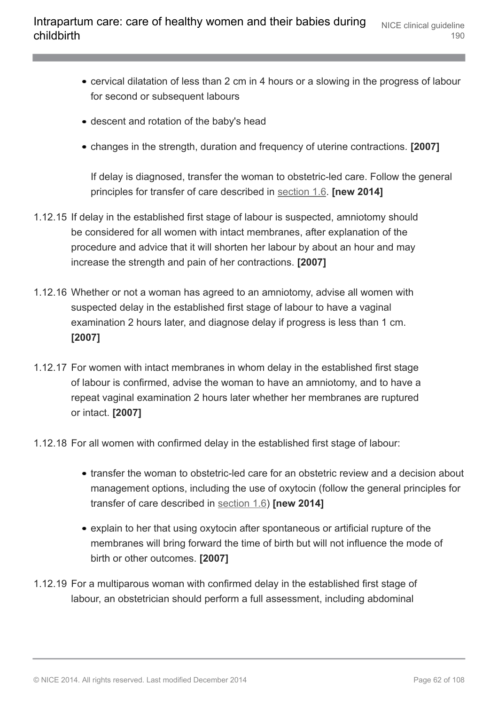- cervical dilatation of less than 2 cm in 4 hours or a slowing in the progress of labour for second or subsequent labours
- descent and rotation of the baby's head
- changes in the strength, duration and frequency of uterine contractions. **[2007]**

If delay is diagnosed, transfer the woman to obstetric-led care. Follow the general principles for transfer of care described in [section](http://publications.nice.org.uk/intrapartum-care-care-of-healthy-women-and-their-babies-during-childbirth-cg190/recommendations#general-principles-for-transfer-of-care) 1.6. **[new 2014]**

- 1.12.15 If delay in the established first stage of labour is suspected, amniotomy should be considered for all women with intact membranes, after explanation of the procedure and advice that it will shorten her labour by about an hour and may increase the strength and pain of her contractions. **[2007]**
- 1.12.16 Whether or not a woman has agreed to an amniotomy, advise all women with suspected delay in the established first stage of labour to have a vaginal examination 2 hours later, and diagnose delay if progress is less than 1 cm. **[2007]**
- 1.12.17 For women with intact membranes in whom delay in the established first stage of labour is confirmed, advise the woman to have an amniotomy, and to have a repeat vaginal examination 2 hours later whether her membranes are ruptured or intact. **[2007]**
- 1.12.18 For all women with confirmed delay in the established first stage of labour:
	- transfer the woman to obstetric-led care for an obstetric review and a decision about management options, including the use of oxytocin (follow the general principles for transfer of care described in [section](http://publications.nice.org.uk/intrapartum-care-care-of-healthy-women-and-their-babies-during-childbirth-cg190/recommendations#general-principles-for-transfer-of-care) 1.6) **[new 2014]**
	- explain to her that using oxytocin after spontaneous or artificial rupture of the membranes will bring forward the time of birth but will not influence the mode of birth or other outcomes. **[2007]**
- 1.12.19 For a multiparous woman with confirmed delay in the established first stage of labour, an obstetrician should perform a full assessment, including abdominal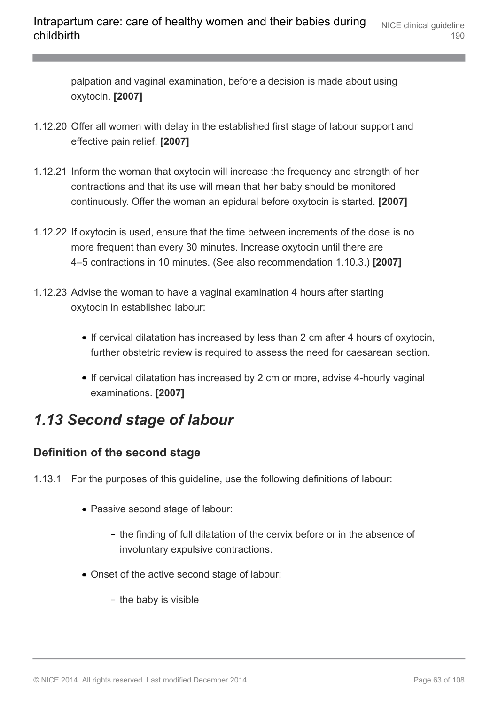palpation and vaginal examination, before a decision is made about using oxytocin. **[2007]**

- 1.12.20 Offer all women with delay in the established first stage of labour support and effective pain relief. **[2007]**
- 1.12.21 Inform the woman that oxytocin will increase the frequency and strength of her contractions and that its use will mean that her baby should be monitored continuously. Offer the woman an epidural before oxytocin is started. **[2007]**
- 1.12.22 If oxytocin is used, ensure that the time between increments of the dose is no more frequent than every 30 minutes. Increase oxytocin until there are 4–5 contractions in 10 minutes. (See also recommendation 1.10.3.) **[2007]**
- 1.12.23 Advise the woman to have a vaginal examination 4 hours after starting oxytocin in established labour:
	- If cervical dilatation has increased by less than 2 cm after 4 hours of oxytocin, further obstetric review is required to assess the need for caesarean section.
	- If cervical dilatation has increased by 2 cm or more, advise 4-hourly vaginal examinations. **[2007]**

# *1.13 Second stage of labour*

# **Definition of the second stage**

1.13.1 For the purposes of this guideline, use the following definitions of labour:

- Passive second stage of labour:
	- the finding of full dilatation of the cervix before or in the absence of involuntary expulsive contractions.
- Onset of the active second stage of labour:
	- the baby is visible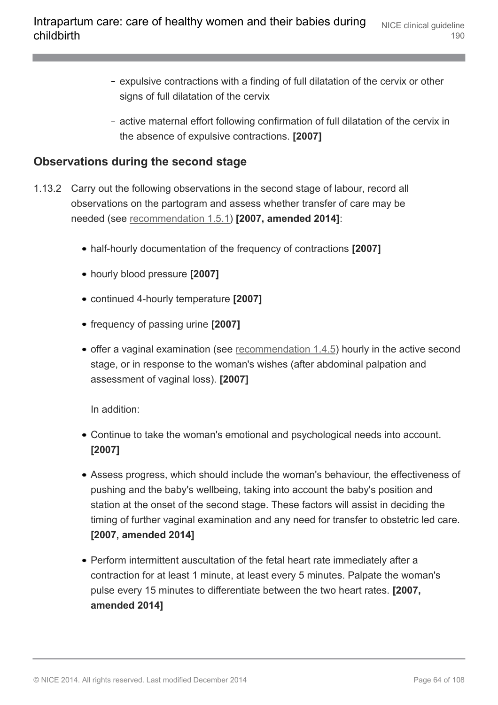- expulsive contractions with a finding of full dilatation of the cervix or other signs of full dilatation of the cervix
- active maternal effort following confirmation of full dilatation of the cervix in the absence of expulsive contractions. **[2007]**

### **Observations during the second stage**

- 1.13.2 Carry out the following observations in the second stage of labour, record all observations on the partogram and assess whether transfer of care may be needed (see [recommendation](http://publications.nice.org.uk/intrapartum-care-care-of-healthy-women-and-their-babies-during-childbirth-cg190/recommendations#ongoing-assessment) 1.5.1) **[2007, amended 2014]**:
	- half-hourly documentation of the frequency of contractions **[2007]**
	- hourly blood pressure **[2007]**
	- continued 4-hourly temperature **[2007]**
	- frequency of passing urine [2007]
	- offer a vaginal examination (see [recommendation](http://publications.nice.org.uk/intrapartum-care-care-of-healthy-women-and-their-babies-during-childbirth-cg190/recommendations#initial-assessment) 1.4.5) hourly in the active second stage, or in response to the woman's wishes (after abdominal palpation and assessment of vaginal loss). **[2007]**

In addition:

- Continue to take the woman's emotional and psychological needs into account. **[2007]**
- Assess progress, which should include the woman's behaviour, the effectiveness of pushing and the baby's wellbeing, taking into account the baby's position and station at the onset of the second stage. These factors will assist in deciding the timing of further vaginal examination and any need for transfer to obstetric led care. **[2007, amended 2014]**
- Perform intermittent auscultation of the fetal heart rate immediately after a contraction for at least 1 minute, at least every 5 minutes. Palpate the woman's pulse every 15 minutes to differentiate between the two heart rates. **[2007, amended 2014]**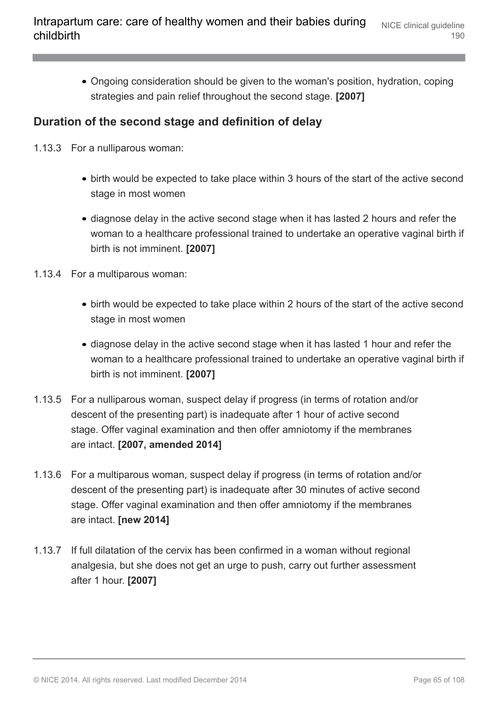Ongoing consideration should be given to the woman's position, hydration, coping strategies and pain relief throughout the second stage. **[2007]**

# **Duration of the second stage and definition of delay**

- 1.13.3 For a nulliparous woman:
	- birth would be expected to take place within 3 hours of the start of the active second stage in most women
	- diagnose delay in the active second stage when it has lasted 2 hours and refer the woman to a healthcare professional trained to undertake an operative vaginal birth if birth is not imminent. **[2007]**
- 1.13.4 For a multiparous woman:
	- birth would be expected to take place within 2 hours of the start of the active second stage in most women
	- diagnose delay in the active second stage when it has lasted 1 hour and refer the woman to a healthcare professional trained to undertake an operative vaginal birth if birth is not imminent. **[2007]**
- 1.13.5 For a nulliparous woman, suspect delay if progress (in terms of rotation and/or descent of the presenting part) is inadequate after 1 hour of active second stage. Offer vaginal examination and then offer amniotomy if the membranes are intact. **[2007, amended 2014]**
- 1.13.6 For a multiparous woman, suspect delay if progress (in terms of rotation and/or descent of the presenting part) is inadequate after 30 minutes of active second stage. Offer vaginal examination and then offer amniotomy if the membranes are intact. **[new 2014]**
- 1.13.7 If full dilatation of the cervix has been confirmed in a woman without regional analgesia, but she does not get an urge to push, carry out further assessment after 1 hour. **[2007]**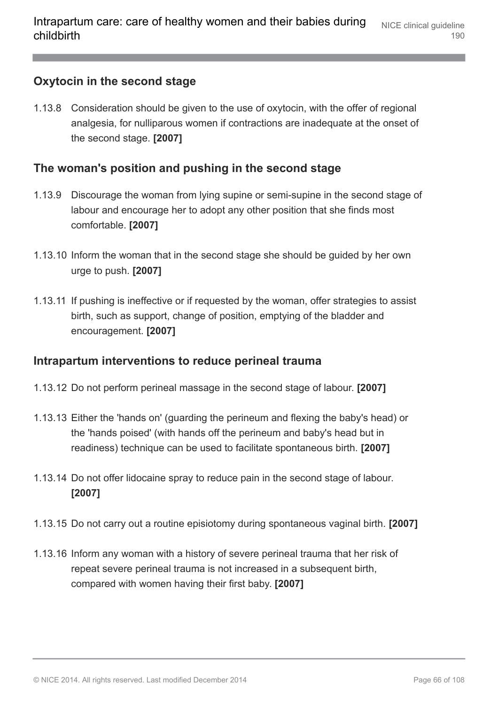### **Oxytocin in the second stage**

1.13.8 Consideration should be given to the use of oxytocin, with the offer of regional analgesia, for nulliparous women if contractions are inadequate at the onset of the second stage. **[2007]**

### **The woman's position and pushing in the second stage**

- 1.13.9 Discourage the woman from lying supine or semi-supine in the second stage of labour and encourage her to adopt any other position that she finds most comfortable. **[2007]**
- 1.13.10 Inform the woman that in the second stage she should be guided by her own urge to push. **[2007]**
- 1.13.11 If pushing is ineffective or if requested by the woman, offer strategies to assist birth, such as support, change of position, emptying of the bladder and encouragement. **[2007]**

### **Intrapartum interventions to reduce perineal trauma**

- 1.13.12 Do not perform perineal massage in the second stage of labour. **[2007]**
- 1.13.13 Either the 'hands on' (guarding the perineum and flexing the baby's head) or the 'hands poised' (with hands off the perineum and baby's head but in readiness) technique can be used to facilitate spontaneous birth. **[2007]**
- 1.13.14 Do not offer lidocaine spray to reduce pain in the second stage of labour. **[2007]**
- 1.13.15 Do not carry out a routine episiotomy during spontaneous vaginal birth. **[2007]**
- 1.13.16 Inform any woman with a history of severe perineal trauma that her risk of repeat severe perineal trauma is not increased in a subsequent birth, compared with women having their first baby. **[2007]**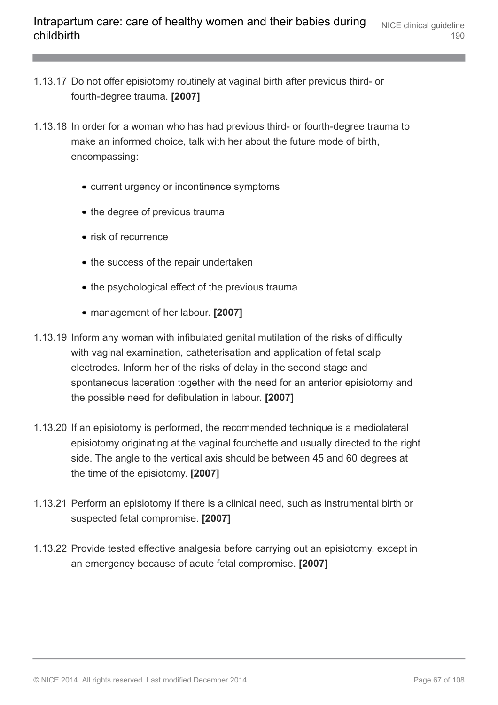- 1.13.17 Do not offer episiotomy routinely at vaginal birth after previous third- or fourth-degree trauma. **[2007]**
- 1.13.18 In order for a woman who has had previous third- or fourth-degree trauma to make an informed choice, talk with her about the future mode of birth, encompassing:
	- current urgency or incontinence symptoms
	- the degree of previous trauma
	- risk of recurrence
	- the success of the repair undertaken
	- the psychological effect of the previous trauma
	- management of her labour. **[2007]**
- 1.13.19 Inform any woman with infibulated genital mutilation of the risks of difficulty with vaginal examination, catheterisation and application of fetal scalp electrodes. Inform her of the risks of delay in the second stage and spontaneous laceration together with the need for an anterior episiotomy and the possible need for defibulation in labour. **[2007]**
- 1.13.20 If an episiotomy is performed, the recommended technique is a mediolateral episiotomy originating at the vaginal fourchette and usually directed to the right side. The angle to the vertical axis should be between 45 and 60 degrees at the time of the episiotomy. **[2007]**
- 1.13.21 Perform an episiotomy if there is a clinical need, such as instrumental birth or suspected fetal compromise. **[2007]**
- 1.13.22 Provide tested effective analgesia before carrying out an episiotomy, except in an emergency because of acute fetal compromise. **[2007]**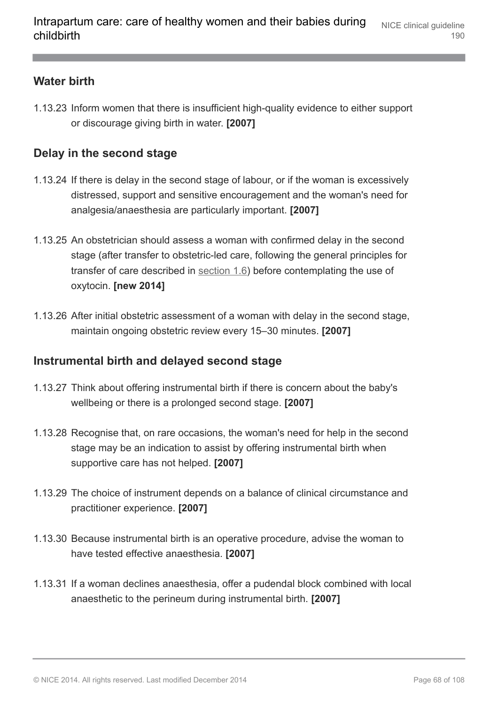### **Water birth**

1.13.23 Inform women that there is insufficient high-quality evidence to either support or discourage giving birth in water. **[2007]**

### **Delay in the second stage**

- 1.13.24 If there is delay in the second stage of labour, or if the woman is excessively distressed, support and sensitive encouragement and the woman's need for analgesia/anaesthesia are particularly important. **[2007]**
- 1.13.25 An obstetrician should assess a woman with confirmed delay in the second stage (after transfer to obstetric-led care, following the general principles for transfer of care described in [section](http://publications.nice.org.uk/intrapartum-care-care-of-healthy-women-and-their-babies-during-childbirth-cg190/recommendations#general-principles-for-transfer-of-care) 1.6) before contemplating the use of oxytocin. **[new 2014]**
- 1.13.26 After initial obstetric assessment of a woman with delay in the second stage, maintain ongoing obstetric review every 15–30 minutes. **[2007]**

### **Instrumental birth and delayed second stage**

- 1.13.27 Think about offering instrumental birth if there is concern about the baby's wellbeing or there is a prolonged second stage. **[2007]**
- 1.13.28 Recognise that, on rare occasions, the woman's need for help in the second stage may be an indication to assist by offering instrumental birth when supportive care has not helped. **[2007]**
- 1.13.29 The choice of instrument depends on a balance of clinical circumstance and practitioner experience. **[2007]**
- 1.13.30 Because instrumental birth is an operative procedure, advise the woman to have tested effective anaesthesia. **[2007]**
- 1.13.31 If a woman declines anaesthesia, offer a pudendal block combined with local anaesthetic to the perineum during instrumental birth. **[2007]**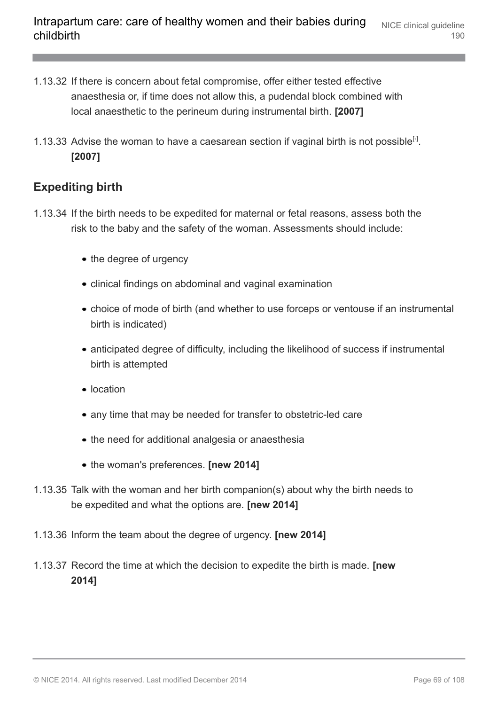- 1.13.32 If there is concern about fetal compromise, offer either tested effective anaesthesia or, if time does not allow this, a pudendal block combined with local anaesthetic to the perineum during instrumental birth. **[2007]**
- 1.13.33 Advise the woman to have a caesarean section if vaginal birth is not possible<sup>[[7](#page-85-2)]</sup>. **[2007]**

# **Expediting birth**

- 1.13.34 If the birth needs to be expedited for maternal or fetal reasons, assess both the risk to the baby and the safety of the woman. Assessments should include:
	- the degree of urgency
	- clinical findings on abdominal and vaginal examination
	- choice of mode of birth (and whether to use forceps or ventouse if an instrumental birth is indicated)
	- anticipated degree of difficulty, including the likelihood of success if instrumental birth is attempted
	- location
	- any time that may be needed for transfer to obstetric-led care
	- the need for additional analgesia or anaesthesia
	- the woman's preferences. **[new 2014]**
- 1.13.35 Talk with the woman and her birth companion(s) about why the birth needs to be expedited and what the options are. **[new 2014]**
- 1.13.36 Inform the team about the degree of urgency. **[new 2014]**
- 1.13.37 Record the time at which the decision to expedite the birth is made. **[new 2014]**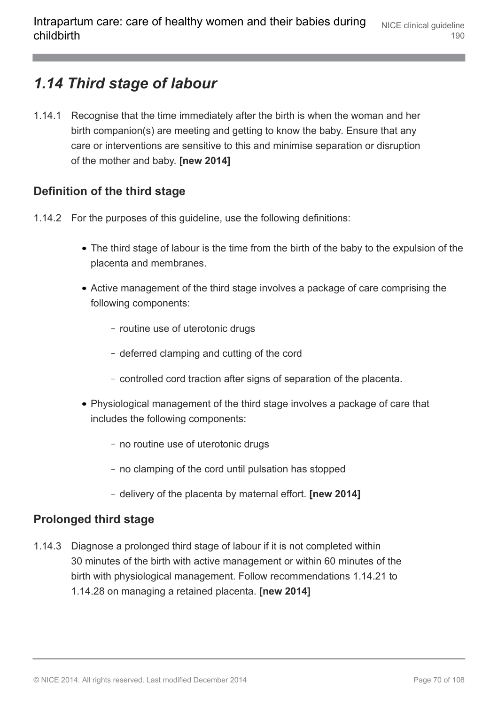# *1.14 Third stage of labour*

1.14.1 Recognise that the time immediately after the birth is when the woman and her birth companion(s) are meeting and getting to know the baby. Ensure that any care or interventions are sensitive to this and minimise separation or disruption of the mother and baby. **[new 2014]**

# **Definition of the third stage**

- 1.14.2 For the purposes of this guideline, use the following definitions:
	- The third stage of labour is the time from the birth of the baby to the expulsion of the placenta and membranes.
	- Active management of the third stage involves a package of care comprising the following components:
		- routine use of uterotonic drugs
		- deferred clamping and cutting of the cord
		- controlled cord traction after signs of separation of the placenta.
	- Physiological management of the third stage involves a package of care that includes the following components:
		- no routine use of uterotonic drugs
		- no clamping of the cord until pulsation has stopped
		- delivery of the placenta by maternal effort. **[new 2014]**

# **Prolonged third stage**

1.14.3 Diagnose a prolonged third stage of labour if it is not completed within 30 minutes of the birth with active management or within 60 minutes of the birth with physiological management. Follow recommendations 1.14.21 to 1.14.28 on managing a retained placenta. **[new 2014]**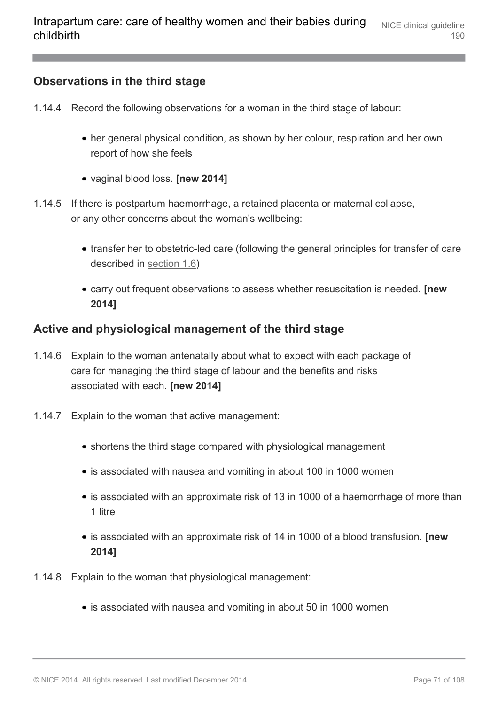### **Observations in the third stage**

- 1.14.4 Record the following observations for a woman in the third stage of labour:
	- her general physical condition, as shown by her colour, respiration and her own report of how she feels
	- vaginal blood loss. **[new 2014]**
- 1.14.5 If there is postpartum haemorrhage, a retained placenta or maternal collapse, or any other concerns about the woman's wellbeing:
	- transfer her to obstetric-led care (following the general principles for transfer of care described in [section](http://publications.nice.org.uk/intrapartum-care-care-of-healthy-women-and-their-babies-during-childbirth-cg190/recommendations#general-principles-for-transfer-of-care) 1.6)
	- carry out frequent observations to assess whether resuscitation is needed. **[new 2014]**

### **Active and physiological management of the third stage**

- 1.14.6 Explain to the woman antenatally about what to expect with each package of care for managing the third stage of labour and the benefits and risks associated with each. **[new 2014]**
- 1.14.7 Explain to the woman that active management:
	- shortens the third stage compared with physiological management
	- is associated with nausea and vomiting in about 100 in 1000 women
	- is associated with an approximate risk of 13 in 1000 of a haemorrhage of more than 1 litre
	- is associated with an approximate risk of 14 in 1000 of a blood transfusion. **[new 2014]**
- 1.14.8 Explain to the woman that physiological management:
	- is associated with nausea and vomiting in about 50 in 1000 women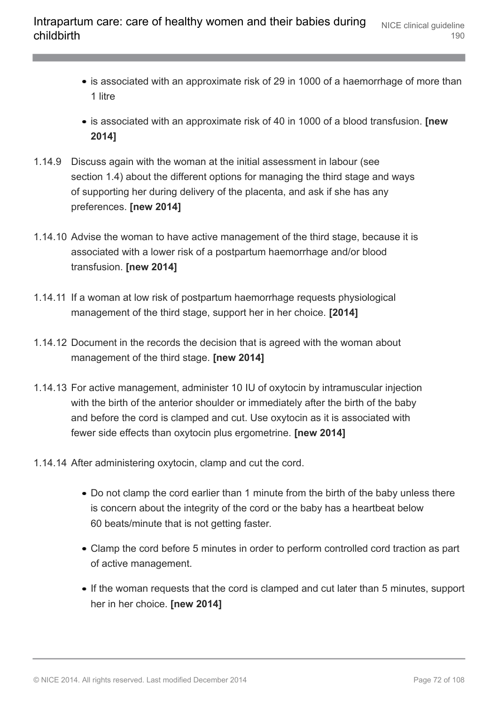- is associated with an approximate risk of 29 in 1000 of a haemorrhage of more than 1 litre
- is associated with an approximate risk of 40 in 1000 of a blood transfusion. **[new 2014]**
- 1.14.9 Discuss again with the woman at the initial assessment in labour (see section 1.4) about the different options for managing the third stage and ways of supporting her during delivery of the placenta, and ask if she has any preferences. **[new 2014]**
- 1.14.10 Advise the woman to have active management of the third stage, because it is associated with a lower risk of a postpartum haemorrhage and/or blood transfusion. **[new 2014]**
- 1.14.11 If a woman at low risk of postpartum haemorrhage requests physiological management of the third stage, support her in her choice. **[2014]**
- 1.14.12 Document in the records the decision that is agreed with the woman about management of the third stage. **[new 2014]**
- 1.14.13 For active management, administer 10 IU of oxytocin by intramuscular injection with the birth of the anterior shoulder or immediately after the birth of the baby and before the cord is clamped and cut. Use oxytocin as it is associated with fewer side effects than oxytocin plus ergometrine. **[new 2014]**
- 1.14.14 After administering oxytocin, clamp and cut the cord.
	- Do not clamp the cord earlier than 1 minute from the birth of the baby unless there is concern about the integrity of the cord or the baby has a heartbeat below 60 beats/minute that is not getting faster.
	- Clamp the cord before 5 minutes in order to perform controlled cord traction as part of active management.
	- If the woman requests that the cord is clamped and cut later than 5 minutes, support her in her choice. **[new 2014]**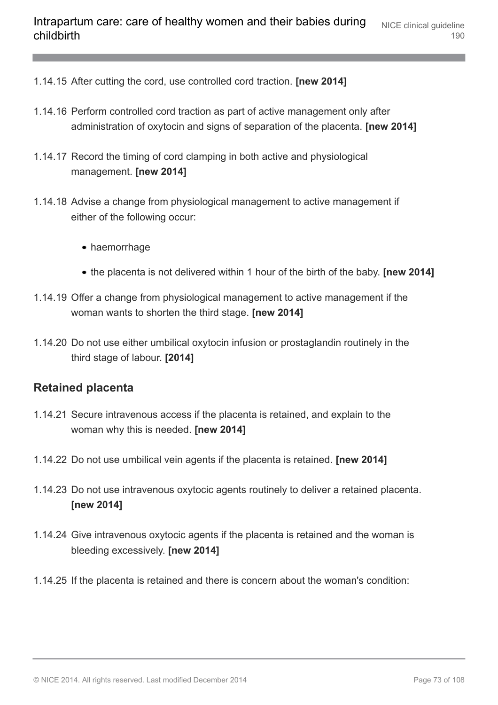1.14.15 After cutting the cord, use controlled cord traction. **[new 2014]**

- 1.14.16 Perform controlled cord traction as part of active management only after administration of oxytocin and signs of separation of the placenta. **[new 2014]**
- 1.14.17 Record the timing of cord clamping in both active and physiological management. **[new 2014]**
- 1.14.18 Advise a change from physiological management to active management if either of the following occur:
	- haemorrhage
	- the placenta is not delivered within 1 hour of the birth of the baby. **[new 2014]**
- 1.14.19 Offer a change from physiological management to active management if the woman wants to shorten the third stage. **[new 2014]**
- 1.14.20 Do not use either umbilical oxytocin infusion or prostaglandin routinely in the third stage of labour. **[2014]**

#### **Retained placenta**

- 1.14.21 Secure intravenous access if the placenta is retained, and explain to the woman why this is needed. **[new 2014]**
- 1.14.22 Do not use umbilical vein agents if the placenta is retained. **[new 2014]**
- 1.14.23 Do not use intravenous oxytocic agents routinely to deliver a retained placenta. **[new 2014]**
- 1.14.24 Give intravenous oxytocic agents if the placenta is retained and the woman is bleeding excessively. **[new 2014]**
- 1.14.25 If the placenta is retained and there is concern about the woman's condition: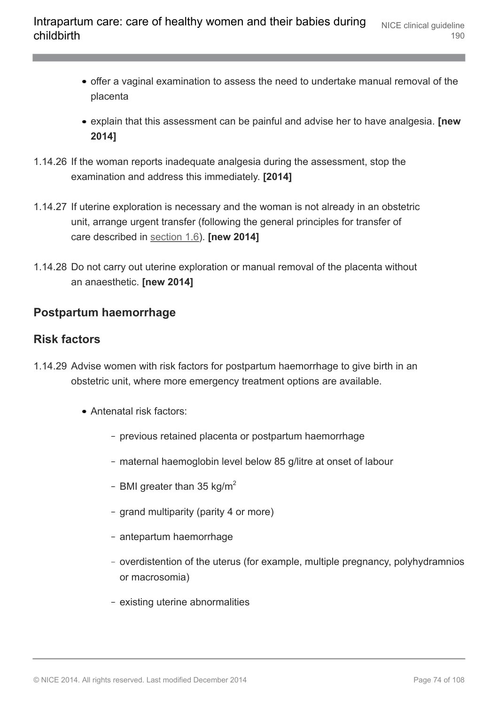- offer a vaginal examination to assess the need to undertake manual removal of the placenta
- explain that this assessment can be painful and advise her to have analgesia. **[new 2014]**
- 1.14.26 If the woman reports inadequate analgesia during the assessment, stop the examination and address this immediately. **[2014]**
- 1.14.27 If uterine exploration is necessary and the woman is not already in an obstetric unit, arrange urgent transfer (following the general principles for transfer of care described in [section](http://publications.nice.org.uk/intrapartum-care-care-of-healthy-women-and-their-babies-during-childbirth-cg190/recommendations#general-principles-for-transfer-of-care) 1.6). **[new 2014]**
- 1.14.28 Do not carry out uterine exploration or manual removal of the placenta without an anaesthetic. **[new 2014]**

### **Postpartum haemorrhage**

#### **Risk factors**

- 1.14.29 Advise women with risk factors for postpartum haemorrhage to give birth in an obstetric unit, where more emergency treatment options are available.
	- Antenatal risk factors:
		- previous retained placenta or postpartum haemorrhage
		- maternal haemoglobin level below 85 g/litre at onset of labour
		- BMI greater than 35 kg/ $m<sup>2</sup>$
		- grand multiparity (parity 4 or more)
		- antepartum haemorrhage
		- overdistention of the uterus (for example, multiple pregnancy, polyhydramnios or macrosomia)
		- existing uterine abnormalities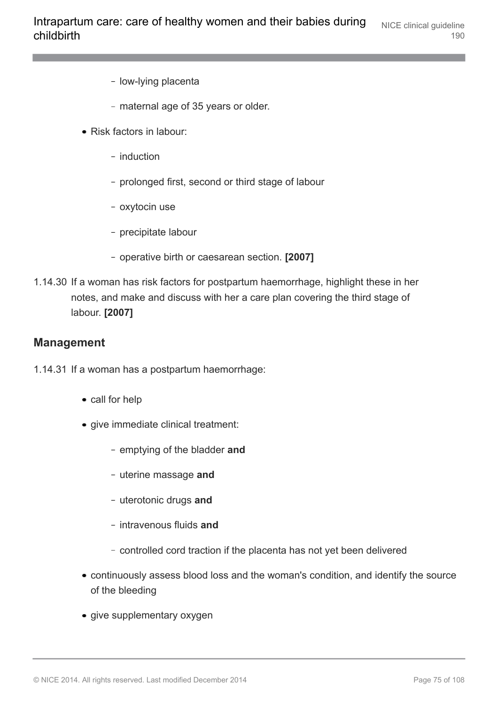- low-lying placenta
- maternal age of 35 years or older.
- Risk factors in labour:
	- induction
	- prolonged first, second or third stage of labour
	- oxytocin use
	- precipitate labour
	- operative birth or caesarean section. **[2007]**
- 1.14.30 If a woman has risk factors for postpartum haemorrhage, highlight these in her notes, and make and discuss with her a care plan covering the third stage of labour. **[2007]**

#### **Management**

- 1.14.31 If a woman has a postpartum haemorrhage:
	- call for help
	- give immediate clinical treatment:
		- emptying of the bladder and
		- uterine massage **and**
		- uterotonic drugs **and**
		- intravenous fluids and
		- controlled cord traction if the placenta has not yet been delivered
	- continuously assess blood loss and the woman's condition, and identify the source of the bleeding
	- give supplementary oxygen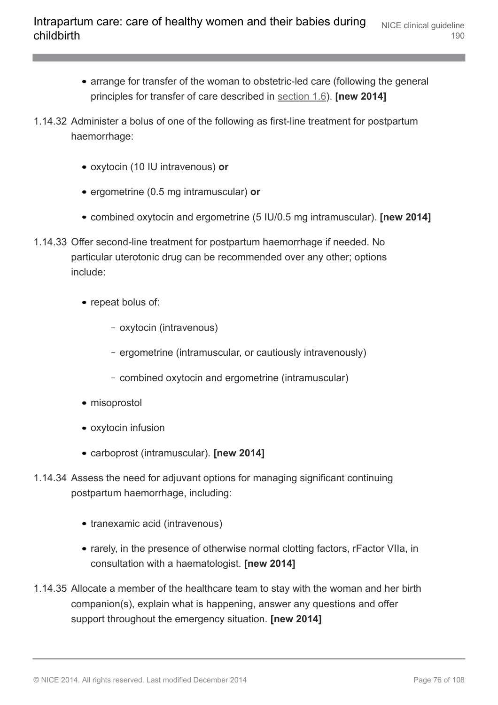- arrange for transfer of the woman to obstetric-led care (following the general principles for transfer of care described in [section](http://publications.nice.org.uk/intrapartum-care-care-of-healthy-women-and-their-babies-during-childbirth-cg190/recommendations#general-principles-for-transfer-of-care) 1.6). **[new 2014]**
- 1.14.32 Administer a bolus of one of the following as first-line treatment for postpartum haemorrhage:
	- oxytocin (10 IU intravenous) **or**
	- ergometrine (0.5 mg intramuscular) **or**
	- combined oxytocin and ergometrine (5 IU/0.5 mg intramuscular). **[new 2014]**
- 1.14.33 Offer second-line treatment for postpartum haemorrhage if needed. No particular uterotonic drug can be recommended over any other; options include:
	- repeat bolus of:
		- oxytocin (intravenous)
		- ergometrine (intramuscular, or cautiously intravenously)
		- combined oxytocin and ergometrine (intramuscular)
	- misoprostol
	- oxytocin infusion
	- carboprost (intramuscular). **[new 2014]**
- 1.14.34 Assess the need for adjuvant options for managing significant continuing postpartum haemorrhage, including:
	- tranexamic acid (intravenous)
	- rarely, in the presence of otherwise normal clotting factors, rFactor VIIa, in consultation with a haematologist. **[new 2014]**
- 1.14.35 Allocate a member of the healthcare team to stay with the woman and her birth companion(s), explain what is happening, answer any questions and offer support throughout the emergency situation. **[new 2014]**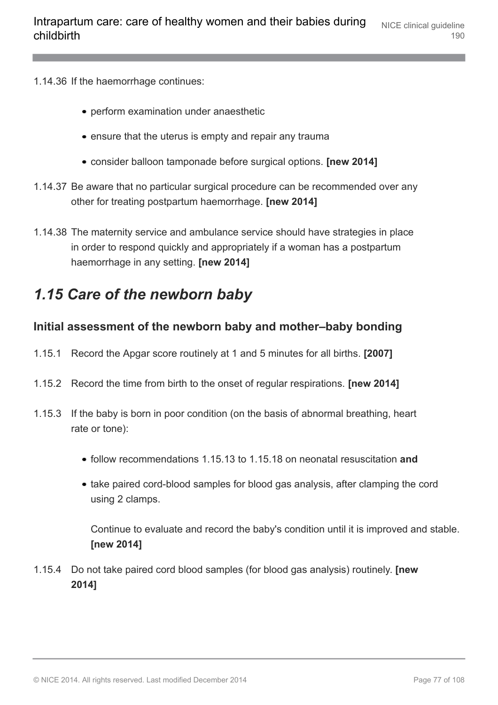- 1.14.36 If the haemorrhage continues:
	- perform examination under anaesthetic
	- ensure that the uterus is empty and repair any trauma
	- consider balloon tamponade before surgical options. **[new 2014]**
- 1.14.37 Be aware that no particular surgical procedure can be recommended over any other for treating postpartum haemorrhage. **[new 2014]**
- 1.14.38 The maternity service and ambulance service should have strategies in place in order to respond quickly and appropriately if a woman has a postpartum haemorrhage in any setting. **[new 2014]**

### *1.15 Care of the newborn baby*

#### **Initial assessment of the newborn baby and mother–baby bonding**

- 1.15.1 Record the Apgar score routinely at 1 and 5 minutes for all births. **[2007]**
- 1.15.2 Record the time from birth to the onset of regular respirations. **[new 2014]**
- 1.15.3 If the baby is born in poor condition (on the basis of abnormal breathing, heart rate or tone):
	- follow recommendations 1.15.13 to 1.15.18 on neonatal resuscitation **and**
	- take paired cord-blood samples for blood gas analysis, after clamping the cord using 2 clamps.

Continue to evaluate and record the baby's condition until it is improved and stable. **[new 2014]**

1.15.4 Do not take paired cord blood samples (for blood gas analysis) routinely. **[new 2014]**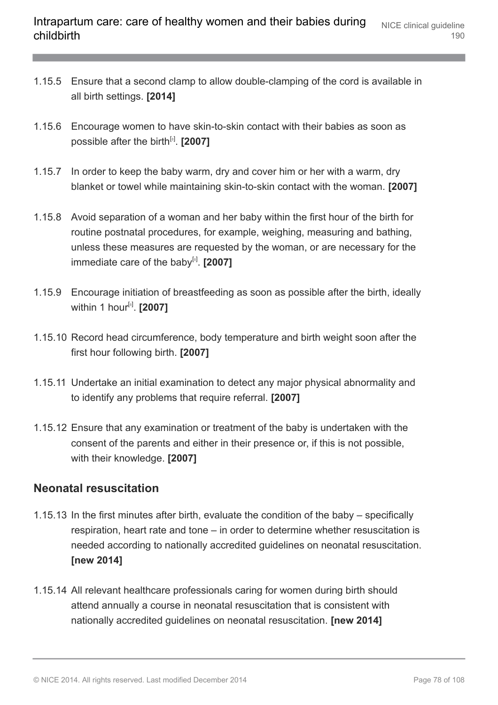- 1.15.5 Ensure that a second clamp to allow double-clamping of the cord is available in all birth settings. **[2014]**
- <span id="page-77-0"></span>1.15.6 Encourage women to have skin-to-skin contact with their babies as soon as possible after the birth[[8](#page-85-0)] . **[2007]**
- 1.15.7 In order to keep the baby warm, dry and cover him or her with a warm, dry blanket or towel while maintaining skin-to-skin contact with the woman. **[2007]**
- 1.15.8 Avoid separation of a woman and her baby within the first hour of the birth for routine postnatal procedures, for example, weighing, measuring and bathing, unless these measures are requested by the woman, or are necessary for the immediate care of the baby<sup>[[8](#page-85-0)]</sup>. [2007]
- 1.15.9 Encourage initiation of breastfeeding as soon as possible after the birth, ideally within 1 hour[[8](#page-85-0)] . **[2007]**
- 1.15.10 Record head circumference, body temperature and birth weight soon after the first hour following birth. **[2007]**
- 1.15.11 Undertake an initial examination to detect any major physical abnormality and to identify any problems that require referral. **[2007]**
- 1.15.12 Ensure that any examination or treatment of the baby is undertaken with the consent of the parents and either in their presence or, if this is not possible, with their knowledge. **[2007]**

#### **Neonatal resuscitation**

- 1.15.13 In the first minutes after birth, evaluate the condition of the baby specifically respiration, heart rate and tone – in order to determine whether resuscitation is needed according to nationally accredited guidelines on neonatal resuscitation. **[new 2014]**
- 1.15.14 All relevant healthcare professionals caring for women during birth should attend annually a course in neonatal resuscitation that is consistent with nationally accredited guidelines on neonatal resuscitation. **[new 2014]**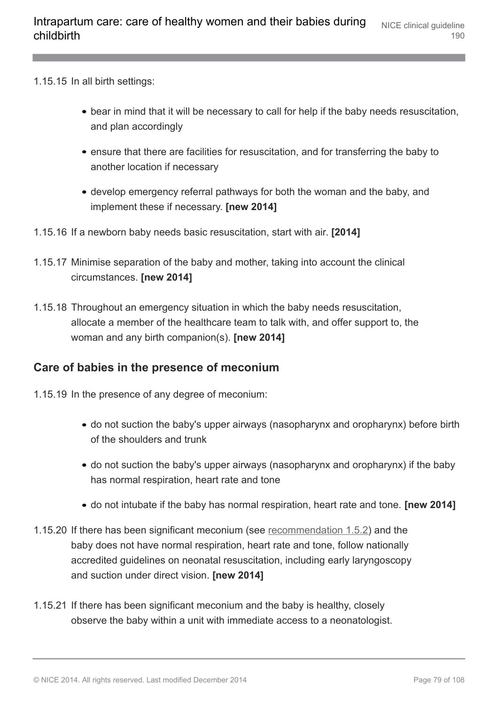- 1.15.15 In all birth settings:
	- bear in mind that it will be necessary to call for help if the baby needs resuscitation, and plan accordingly
	- ensure that there are facilities for resuscitation, and for transferring the baby to another location if necessary
	- develop emergency referral pathways for both the woman and the baby, and implement these if necessary. **[new 2014]**
- 1.15.16 If a newborn baby needs basic resuscitation, start with air. **[2014]**
- 1.15.17 Minimise separation of the baby and mother, taking into account the clinical circumstances. **[new 2014]**
- 1.15.18 Throughout an emergency situation in which the baby needs resuscitation, allocate a member of the healthcare team to talk with, and offer support to, the woman and any birth companion(s). **[new 2014]**

#### **Care of babies in the presence of meconium**

- 1.15.19 In the presence of any degree of meconium:
	- do not suction the baby's upper airways (nasopharynx and oropharynx) before birth of the shoulders and trunk
	- do not suction the baby's upper airways (nasopharynx and oropharynx) if the baby has normal respiration, heart rate and tone
	- do not intubate if the baby has normal respiration, heart rate and tone. **[new 2014]**
- 1.15.20 If there has been significant meconium (see [recommendation](http://publications.nice.org.uk/intrapartum-care-care-of-healthy-women-and-their-babies-during-childbirth-cg190/recommendations#presence-of-meconium) 1.5.2) and the baby does not have normal respiration, heart rate and tone, follow nationally accredited guidelines on neonatal resuscitation, including early laryngoscopy and suction under direct vision. **[new 2014]**
- 1.15.21 If there has been significant meconium and the baby is healthy, closely observe the baby within a unit with immediate access to a neonatologist.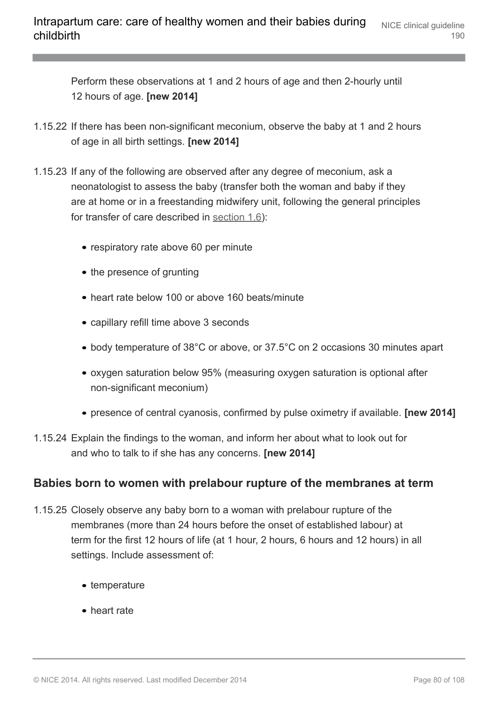Perform these observations at 1 and 2 hours of age and then 2-hourly until 12 hours of age. **[new 2014]**

- 1.15.22 If there has been non-significant meconium, observe the baby at 1 and 2 hours of age in all birth settings. **[new 2014]**
- 1.15.23 If any of the following are observed after any degree of meconium, ask a neonatologist to assess the baby (transfer both the woman and baby if they are at home or in a freestanding midwifery unit, following the general principles for transfer of care described in [section](http://publications.nice.org.uk/intrapartum-care-care-of-healthy-women-and-their-babies-during-childbirth-cg190/recommendations#general-principles-for-transfer-of-care) 1.6):
	- respiratory rate above 60 per minute
	- the presence of grunting
	- heart rate below 100 or above 160 beats/minute
	- capillary refill time above 3 seconds
	- body temperature of 38°C or above, or 37.5°C on 2 occasions 30 minutes apart
	- oxygen saturation below 95% (measuring oxygen saturation is optional after non-significant meconium)
	- presence of central cyanosis, confirmed by pulse oximetry if available. **[new 2014]**
- 1.15.24 Explain the findings to the woman, and inform her about what to look out for and who to talk to if she has any concerns. **[new 2014]**

#### **Babies born to women with prelabour rupture of the membranes at term**

- 1.15.25 Closely observe any baby born to a woman with prelabour rupture of the membranes (more than 24 hours before the onset of established labour) at term for the first 12 hours of life (at 1 hour, 2 hours, 6 hours and 12 hours) in all settings. Include assessment of:
	- temperature
	- heart rate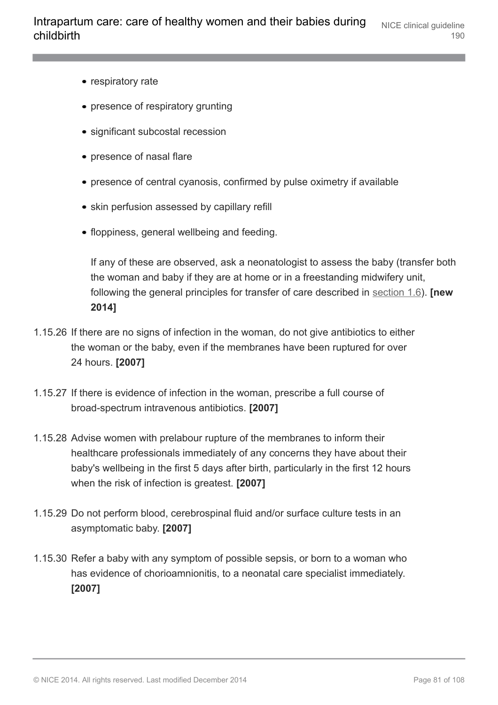- respiratory rate
- presence of respiratory grunting
- significant subcostal recession
- presence of nasal flare
- presence of central cyanosis, confirmed by pulse oximetry if available
- skin perfusion assessed by capillary refill
- floppiness, general wellbeing and feeding.

If any of these are observed, ask a neonatologist to assess the baby (transfer both the woman and baby if they are at home or in a freestanding midwifery unit, following the general principles for transfer of care described in [section](http://publications.nice.org.uk/intrapartum-care-care-of-healthy-women-and-their-babies-during-childbirth-cg190/recommendations#general-principles-for-transfer-of-care) 1.6). **[new 2014]**

- 1.15.26 If there are no signs of infection in the woman, do not give antibiotics to either the woman or the baby, even if the membranes have been ruptured for over 24 hours. **[2007]**
- 1.15.27 If there is evidence of infection in the woman, prescribe a full course of broad-spectrum intravenous antibiotics. **[2007]**
- 1.15.28 Advise women with prelabour rupture of the membranes to inform their healthcare professionals immediately of any concerns they have about their baby's wellbeing in the first 5 days after birth, particularly in the first 12 hours when the risk of infection is greatest. **[2007]**
- 1.15.29 Do not perform blood, cerebrospinal fluid and/or surface culture tests in an asymptomatic baby. **[2007]**
- 1.15.30 Refer a baby with any symptom of possible sepsis, or born to a woman who has evidence of chorioamnionitis, to a neonatal care specialist immediately. **[2007]**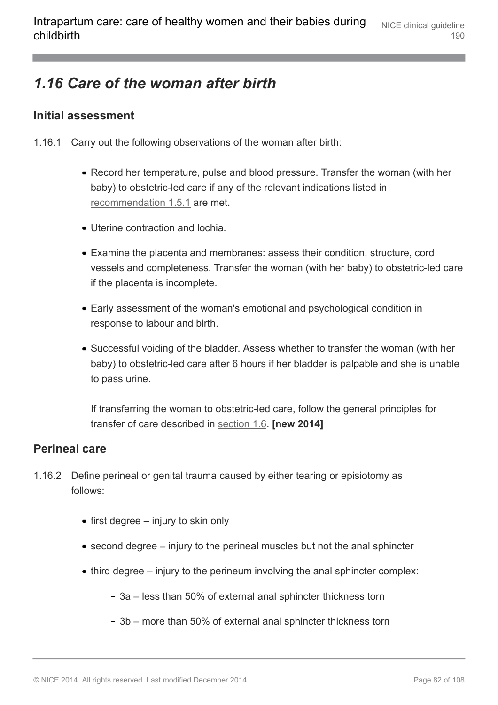## *1.16 Care of the woman after birth*

### **Initial assessment**

- 1.16.1 Carry out the following observations of the woman after birth:
	- Record her temperature, pulse and blood pressure. Transfer the woman (with her baby) to obstetric-led care if any of the relevant indications listed in [recommendation](http://publications.nice.org.uk/intrapartum-care-care-of-healthy-women-and-their-babies-during-childbirth-cg190/recommendations#ongoing-assessment) 1.5.1 are met.
	- Uterine contraction and lochia.
	- Examine the placenta and membranes: assess their condition, structure, cord vessels and completeness. Transfer the woman (with her baby) to obstetric-led care if the placenta is incomplete.
	- Early assessment of the woman's emotional and psychological condition in response to labour and birth.
	- Successful voiding of the bladder. Assess whether to transfer the woman (with her baby) to obstetric-led care after 6 hours if her bladder is palpable and she is unable to pass urine.

If transferring the woman to obstetric-led care, follow the general principles for transfer of care described in [section](http://publications.nice.org.uk/intrapartum-care-care-of-healthy-women-and-their-babies-during-childbirth-cg190/recommendations#general-principles-for-transfer-of-care) 1.6. **[new 2014]**

### **Perineal care**

- 1.16.2 Define perineal or genital trauma caused by either tearing or episiotomy as follows:
	- $\bullet$  first degree injury to skin only
	- second degree injury to the perineal muscles but not the anal sphincter
	- third degree injury to the perineum involving the anal sphincter complex:
		- 3a less than 50% of external anal sphincter thickness torn
		- 3b more than 50% of external anal sphincter thickness torn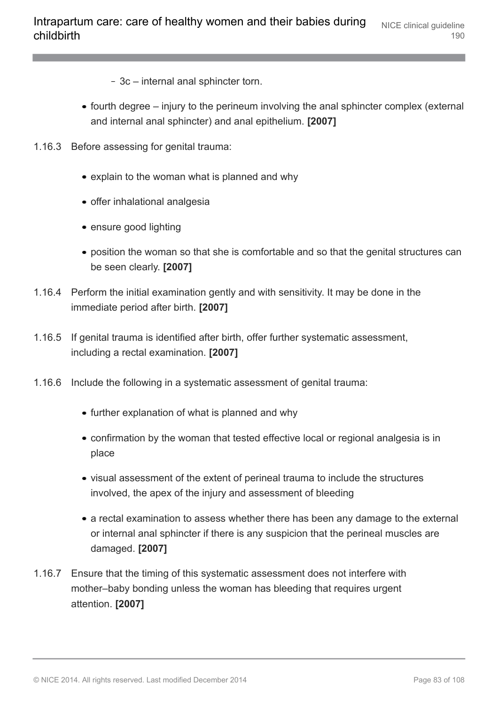- 3c internal anal sphincter torn.
- fourth degree injury to the perineum involving the anal sphincter complex (external and internal anal sphincter) and anal epithelium. **[2007]**
- 1.16.3 Before assessing for genital trauma:
	- explain to the woman what is planned and why
	- offer inhalational analgesia
	- ensure good lighting
	- position the woman so that she is comfortable and so that the genital structures can be seen clearly. **[2007]**
- 1.16.4 Perform the initial examination gently and with sensitivity. It may be done in the immediate period after birth. **[2007]**
- 1.16.5 If genital trauma is identified after birth, offer further systematic assessment, including a rectal examination. **[2007]**
- 1.16.6 Include the following in a systematic assessment of genital trauma:
	- further explanation of what is planned and why
	- confirmation by the woman that tested effective local or regional analgesia is in place
	- visual assessment of the extent of perineal trauma to include the structures involved, the apex of the injury and assessment of bleeding
	- a rectal examination to assess whether there has been any damage to the external or internal anal sphincter if there is any suspicion that the perineal muscles are damaged. **[2007]**
- 1.16.7 Ensure that the timing of this systematic assessment does not interfere with mother–baby bonding unless the woman has bleeding that requires urgent attention. **[2007]**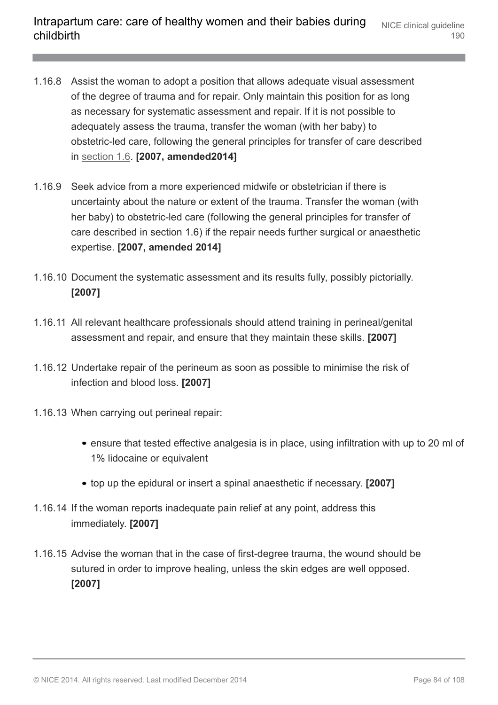- 1.16.8 Assist the woman to adopt a position that allows adequate visual assessment of the degree of trauma and for repair. Only maintain this position for as long as necessary for systematic assessment and repair. If it is not possible to adequately assess the trauma, transfer the woman (with her baby) to obstetric-led care, following the general principles for transfer of care described in [section](http://publications.nice.org.uk/intrapartum-care-care-of-healthy-women-and-their-babies-during-childbirth-cg190/recommendations#general-principles-for-transfer-of-care) 1.6. **[2007, amended2014]**
- 1.16.9 Seek advice from a more experienced midwife or obstetrician if there is uncertainty about the nature or extent of the trauma. Transfer the woman (with her baby) to obstetric-led care (following the general principles for transfer of care described in section 1.6) if the repair needs further surgical or anaesthetic expertise. **[2007, amended 2014]**
- 1.16.10 Document the systematic assessment and its results fully, possibly pictorially. **[2007]**
- 1.16.11 All relevant healthcare professionals should attend training in perineal/genital assessment and repair, and ensure that they maintain these skills. **[2007]**
- 1.16.12 Undertake repair of the perineum as soon as possible to minimise the risk of infection and blood loss. **[2007]**
- 1.16.13 When carrying out perineal repair:
	- ensure that tested effective analgesia is in place, using infiltration with up to 20 ml of 1% lidocaine or equivalent
	- top up the epidural or insert a spinal anaesthetic if necessary. **[2007]**
- 1.16.14 If the woman reports inadequate pain relief at any point, address this immediately. **[2007]**
- 1.16.15 Advise the woman that in the case of first-degree trauma, the wound should be sutured in order to improve healing, unless the skin edges are well opposed. **[2007]**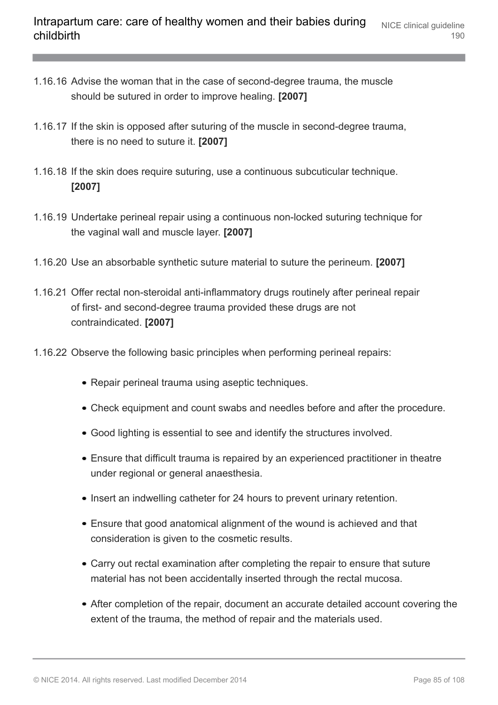- 1.16.16 Advise the woman that in the case of second-degree trauma, the muscle should be sutured in order to improve healing. **[2007]**
- 1.16.17 If the skin is opposed after suturing of the muscle in second-degree trauma, there is no need to suture it. **[2007]**
- 1.16.18 If the skin does require suturing, use a continuous subcuticular technique. **[2007]**
- 1.16.19 Undertake perineal repair using a continuous non-locked suturing technique for the vaginal wall and muscle layer. **[2007]**
- 1.16.20 Use an absorbable synthetic suture material to suture the perineum. **[2007]**
- 1.16.21 Offer rectal non-steroidal anti-inflammatory drugs routinely after perineal repair of first- and second-degree trauma provided these drugs are not contraindicated. **[2007]**
- 1.16.22 Observe the following basic principles when performing perineal repairs:
	- Repair perineal trauma using aseptic techniques.
	- Check equipment and count swabs and needles before and after the procedure.
	- Good lighting is essential to see and identify the structures involved.
	- Ensure that difficult trauma is repaired by an experienced practitioner in theatre under regional or general anaesthesia.
	- Insert an indwelling catheter for 24 hours to prevent urinary retention.
	- Ensure that good anatomical alignment of the wound is achieved and that consideration is given to the cosmetic results.
	- Carry out rectal examination after completing the repair to ensure that suture material has not been accidentally inserted through the rectal mucosa.
	- After completion of the repair, document an accurate detailed account covering the extent of the trauma, the method of repair and the materials used.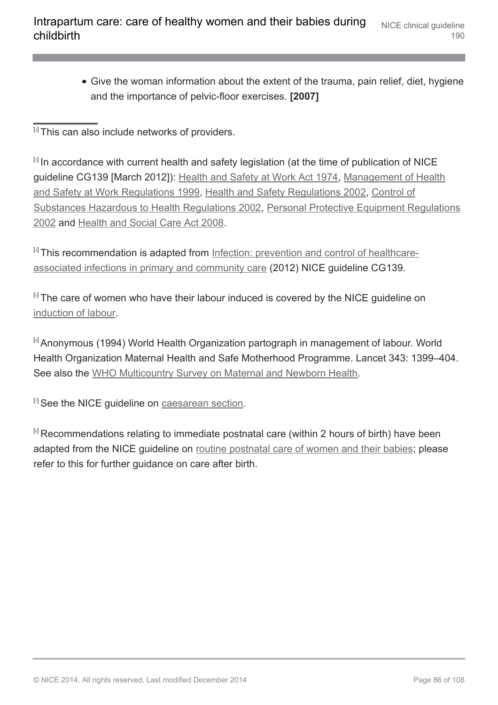Give the woman information about the extent of the trauma, pain relief, diet, hygiene and the importance of pelvic-floor exercises. **[2007]**

[[2](#page-21-0)] This can also include networks of providers.

[[3](#page-23-0)] In accordance with current health and safety legislation (at the time of publication of NICE guideline CG139 [March 2012]): [Health and Safety at Work Act 1974,](http://www.legislation.gov.uk/ukpga/1974/37) [Management of Health](http://www.legislation.gov.uk/uksi/1999/3242/contents/made) [and Safety at Work Regulations 1999,](http://www.legislation.gov.uk/uksi/1999/3242/contents/made) [Health and Safety Regulations 2002](http://www.legislation.gov.uk/uksi/2002/2174/contents/made), [Control of](http://www.legislation.gov.uk/uksi/2002/2677/contents/made) [Substances Hazardous to Health Regulations 2002](http://www.legislation.gov.uk/uksi/2002/2677/contents/made), [Personal Protective Equipment Regulations](http://www.legislation.gov.uk/uksi/2002/1144/contents/made) [2002](http://www.legislation.gov.uk/uksi/2002/1144/contents/made) and [Health and Social Care Act 2008](http://www.legislation.gov.uk/ukpga/2008/14/contents).

[[4](#page-23-1)] This recommendation is adapted from [Infection: prevention and control of healthcare](http://www.nice.org.uk/guidance/cg139)[associated infections in primary and community care](http://www.nice.org.uk/guidance/cg139) (2012) NICE guideline CG139.

<sup>[6]</sup> The care of women who have their labour induced is covered by the NICE quideline on [induction of labour](http://www.nice.org.uk/guidance/cg70).

[[6](#page-59-0)] Anonymous (1994) World Health Organization partograph in management of labour. World Health Organization Maternal Health and Safe Motherhood Programme. Lancet 343: 1399–404. See also the [WHO Multicountry Survey on Maternal and Newborn Health.](http://www.who.int/reproductivehealth/en/)

[[7](#page-68-0)] See the NICE quideline on [caesarean section.](http://www.nice.org.uk/guidance/cg132)

<span id="page-85-0"></span><sup>[[8](#page-77-0)]</sup> Recommendations relating to immediate postnatal care (within 2 hours of birth) have been adapted from the NICE guideline on [routine postnatal care of women and their babies;](http://www.nice.org.uk/guidance/cg37) please refer to this for further guidance on care after birth.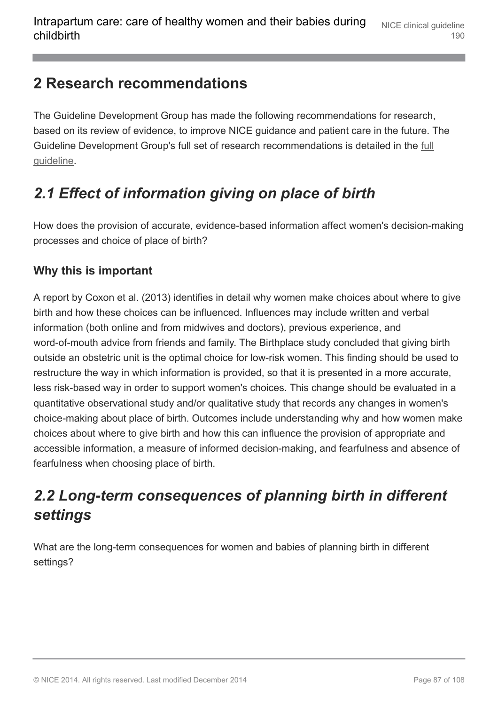### **2 Research recommendations**

The Guideline Development Group has made the following recommendations for research, based on its review of evidence, to improve NICE guidance and patient care in the future. The Guideline Development Group's full set of research recommendations is detailed in the [full](http://www.nice.org.uk/Guidance/CG190/Evidence) [guideline](http://www.nice.org.uk/Guidance/CG190/Evidence).

# *2.1 Effect of information giving on place of birth*

How does the provision of accurate, evidence-based information affect women's decision-making processes and choice of place of birth?

### **Why this is important**

A report by Coxon et al. (2013) identifies in detail why women make choices about where to give birth and how these choices can be influenced. Influences may include written and verbal information (both online and from midwives and doctors), previous experience, and word-of-mouth advice from friends and family. The Birthplace study concluded that giving birth outside an obstetric unit is the optimal choice for low-risk women. This finding should be used to restructure the way in which information is provided, so that it is presented in a more accurate, less risk-based way in order to support women's choices. This change should be evaluated in a quantitative observational study and/or qualitative study that records any changes in women's choice-making about place of birth. Outcomes include understanding why and how women make choices about where to give birth and how this can influence the provision of appropriate and accessible information, a measure of informed decision-making, and fearfulness and absence of fearfulness when choosing place of birth.

# *2.2 Long-term consequences of planning birth in different settings*

What are the long-term consequences for women and babies of planning birth in different settings?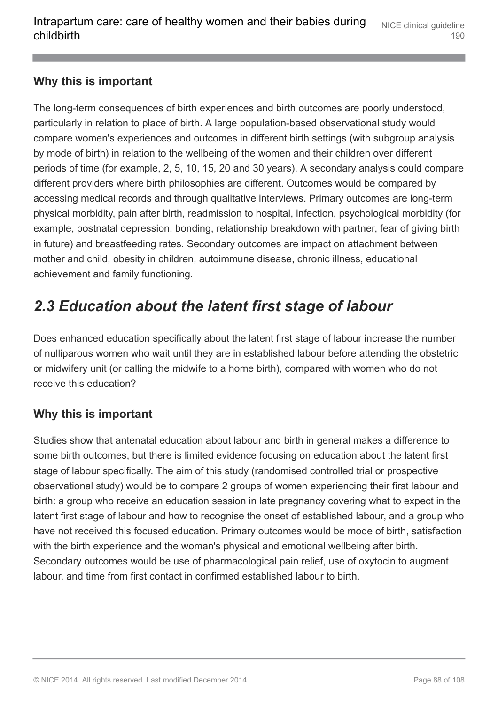### **Why this is important**

The long-term consequences of birth experiences and birth outcomes are poorly understood, particularly in relation to place of birth. A large population-based observational study would compare women's experiences and outcomes in different birth settings (with subgroup analysis by mode of birth) in relation to the wellbeing of the women and their children over different periods of time (for example, 2, 5, 10, 15, 20 and 30 years). A secondary analysis could compare different providers where birth philosophies are different. Outcomes would be compared by accessing medical records and through qualitative interviews. Primary outcomes are long-term physical morbidity, pain after birth, readmission to hospital, infection, psychological morbidity (for example, postnatal depression, bonding, relationship breakdown with partner, fear of giving birth in future) and breastfeeding rates. Secondary outcomes are impact on attachment between mother and child, obesity in children, autoimmune disease, chronic illness, educational achievement and family functioning.

# *2.3 Education about the latent first stage of labour*

Does enhanced education specifically about the latent first stage of labour increase the number of nulliparous women who wait until they are in established labour before attending the obstetric or midwifery unit (or calling the midwife to a home birth), compared with women who do not receive this education?

### **Why this is important**

Studies show that antenatal education about labour and birth in general makes a difference to some birth outcomes, but there is limited evidence focusing on education about the latent first stage of labour specifically. The aim of this study (randomised controlled trial or prospective observational study) would be to compare 2 groups of women experiencing their first labour and birth: a group who receive an education session in late pregnancy covering what to expect in the latent first stage of labour and how to recognise the onset of established labour, and a group who have not received this focused education. Primary outcomes would be mode of birth, satisfaction with the birth experience and the woman's physical and emotional wellbeing after birth. Secondary outcomes would be use of pharmacological pain relief, use of oxytocin to augment labour, and time from first contact in confirmed established labour to birth.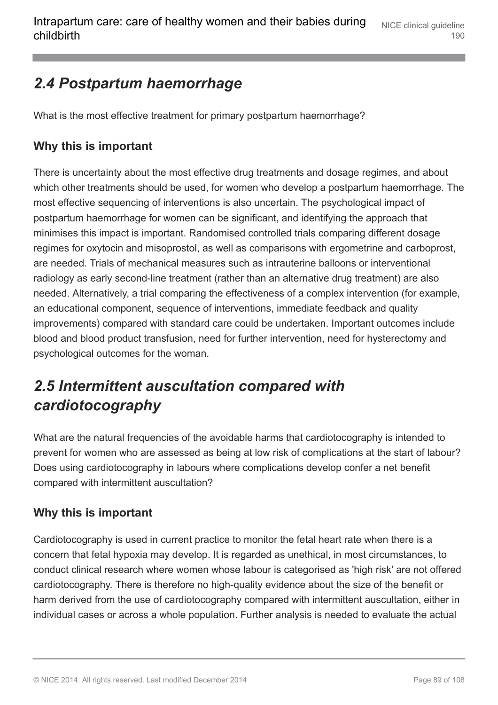# *2.4 Postpartum haemorrhage*

What is the most effective treatment for primary postpartum haemorrhage?

### **Why this is important**

There is uncertainty about the most effective drug treatments and dosage regimes, and about which other treatments should be used, for women who develop a postpartum haemorrhage. The most effective sequencing of interventions is also uncertain. The psychological impact of postpartum haemorrhage for women can be significant, and identifying the approach that minimises this impact is important. Randomised controlled trials comparing different dosage regimes for oxytocin and misoprostol, as well as comparisons with ergometrine and carboprost, are needed. Trials of mechanical measures such as intrauterine balloons or interventional radiology as early second-line treatment (rather than an alternative drug treatment) are also needed. Alternatively, a trial comparing the effectiveness of a complex intervention (for example, an educational component, sequence of interventions, immediate feedback and quality improvements) compared with standard care could be undertaken. Important outcomes include blood and blood product transfusion, need for further intervention, need for hysterectomy and psychological outcomes for the woman.

# *2.5 Intermittent auscultation compared with cardiotocography*

What are the natural frequencies of the avoidable harms that cardiotocography is intended to prevent for women who are assessed as being at low risk of complications at the start of labour? Does using cardiotocography in labours where complications develop confer a net benefit compared with intermittent auscultation?

### **Why this is important**

Cardiotocography is used in current practice to monitor the fetal heart rate when there is a concern that fetal hypoxia may develop. It is regarded as unethical, in most circumstances, to conduct clinical research where women whose labour is categorised as 'high risk' are not offered cardiotocography. There is therefore no high-quality evidence about the size of the benefit or harm derived from the use of cardiotocography compared with intermittent auscultation, either in individual cases or across a whole population. Further analysis is needed to evaluate the actual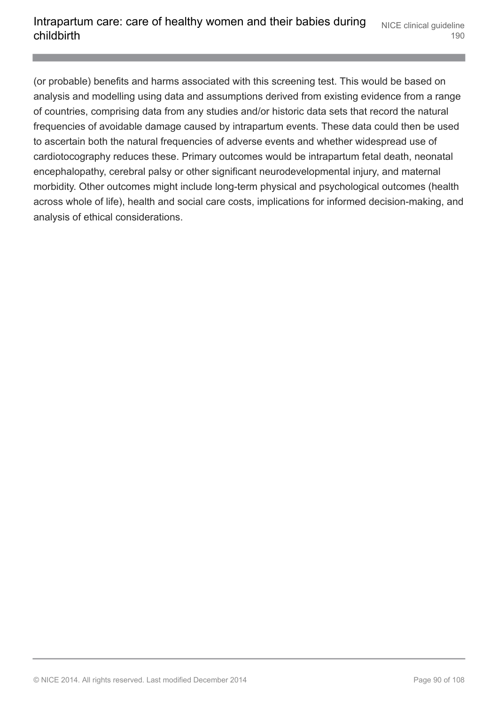(or probable) benefits and harms associated with this screening test. This would be based on analysis and modelling using data and assumptions derived from existing evidence from a range of countries, comprising data from any studies and/or historic data sets that record the natural frequencies of avoidable damage caused by intrapartum events. These data could then be used to ascertain both the natural frequencies of adverse events and whether widespread use of cardiotocography reduces these. Primary outcomes would be intrapartum fetal death, neonatal encephalopathy, cerebral palsy or other significant neurodevelopmental injury, and maternal morbidity. Other outcomes might include long-term physical and psychological outcomes (health across whole of life), health and social care costs, implications for informed decision-making, and analysis of ethical considerations.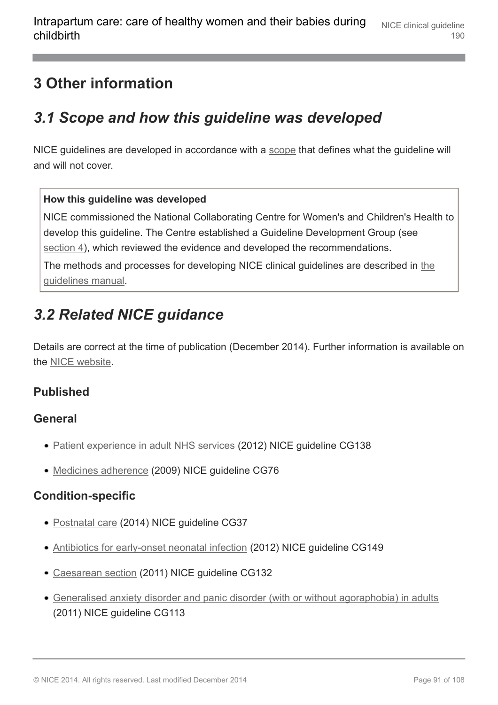# **3 Other information**

## *3.1 Scope and how this guideline was developed*

NICE guidelines are developed in accordance with a [scope](http://www.nice.org.uk/guidance/CG190/documents) that defines what the guideline will and will not cover.

#### **How this guideline was developed**

NICE commissioned the National Collaborating Centre for Women's and Children's Health to develop this guideline. The Centre established a Guideline Development Group (see [section](http://publications.nice.org.uk/intrapartum-care-care-of-healthy-women-and-their-babies-during-childbirth-cg190/the-guideline-development-group-national-collaborating-centre-and-nice-project-team) 4), which reviewed the evidence and developed the recommendations.

The methods and processes for developing NICE clinical guidelines are described in [the](http://www.nice.org.uk/About/What-we-do/Our-Programmes/NICE-guidance/NICE-guidelines/NICE-clinical-guidelines) [guidelines manual.](http://www.nice.org.uk/About/What-we-do/Our-Programmes/NICE-guidance/NICE-guidelines/NICE-clinical-guidelines)

## *3.2 Related NICE guidance*

Details are correct at the time of publication (December 2014). Further information is available on the [NICE website.](http://www.nice.org.uk/)

### **Published**

#### **General**

- [Patient experience in adult NHS services](http://www.nice.org.uk/guidance/cg138) (2012) NICE quideline CG138
- [Medicines adherence](http://www.nice.org.uk/guidance/cg76) (2009) NICE guideline CG76

### **Condition-specific**

- [Postnatal care](http://www.nice.org.uk/guidance/cg37) (2014) NICE guideline CG37
- [Antibiotics for early-onset neonatal infection](http://www.nice.org.uk/guidance/cg149) (2012) NICE guideline CG149
- [Caesarean section](http://www.nice.org.uk/guidance/cg132) (2011) NICE guideline CG132
- [Generalised anxiety disorder and panic disorder \(with or without agoraphobia\) in adults](http://www.nice.org.uk/guidance/cg113) (2011) NICE guideline CG113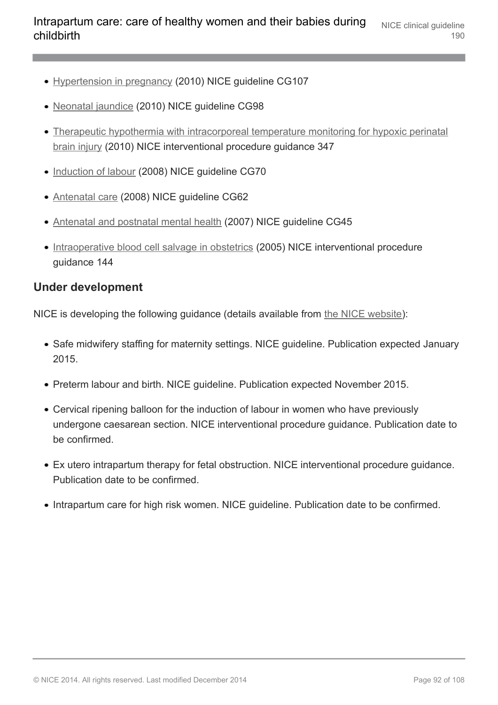- [Hypertension in pregnancy](http://www.nice.org.uk/guidance/cg107) (2010) NICE quideline CG107
- [Neonatal jaundice](http://www.nice.org.uk/guidance/cg98) (2010) NICE guideline CG98
- [Therapeutic hypothermia with intracorporeal temperature monitoring for hypoxic perinatal](http://www.nice.org.uk/guidance/IPG347) [brain injury](http://www.nice.org.uk/guidance/IPG347) (2010) NICE interventional procedure guidance 347
- [Induction of labour](http://www.nice.org.uk/guidance/cg70) (2008) NICE guideline CG70
- [Antenatal care](http://www.nice.org.uk/guidance/cg62) (2008) NICE guideline CG62
- [Antenatal and postnatal mental health](http://www.nice.org.uk/guidance/cg45) (2007) NICE guideline CG45
- [Intraoperative blood cell salvage in obstetrics](http://www.nice.org.uk/guidance/IPG144) (2005) NICE interventional procedure guidance 144

### **Under development**

NICE is developing the following guidance (details available from [the NICE website](http://www.nice.org.uk/)):

- Safe midwifery staffing for maternity settings. NICE quideline. Publication expected January 2015.
- Preterm labour and birth. NICE guideline. Publication expected November 2015.
- Cervical ripening balloon for the induction of labour in women who have previously undergone caesarean section. NICE interventional procedure guidance. Publication date to be confirmed.
- Ex utero intrapartum therapy for fetal obstruction. NICE interventional procedure guidance. Publication date to be confirmed.
- Intrapartum care for high risk women. NICE guideline. Publication date to be confirmed.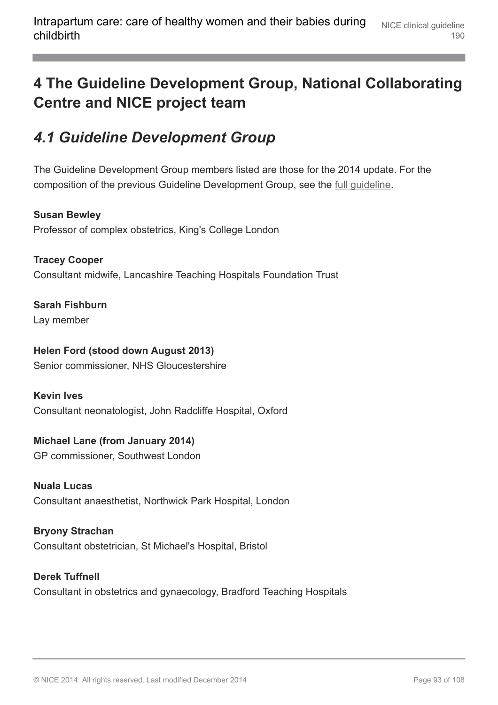## **4 The Guideline Development Group, National Collaborating Centre and NICE project team**

## *4.1 Guideline Development Group*

The Guideline Development Group members listed are those for the 2014 update. For the composition of the previous Guideline Development Group, see the [full guideline.](http://www.nice.org.uk/Guidance/CG190/Evidence)

### **Susan Bewley** Professor of complex obstetrics, King's College London

**Tracey Cooper** Consultant midwife, Lancashire Teaching Hospitals Foundation Trust

#### **Sarah Fishburn** Lay member

#### **Helen Ford (stood down August 2013)**

Senior commissioner, NHS Gloucestershire

#### **Kevin Ives**

Consultant neonatologist, John Radcliffe Hospital, Oxford

### **Michael Lane (from January 2014)**

GP commissioner, Southwest London

#### **Nuala Lucas** Consultant anaesthetist, Northwick Park Hospital, London

**Bryony Strachan** Consultant obstetrician, St Michael's Hospital, Bristol

### **Derek Tuffnell** Consultant in obstetrics and gynaecology, Bradford Teaching Hospitals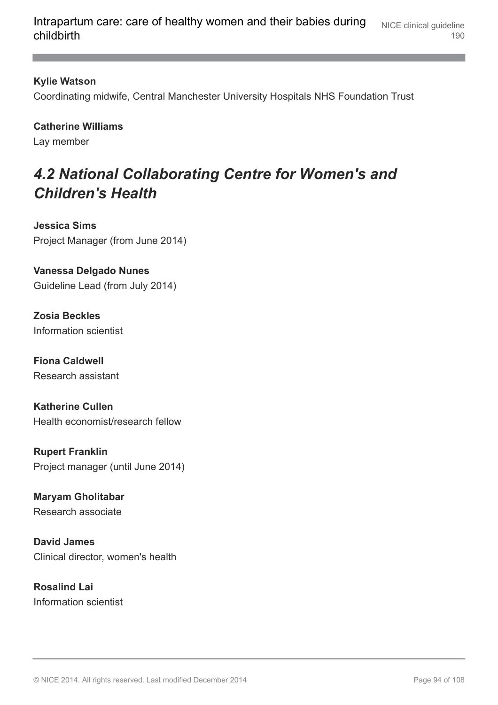Intrapartum care: care of healthy women and their babies during childbirth NICE clinical guideline 190

**Kylie Watson** Coordinating midwife, Central Manchester University Hospitals NHS Foundation Trust

### **Catherine Williams**

Lay member

# *4.2 National Collaborating Centre for Women's and Children's Health*

**Jessica Sims** Project Manager (from June 2014)

**Vanessa Delgado Nunes** Guideline Lead (from July 2014)

**Zosia Beckles** Information scientist

**Fiona Caldwell** Research assistant

**Katherine Cullen** Health economist/research fellow

**Rupert Franklin** Project manager (until June 2014)

**Maryam Gholitabar** Research associate

**David James** Clinical director, women's health

**Rosalind Lai** Information scientist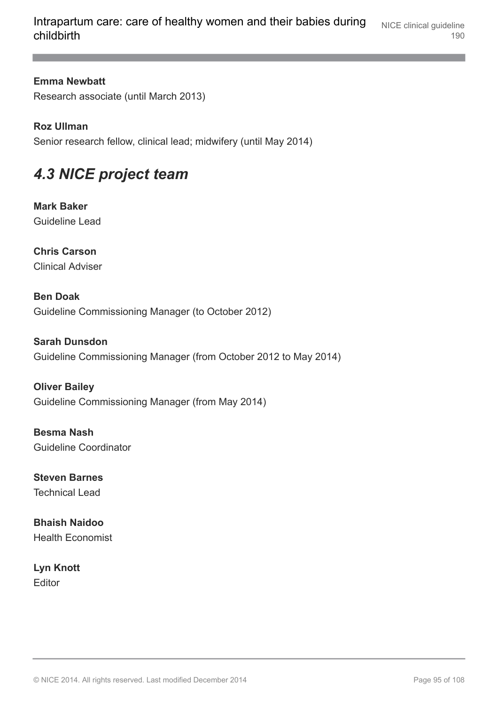Intrapartum care: care of healthy women and their babies during childbirth NICE clinical guideline 190

**Emma Newbatt** Research associate (until March 2013)

**Roz Ullman** Senior research fellow, clinical lead; midwifery (until May 2014)

# *4.3 NICE project team*

**Mark Baker** Guideline Lead

**Chris Carson** Clinical Adviser

**Ben Doak** Guideline Commissioning Manager (to October 2012)

**Sarah Dunsdon** Guideline Commissioning Manager (from October 2012 to May 2014)

**Oliver Bailey** Guideline Commissioning Manager (from May 2014)

**Besma Nash** Guideline Coordinator

**Steven Barnes** Technical Lead

**Bhaish Naidoo** Health Economist

**Lyn Knott** Editor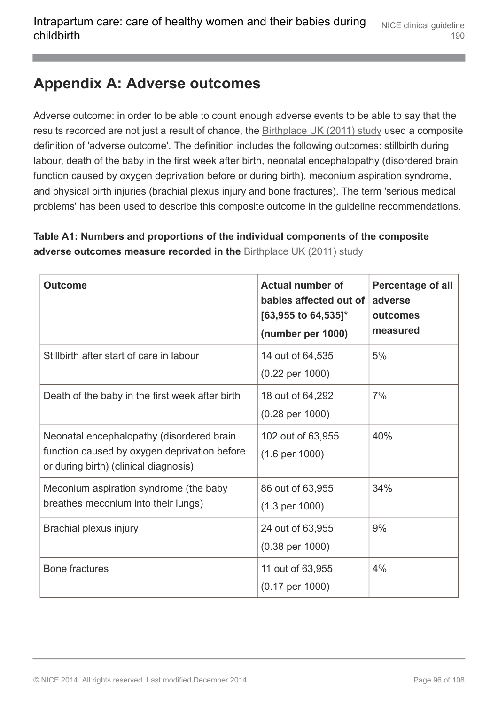### **Appendix A: Adverse outcomes**

Adverse outcome: in order to be able to count enough adverse events to be able to say that the results recorded are not just a result of chance, the [Birthplace UK \(2011\) study](https://www.npeu.ox.ac.uk/birthplace) used a composite definition of 'adverse outcome'. The definition includes the following outcomes: stillbirth during labour, death of the baby in the first week after birth, neonatal encephalopathy (disordered brain function caused by oxygen deprivation before or during birth), meconium aspiration syndrome, and physical birth injuries (brachial plexus injury and bone fractures). The term 'serious medical problems' has been used to describe this composite outcome in the guideline recommendations.

### **Table A1: Numbers and proportions of the individual components of the composite adverse outcomes measure recorded in the** [Birthplace UK \(2011\) study](https://www.npeu.ox.ac.uk/birthplace)

| <b>Outcome</b>                                                                                                                     | <b>Actual number of</b><br>babies affected out of<br>$[63,955$ to 64,535]*<br>(number per 1000) | <b>Percentage of all</b><br>adverse<br>outcomes<br>measured |
|------------------------------------------------------------------------------------------------------------------------------------|-------------------------------------------------------------------------------------------------|-------------------------------------------------------------|
| Stillbirth after start of care in labour                                                                                           | 14 out of 64,535<br>$(0.22 \text{ per } 1000)$                                                  | 5%                                                          |
| Death of the baby in the first week after birth                                                                                    | 18 out of 64,292<br>$(0.28 \text{ per } 1000)$                                                  | 7%                                                          |
| Neonatal encephalopathy (disordered brain<br>function caused by oxygen deprivation before<br>or during birth) (clinical diagnosis) | 102 out of 63,955<br>$(1.6 \text{ per } 1000)$                                                  | 40%                                                         |
| Meconium aspiration syndrome (the baby<br>breathes meconium into their lungs)                                                      | 86 out of 63,955<br>$(1.3 \text{ per } 1000)$                                                   | 34%                                                         |
| Brachial plexus injury                                                                                                             | 24 out of 63,955<br>$(0.38 \text{ per } 1000)$                                                  | 9%                                                          |
| <b>Bone fractures</b>                                                                                                              | 11 out of 63,955<br>$(0.17 \text{ per } 1000)$                                                  | 4%                                                          |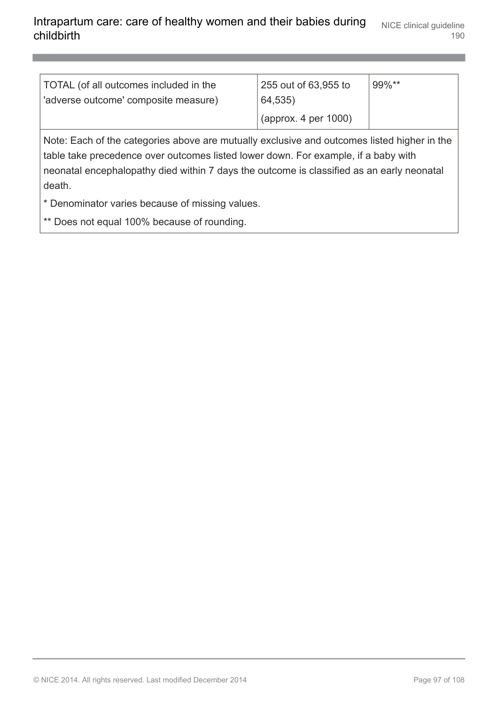| TOTAL (of all outcomes included in the<br>'adverse outcome' composite measure) | 255 out of 63,955 to<br>64,535 | 99%** |
|--------------------------------------------------------------------------------|--------------------------------|-------|
|                                                                                | (approx. 4 per 1000)           |       |

Note: Each of the categories above are mutually exclusive and outcomes listed higher in the table take precedence over outcomes listed lower down. For example, if a baby with neonatal encephalopathy died within 7 days the outcome is classified as an early neonatal death.

\* Denominator varies because of missing values.

\*\* Does not equal 100% because of rounding.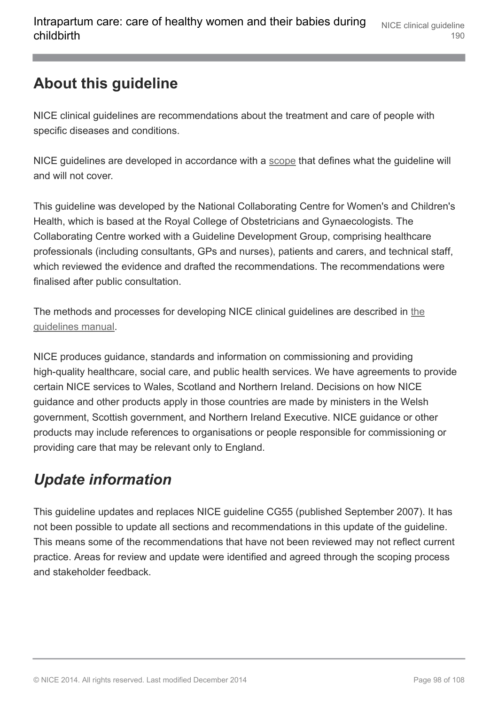# **About this guideline**

NICE clinical guidelines are recommendations about the treatment and care of people with specific diseases and conditions.

NICE guidelines are developed in accordance with a [scope](https://www.nice.org.uk/Guidance/CG190/Documents) that defines what the guideline will and will not cover.

This guideline was developed by the National Collaborating Centre for Women's and Children's Health, which is based at the Royal College of Obstetricians and Gynaecologists. The Collaborating Centre worked with a Guideline Development Group, comprising healthcare professionals (including consultants, GPs and nurses), patients and carers, and technical staff, which reviewed the evidence and drafted the recommendations. The recommendations were finalised after public consultation.

The methods and processes for developing NICE clinical guidelines are described in [the](http://www.nice.org.uk/article/PMG6/chapter/1%20Introduction) [guidelines manual.](http://www.nice.org.uk/article/PMG6/chapter/1%20Introduction)

NICE produces guidance, standards and information on commissioning and providing high-quality healthcare, social care, and public health services. We have agreements to provide certain NICE services to Wales, Scotland and Northern Ireland. Decisions on how NICE guidance and other products apply in those countries are made by ministers in the Welsh government, Scottish government, and Northern Ireland Executive. NICE guidance or other products may include references to organisations or people responsible for commissioning or providing care that may be relevant only to England.

# *Update information*

This guideline updates and replaces NICE guideline CG55 (published September 2007). It has not been possible to update all sections and recommendations in this update of the guideline. This means some of the recommendations that have not been reviewed may not reflect current practice. Areas for review and update were identified and agreed through the scoping process and stakeholder feedback.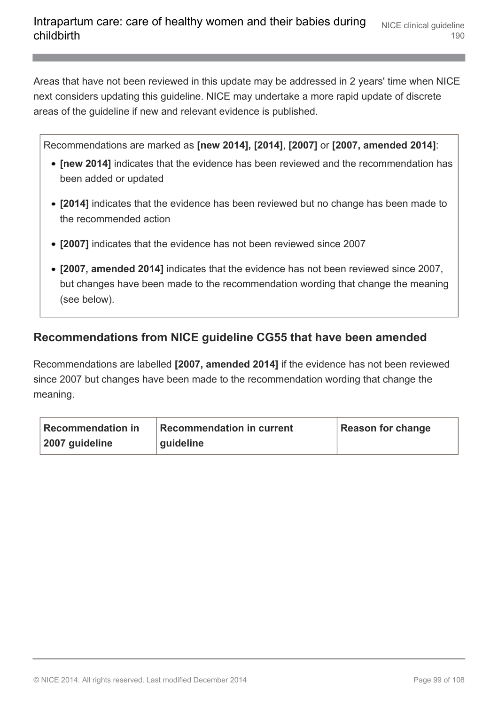Areas that have not been reviewed in this update may be addressed in 2 years' time when NICE next considers updating this guideline. NICE may undertake a more rapid update of discrete areas of the guideline if new and relevant evidence is published.

Recommendations are marked as **[new 2014], [2014]**, **[2007]** or **[2007, amended 2014]**:

- **[new 2014]** indicates that the evidence has been reviewed and the recommendation has been added or updated
- **[2014]** indicates that the evidence has been reviewed but no change has been made to the recommended action
- **[2007]** indicates that the evidence has not been reviewed since 2007
- **[2007, amended 2014]** indicates that the evidence has not been reviewed since 2007, but changes have been made to the recommendation wording that change the meaning (see below).

### **Recommendations from NICE guideline CG55 that have been amended**

Recommendations are labelled **[2007, amended 2014]** if the evidence has not been reviewed since 2007 but changes have been made to the recommendation wording that change the meaning.

| Recommendation in | <b>Recommendation in current</b> | Reason for change |
|-------------------|----------------------------------|-------------------|
| 2007 guideline    | guideline                        |                   |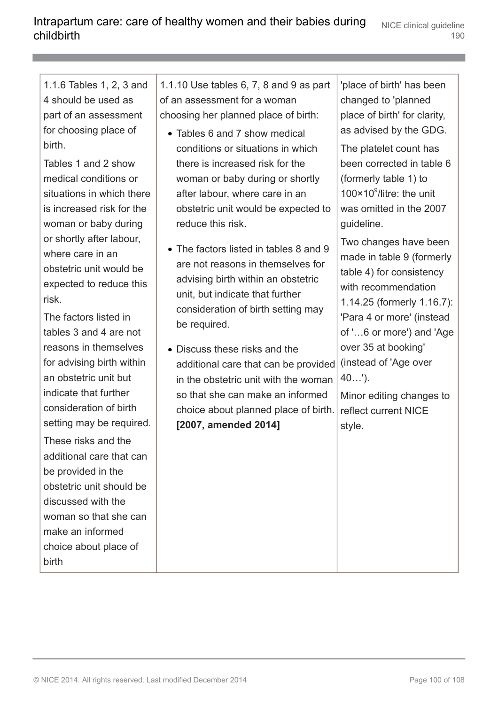| 1.1.6 Tables 1, 2, 3 and<br>1.1.10 Use tables $6, 7, 8$ and $9$ as part<br>'place of birth' has been<br>4 should be used as<br>of an assessment for a woman<br>changed to 'planned<br>place of birth' for clarity,<br>part of an assessment<br>choosing her planned place of birth:<br>as advised by the GDG.<br>for choosing place of<br>• Tables 6 and 7 show medical<br>birth.<br>conditions or situations in which<br>The platelet count has<br>been corrected in table 6<br>Tables 1 and 2 show<br>there is increased risk for the<br>medical conditions or<br>woman or baby during or shortly<br>(formerly table 1) to<br>100 $\times$ 10 $\frac{9}{1}$ litre: the unit<br>situations in which there<br>after labour, where care in an<br>was omitted in the 2007<br>is increased risk for the<br>obstetric unit would be expected to<br>reduce this risk.<br>woman or baby during<br>guideline.<br>or shortly after labour,<br>Two changes have been<br>• The factors listed in tables 8 and 9<br>where care in an<br>made in table 9 (formerly<br>are not reasons in themselves for<br>obstetric unit would be<br>table 4) for consistency<br>advising birth within an obstetric<br>expected to reduce this<br>with recommendation<br>unit, but indicate that further<br>risk.<br>1.14.25 (formerly 1.16.7):<br>consideration of birth setting may<br>The factors listed in<br>'Para 4 or more' (instead<br>be required.<br>tables 3 and 4 are not<br>of '6 or more') and 'Age<br>over 35 at booking'<br>reasons in themselves<br>• Discuss these risks and the<br>for advising birth within<br>(instead of 'Age over<br>additional care that can be provided<br>an obstetric unit but<br>$40$ ).<br>in the obstetric unit with the woman<br>indicate that further<br>so that she can make an informed<br>Minor editing changes to<br>consideration of birth<br>choice about planned place of birth.<br>reflect current NICE<br>setting may be required.<br>[2007, amended 2014]<br>style.<br>These risks and the<br>additional care that can<br>be provided in the<br>obstetric unit should be<br>discussed with the<br>woman so that she can<br>make an informed<br>choice about place of<br>birth |  |  |
|--------------------------------------------------------------------------------------------------------------------------------------------------------------------------------------------------------------------------------------------------------------------------------------------------------------------------------------------------------------------------------------------------------------------------------------------------------------------------------------------------------------------------------------------------------------------------------------------------------------------------------------------------------------------------------------------------------------------------------------------------------------------------------------------------------------------------------------------------------------------------------------------------------------------------------------------------------------------------------------------------------------------------------------------------------------------------------------------------------------------------------------------------------------------------------------------------------------------------------------------------------------------------------------------------------------------------------------------------------------------------------------------------------------------------------------------------------------------------------------------------------------------------------------------------------------------------------------------------------------------------------------------------------------------------------------------------------------------------------------------------------------------------------------------------------------------------------------------------------------------------------------------------------------------------------------------------------------------------------------------------------------------------------------------------------------------------------------------------------------------------------------------------------------------------------------------------------------|--|--|
|                                                                                                                                                                                                                                                                                                                                                                                                                                                                                                                                                                                                                                                                                                                                                                                                                                                                                                                                                                                                                                                                                                                                                                                                                                                                                                                                                                                                                                                                                                                                                                                                                                                                                                                                                                                                                                                                                                                                                                                                                                                                                                                                                                                                              |  |  |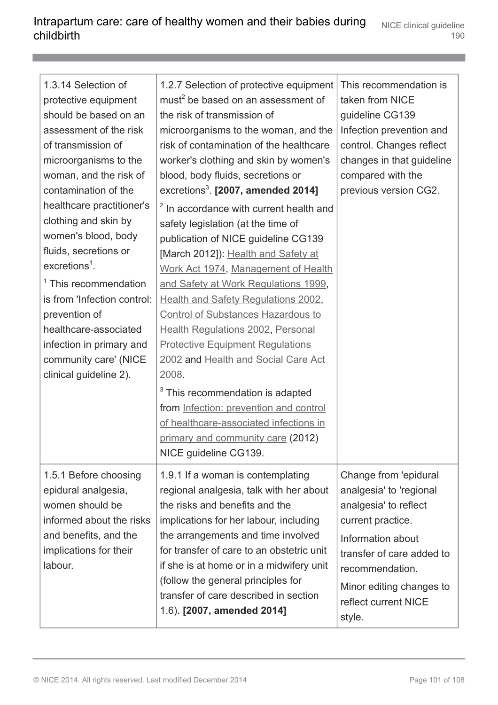| 1.3.14 Selection of<br>protective equipment<br>should be based on an<br>assessment of the risk<br>of transmission of<br>microorganisms to the<br>woman, and the risk of<br>contamination of the<br>healthcare practitioner's<br>clothing and skin by<br>women's blood, body<br>fluids, secretions or<br>$excretions1$ .<br><sup>1</sup> This recommendation<br>is from 'Infection control:<br>prevention of<br>healthcare-associated<br>infection in primary and<br>community care' (NICE<br>clinical guideline 2). | 1.2.7 Selection of protective equipment<br>must <sup>2</sup> be based on an assessment of<br>the risk of transmission of<br>microorganisms to the woman, and the<br>risk of contamination of the healthcare<br>worker's clothing and skin by women's<br>blood, body fluids, secretions or<br>excretions <sup>3</sup> . [2007, amended 2014]<br>$2$ In accordance with current health and<br>safety legislation (at the time of<br>publication of NICE guideline CG139<br>[March 2012]): Health and Safety at<br>Work Act 1974, Management of Health<br>and Safety at Work Regulations 1999,<br>Health and Safety Regulations 2002,<br><b>Control of Substances Hazardous to</b><br><b>Health Regulations 2002, Personal</b><br><b>Protective Equipment Regulations</b><br>2002 and Health and Social Care Act<br>2008.<br><sup>3</sup> This recommendation is adapted<br>from Infection: prevention and control<br>of healthcare-associated infections in<br>primary and community care (2012)<br>NICE guideline CG139. | This recommendation is<br>taken from NICE<br>guideline CG139<br>Infection prevention and<br>control. Changes reflect<br>changes in that guideline<br>compared with the<br>previous version CG2.                                   |
|---------------------------------------------------------------------------------------------------------------------------------------------------------------------------------------------------------------------------------------------------------------------------------------------------------------------------------------------------------------------------------------------------------------------------------------------------------------------------------------------------------------------|-------------------------------------------------------------------------------------------------------------------------------------------------------------------------------------------------------------------------------------------------------------------------------------------------------------------------------------------------------------------------------------------------------------------------------------------------------------------------------------------------------------------------------------------------------------------------------------------------------------------------------------------------------------------------------------------------------------------------------------------------------------------------------------------------------------------------------------------------------------------------------------------------------------------------------------------------------------------------------------------------------------------------|-----------------------------------------------------------------------------------------------------------------------------------------------------------------------------------------------------------------------------------|
| 1.5.1 Before choosing<br>epidural analgesia,<br>women should be<br>informed about the risks<br>and benefits, and the<br>implications for their<br>labour.                                                                                                                                                                                                                                                                                                                                                           | 1.9.1 If a woman is contemplating<br>regional analgesia, talk with her about<br>the risks and benefits and the<br>implications for her labour, including<br>the arrangements and time involved<br>for transfer of care to an obstetric unit<br>if she is at home or in a midwifery unit<br>(follow the general principles for<br>transfer of care described in section<br>1.6). [2007, amended 2014]                                                                                                                                                                                                                                                                                                                                                                                                                                                                                                                                                                                                                    | Change from 'epidural<br>analgesia' to 'regional<br>analgesia' to reflect<br>current practice.<br>Information about<br>transfer of care added to<br>recommendation.<br>Minor editing changes to<br>reflect current NICE<br>style. |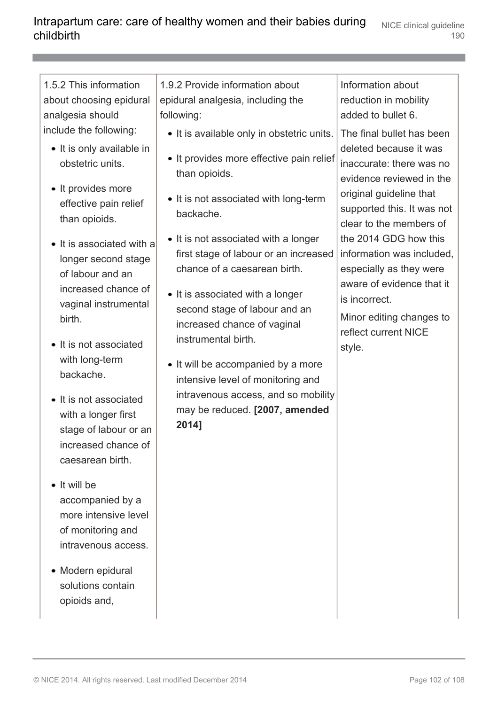1.5.2 This information about choosing epidural analgesia should include the following: • It is only available in obstetric units. • It provides more effective pain relief than opioids. • It is associated with a longer second stage of labour and an increased chance of vaginal instrumental birth. • It is not associated with long-term backache. • It is not associated with a longer first stage of labour or an increased chance of caesarean birth. • It will be accompanied by a more intensive level of monitoring and intravenous access. • Modern epidural solutions contain opioids and, 1.9.2 Provide information about epidural analgesia, including the following: • It is available only in obstetric units. • It provides more effective pain relief than opioids. • It is not associated with long-term backache. • It is not associated with a longer first stage of labour or an increased chance of a caesarean birth. • It is associated with a longer second stage of labour and an increased chance of vaginal instrumental birth. • It will be accompanied by a more intensive level of monitoring and intravenous access, and so mobility may be reduced. **[2007, amended 2014]** Information about reduction in mobility added to bullet 6. The final bullet has been deleted because it was inaccurate: there was no evidence reviewed in the original guideline that supported this. It was not clear to the members of the 2014 GDG how this information was included, especially as they were aware of evidence that it is incorrect. Minor editing changes to reflect current NICE style.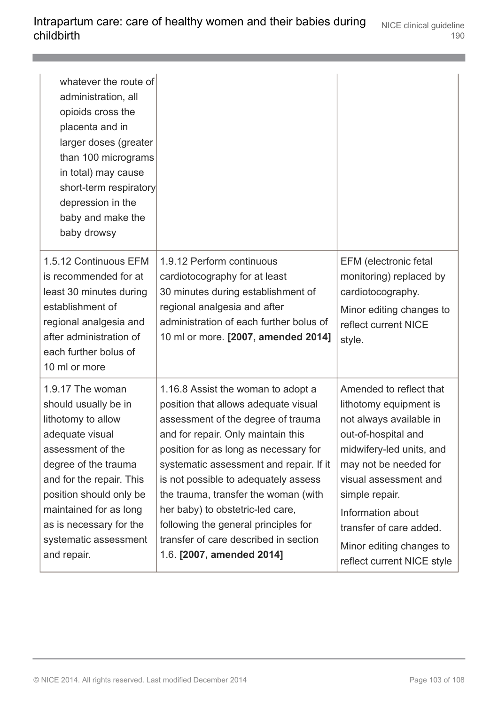| whatever the route of<br>administration, all<br>opioids cross the<br>placenta and in<br>larger doses (greater<br>than 100 micrograms<br>in total) may cause<br>short-term respiratory<br>depression in the<br>baby and make the<br>baby drowsy                                     |                                                                                                                                                                                                                                                                                                                                                                                                                                                                              |                                                                                                                                                                                                                                                                                                               |
|------------------------------------------------------------------------------------------------------------------------------------------------------------------------------------------------------------------------------------------------------------------------------------|------------------------------------------------------------------------------------------------------------------------------------------------------------------------------------------------------------------------------------------------------------------------------------------------------------------------------------------------------------------------------------------------------------------------------------------------------------------------------|---------------------------------------------------------------------------------------------------------------------------------------------------------------------------------------------------------------------------------------------------------------------------------------------------------------|
| 1.5.12 Continuous EFM<br>is recommended for at<br>least 30 minutes during<br>establishment of<br>regional analgesia and<br>after administration of<br>each further bolus of<br>10 ml or more                                                                                       | 1.9.12 Perform continuous<br>cardiotocography for at least<br>30 minutes during establishment of<br>regional analgesia and after<br>administration of each further bolus of<br>10 ml or more. [2007, amended 2014]                                                                                                                                                                                                                                                           | EFM (electronic fetal<br>monitoring) replaced by<br>cardiotocography.<br>Minor editing changes to<br>reflect current NICE<br>style.                                                                                                                                                                           |
| 1.9.17 The woman<br>should usually be in<br>lithotomy to allow<br>adequate visual<br>assessment of the<br>degree of the trauma<br>and for the repair. This<br>position should only be<br>maintained for as long<br>as is necessary for the<br>systematic assessment<br>and repair. | 1.16.8 Assist the woman to adopt a<br>position that allows adequate visual<br>assessment of the degree of trauma<br>and for repair. Only maintain this<br>position for as long as necessary for<br>systematic assessment and repair. If it<br>is not possible to adequately assess<br>the trauma, transfer the woman (with<br>her baby) to obstetric-led care,<br>following the general principles for<br>transfer of care described in section<br>1.6. [2007, amended 2014] | Amended to reflect that<br>lithotomy equipment is<br>not always available in<br>out-of-hospital and<br>midwifery-led units, and<br>may not be needed for<br>visual assessment and<br>simple repair.<br>Information about<br>transfer of care added.<br>Minor editing changes to<br>reflect current NICE style |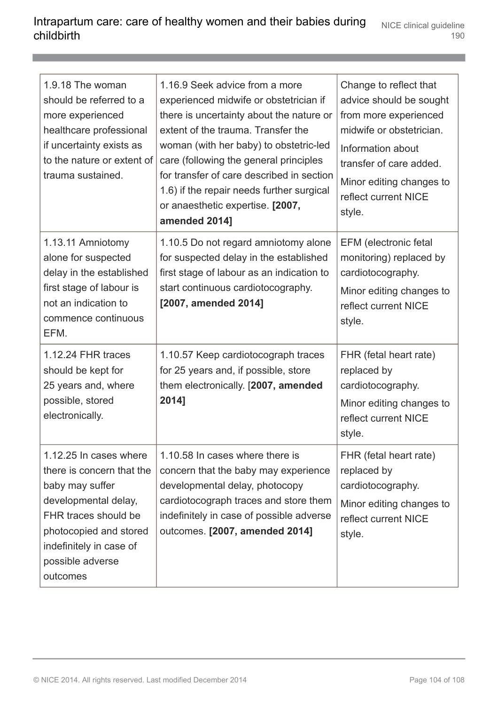| 1.9.18 The woman<br>should be referred to a<br>more experienced<br>healthcare professional<br>if uncertainty exists as<br>to the nature or extent of<br>trauma sustained.                                   | 1.16.9 Seek advice from a more<br>experienced midwife or obstetrician if<br>there is uncertainty about the nature or<br>extent of the trauma. Transfer the<br>woman (with her baby) to obstetric-led<br>care (following the general principles<br>for transfer of care described in section<br>1.6) if the repair needs further surgical<br>or anaesthetic expertise. [2007,<br>amended 2014] | Change to reflect that<br>advice should be sought<br>from more experienced<br>midwife or obstetrician.<br>Information about<br>transfer of care added.<br>Minor editing changes to<br>reflect current NICE<br>style. |
|-------------------------------------------------------------------------------------------------------------------------------------------------------------------------------------------------------------|-----------------------------------------------------------------------------------------------------------------------------------------------------------------------------------------------------------------------------------------------------------------------------------------------------------------------------------------------------------------------------------------------|----------------------------------------------------------------------------------------------------------------------------------------------------------------------------------------------------------------------|
| 1.13.11 Amniotomy<br>alone for suspected<br>delay in the established<br>first stage of labour is<br>not an indication to<br>commence continuous<br>EFM.                                                     | 1.10.5 Do not regard amniotomy alone<br>for suspected delay in the established<br>first stage of labour as an indication to<br>start continuous cardiotocography.<br>[2007, amended 2014]                                                                                                                                                                                                     | EFM (electronic fetal<br>monitoring) replaced by<br>cardiotocography.<br>Minor editing changes to<br>reflect current NICE<br>style.                                                                                  |
| 1.12.24 FHR traces<br>should be kept for<br>25 years and, where<br>possible, stored<br>electronically.                                                                                                      | 1.10.57 Keep cardiotocograph traces<br>for 25 years and, if possible, store<br>them electronically. [2007, amended<br>2014]                                                                                                                                                                                                                                                                   | FHR (fetal heart rate)<br>replaced by<br>cardiotocography.<br>Minor editing changes to<br>reflect current NICE<br>style.                                                                                             |
| 1.12.25 In cases where<br>there is concern that the<br>baby may suffer<br>developmental delay,<br>FHR traces should be<br>photocopied and stored<br>indefinitely in case of<br>possible adverse<br>outcomes | 1.10.58 In cases where there is<br>concern that the baby may experience<br>developmental delay, photocopy<br>cardiotocograph traces and store them<br>indefinitely in case of possible adverse<br>outcomes. [2007, amended 2014]                                                                                                                                                              | FHR (fetal heart rate)<br>replaced by<br>cardiotocography.<br>Minor editing changes to<br>reflect current NICE<br>style.                                                                                             |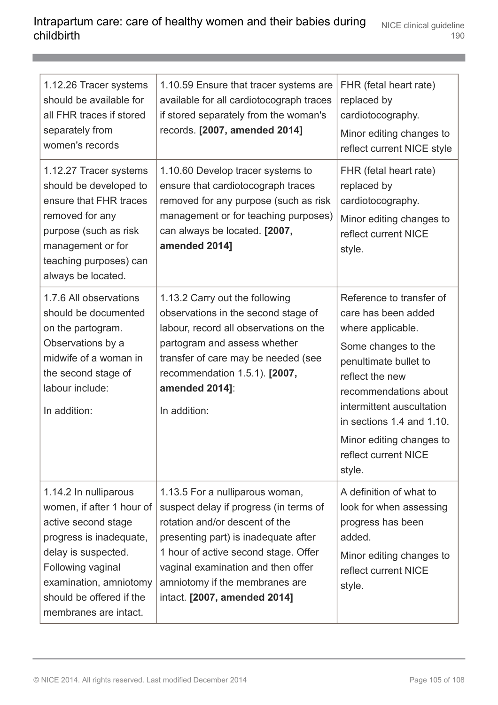| 1.12.26 Tracer systems<br>should be available for<br>all FHR traces if stored<br>separately from<br>women's records                                                                                                             | 1.10.59 Ensure that tracer systems are<br>available for all cardiotocograph traces<br>if stored separately from the woman's<br>records. [2007, amended 2014]                                                                                                                                        | FHR (fetal heart rate)<br>replaced by<br>cardiotocography.<br>Minor editing changes to<br>reflect current NICE style                                                                                                                                                                     |
|---------------------------------------------------------------------------------------------------------------------------------------------------------------------------------------------------------------------------------|-----------------------------------------------------------------------------------------------------------------------------------------------------------------------------------------------------------------------------------------------------------------------------------------------------|------------------------------------------------------------------------------------------------------------------------------------------------------------------------------------------------------------------------------------------------------------------------------------------|
| 1.12.27 Tracer systems<br>should be developed to<br>ensure that FHR traces<br>removed for any<br>purpose (such as risk<br>management or for<br>teaching purposes) can<br>always be located.                                     | 1.10.60 Develop tracer systems to<br>ensure that cardiotocograph traces<br>removed for any purpose (such as risk<br>management or for teaching purposes)<br>can always be located. [2007,<br>amended 2014]                                                                                          | FHR (fetal heart rate)<br>replaced by<br>cardiotocography.<br>Minor editing changes to<br>reflect current NICE<br>style.                                                                                                                                                                 |
| 1.7.6 All observations<br>should be documented<br>on the partogram.<br>Observations by a<br>midwife of a woman in<br>the second stage of<br>labour include:<br>In addition:                                                     | 1.13.2 Carry out the following<br>observations in the second stage of<br>labour, record all observations on the<br>partogram and assess whether<br>transfer of care may be needed (see<br>recommendation 1.5.1). [2007,<br>amended 2014]:<br>In addition:                                           | Reference to transfer of<br>care has been added<br>where applicable.<br>Some changes to the<br>penultimate bullet to<br>reflect the new<br>recommendations about<br>intermittent auscultation<br>in sections 1.4 and 1.10.<br>Minor editing changes to<br>reflect current NICE<br>style. |
| 1.14.2 In nulliparous<br>women, if after 1 hour of<br>active second stage<br>progress is inadequate,<br>delay is suspected.<br>Following vaginal<br>examination, amniotomy<br>should be offered if the<br>membranes are intact. | 1.13.5 For a nulliparous woman,<br>suspect delay if progress (in terms of<br>rotation and/or descent of the<br>presenting part) is inadequate after<br>1 hour of active second stage. Offer<br>vaginal examination and then offer<br>amniotomy if the membranes are<br>intact. [2007, amended 2014] | A definition of what to<br>look for when assessing<br>progress has been<br>added.<br>Minor editing changes to<br>reflect current NICE<br>style.                                                                                                                                          |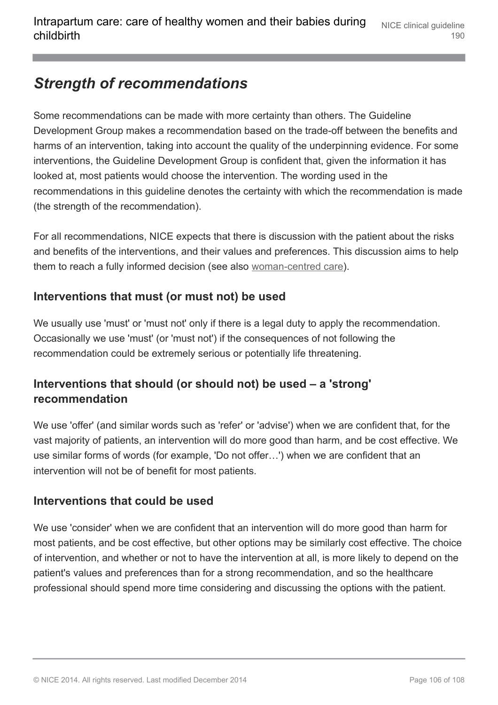### *Strength of recommendations*

Some recommendations can be made with more certainty than others. The Guideline Development Group makes a recommendation based on the trade-off between the benefits and harms of an intervention, taking into account the quality of the underpinning evidence. For some interventions, the Guideline Development Group is confident that, given the information it has looked at, most patients would choose the intervention. The wording used in the recommendations in this guideline denotes the certainty with which the recommendation is made (the strength of the recommendation).

For all recommendations, NICE expects that there is discussion with the patient about the risks and benefits of the interventions, and their values and preferences. This discussion aims to help them to reach a fully informed decision (see also [woman-centred care](http://publications.nice.org.uk/intrapartum-care-care-of-healthy-women-and-their-babies-during-childbirth-cg190/womancentred-care)).

### **Interventions that must (or must not) be used**

We usually use 'must' or 'must not' only if there is a legal duty to apply the recommendation. Occasionally we use 'must' (or 'must not') if the consequences of not following the recommendation could be extremely serious or potentially life threatening.

### **Interventions that should (or should not) be used – a 'strong' recommendation**

We use 'offer' (and similar words such as 'refer' or 'advise') when we are confident that, for the vast majority of patients, an intervention will do more good than harm, and be cost effective. We use similar forms of words (for example, 'Do not offer…') when we are confident that an intervention will not be of benefit for most patients.

### **Interventions that could be used**

We use 'consider' when we are confident that an intervention will do more good than harm for most patients, and be cost effective, but other options may be similarly cost effective. The choice of intervention, and whether or not to have the intervention at all, is more likely to depend on the patient's values and preferences than for a strong recommendation, and so the healthcare professional should spend more time considering and discussing the options with the patient.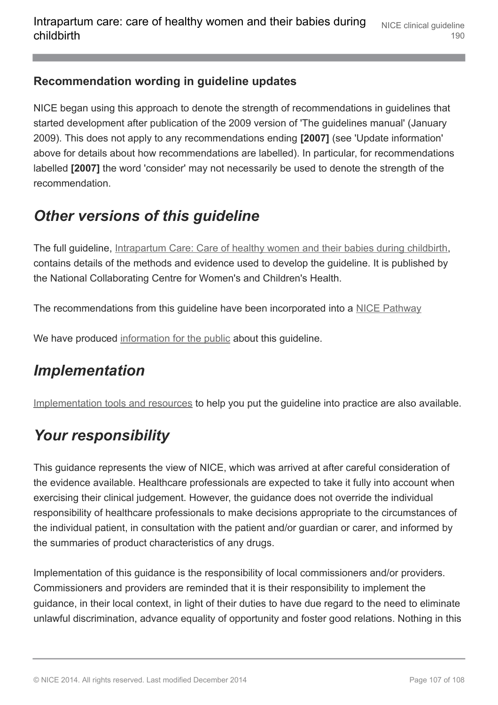### **Recommendation wording in guideline updates**

NICE began using this approach to denote the strength of recommendations in guidelines that started development after publication of the 2009 version of 'The guidelines manual' (January 2009). This does not apply to any recommendations ending **[2007]** (see 'Update information' above for details about how recommendations are labelled). In particular, for recommendations labelled **[2007]** the word 'consider' may not necessarily be used to denote the strength of the recommendation.

# *Other versions of this guideline*

The full guideline, [Intrapartum Care: Care of healthy women and their babies during childbirth,](http://www.nice.org.uk/guidance/cg190/evidence) contains details of the methods and evidence used to develop the guideline. It is published by the National Collaborating Centre for Women's and Children's Health.

The recommendations from this guideline have been incorporated into a [NICE Pathway](http://pathways.nice.org.uk/pathways/intrapartum-care)

We have produced [information for the public](http://www.nice.org.uk/guidance/CG190/InformationForPublic) about this guideline.

# *Implementation*

[Implementation tools and resources](http://www.nice.org.uk/guidance/CG190/resources) to help you put the guideline into practice are also available.

# *Your responsibility*

This guidance represents the view of NICE, which was arrived at after careful consideration of the evidence available. Healthcare professionals are expected to take it fully into account when exercising their clinical judgement. However, the guidance does not override the individual responsibility of healthcare professionals to make decisions appropriate to the circumstances of the individual patient, in consultation with the patient and/or guardian or carer, and informed by the summaries of product characteristics of any drugs.

Implementation of this guidance is the responsibility of local commissioners and/or providers. Commissioners and providers are reminded that it is their responsibility to implement the guidance, in their local context, in light of their duties to have due regard to the need to eliminate unlawful discrimination, advance equality of opportunity and foster good relations. Nothing in this